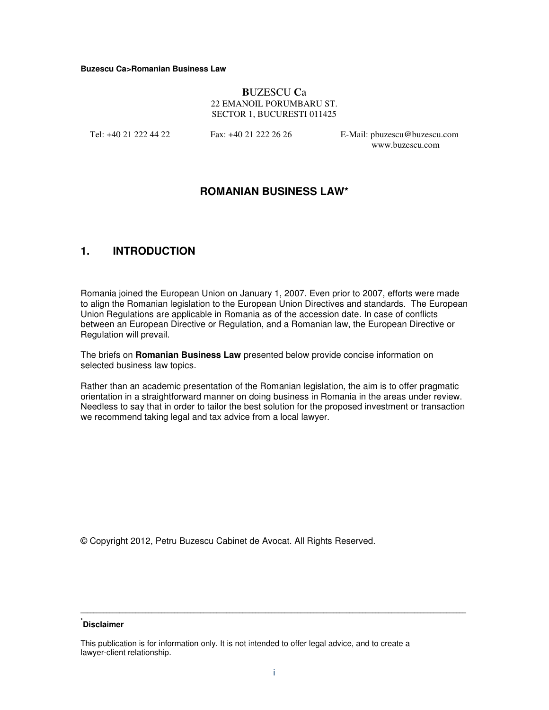#### **Buzescu Ca>Romanian Business Law**

### **B**UZESCU **C**a 22 EMANOIL PORUMBARU ST. SECTOR 1, BUCURESTI 011425

Tel: +40 21 222 44 22 Fax: +40 21 222 26 26 E-Mail: pbuzescu@buzescu.com www.buzescu.com

# **ROMANIAN BUSINESS LAW\***

# **1. INTRODUCTION**

Romania joined the European Union on January 1, 2007. Even prior to 2007, efforts were made to align the Romanian legislation to the European Union Directives and standards. The European Union Regulations are applicable in Romania as of the accession date. In case of conflicts between an European Directive or Regulation, and a Romanian law, the European Directive or Regulation will prevail.

The briefs on **Romanian Business Law** presented below provide concise information on selected business law topics.

Rather than an academic presentation of the Romanian legislation, the aim is to offer pragmatic orientation in a straightforward manner on doing business in Romania in the areas under review. Needless to say that in order to tailor the best solution for the proposed investment or transaction we recommend taking legal and tax advice from a local lawyer.

© Copyright 2012, Petru Buzescu Cabinet de Avocat. All Rights Reserved.

# **\* Disclaimer**

This publication is for information only. It is not intended to offer legal advice, and to create a lawyer-client relationship.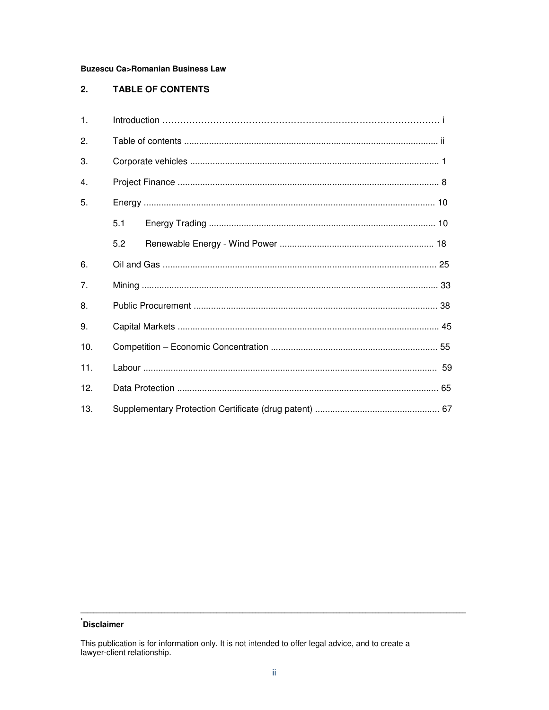## **Buzescu Ca>Romanian Business Law**

#### $2.$ **TABLE OF CONTENTS**

| $\mathbf{1}$ . |     |  |  |
|----------------|-----|--|--|
| 2.             |     |  |  |
| 3.             |     |  |  |
| 4.             |     |  |  |
| 5.             |     |  |  |
|                | 5.1 |  |  |
|                | 5.2 |  |  |
| 6.             |     |  |  |
| 7.             |     |  |  |
| 8.             |     |  |  |
| 9.             |     |  |  |
| 10.            |     |  |  |
| 11.            |     |  |  |
| 12.            |     |  |  |
| 13.            |     |  |  |

# **Disclaimer**

This publication is for information only. It is not intended to offer legal advice, and to create a lawyer-client relationship.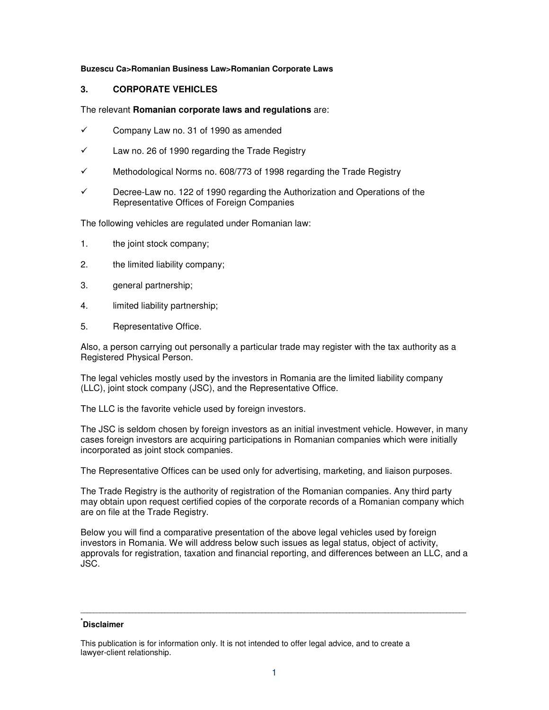### **Buzescu Ca>Romanian Business Law>Romanian Corporate Laws**

# **3. CORPORATE VEHICLES**

#### The relevant **Romanian corporate laws and regulations** are:

- $\checkmark$  Company Law no. 31 of 1990 as amended
- $\checkmark$  Law no. 26 of 1990 regarding the Trade Registry
- Methodological Norms no. 608/773 of 1998 regarding the Trade Registry
- Decree-Law no. 122 of 1990 regarding the Authorization and Operations of the Representative Offices of Foreign Companies

The following vehicles are regulated under Romanian law:

- 1. the joint stock company;
- 2. the limited liability company;
- 3. general partnership;
- 4. limited liability partnership;
- 5. Representative Office.

Also, a person carrying out personally a particular trade may register with the tax authority as a Registered Physical Person.

The legal vehicles mostly used by the investors in Romania are the limited liability company (LLC), joint stock company (JSC), and the Representative Office.

The LLC is the favorite vehicle used by foreign investors.

The JSC is seldom chosen by foreign investors as an initial investment vehicle. However, in many cases foreign investors are acquiring participations in Romanian companies which were initially incorporated as joint stock companies.

The Representative Offices can be used only for advertising, marketing, and liaison purposes.

The Trade Registry is the authority of registration of the Romanian companies. Any third party may obtain upon request certified copies of the corporate records of a Romanian company which are on file at the Trade Registry.

Below you will find a comparative presentation of the above legal vehicles used by foreign investors in Romania. We will address below such issues as legal status, object of activity, approvals for registration, taxation and financial reporting, and differences between an LLC, and a JSC.

# **\* Disclaimer**

This publication is for information only. It is not intended to offer legal advice, and to create a lawyer-client relationship.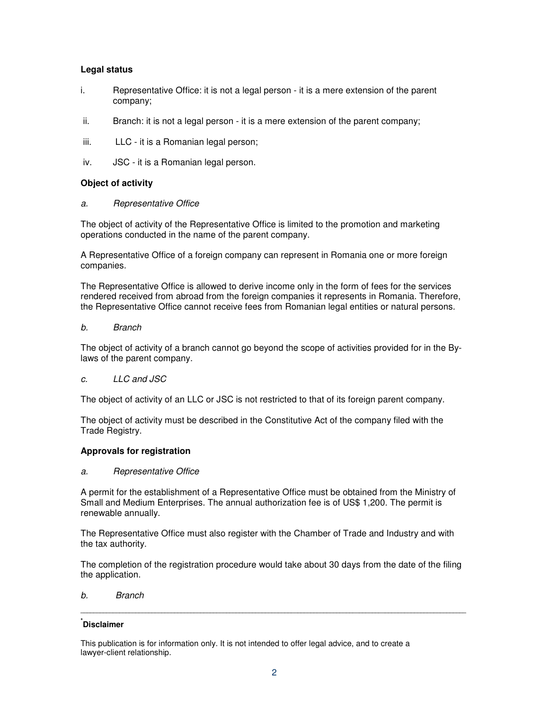# **Legal status**

- i. Representative Office: it is not a legal person it is a mere extension of the parent company;
- ii. Branch: it is not a legal person it is a mere extension of the parent company;
- iii. LLC it is a Romanian legal person;
- iv. JSC it is a Romanian legal person.

# **Object of activity**

### a. Representative Office

The object of activity of the Representative Office is limited to the promotion and marketing operations conducted in the name of the parent company.

A Representative Office of a foreign company can represent in Romania one or more foreign companies.

The Representative Office is allowed to derive income only in the form of fees for the services rendered received from abroad from the foreign companies it represents in Romania. Therefore, the Representative Office cannot receive fees from Romanian legal entities or natural persons.

### b. Branch

The object of activity of a branch cannot go beyond the scope of activities provided for in the Bylaws of the parent company.

### c. LLC and JSC

The object of activity of an LLC or JSC is not restricted to that of its foreign parent company.

The object of activity must be described in the Constitutive Act of the company filed with the Trade Registry.

### **Approvals for registration**

### a. Representative Office

A permit for the establishment of a Representative Office must be obtained from the Ministry of Small and Medium Enterprises. The annual authorization fee is of US\$ 1,200. The permit is renewable annually.

The Representative Office must also register with the Chamber of Trade and Industry and with the tax authority.

The completion of the registration procedure would take about 30 days from the date of the filing the application.

**\_\_\_\_\_\_\_\_\_\_\_\_\_\_\_\_\_\_\_\_\_\_\_\_\_\_\_\_\_\_\_\_\_\_\_\_\_\_\_\_\_\_\_\_\_\_\_\_\_\_\_\_\_\_\_\_\_\_\_\_\_\_\_\_\_\_\_\_\_\_\_\_\_\_\_\_\_\_\_\_\_\_\_\_\_\_\_\_\_\_\_\_\_\_\_\_\_\_\_\_\_\_\_\_\_\_\_\_\_\_\_\_\_\_\_\_\_\_\_** 

### b. Branch

# **\* Disclaimer**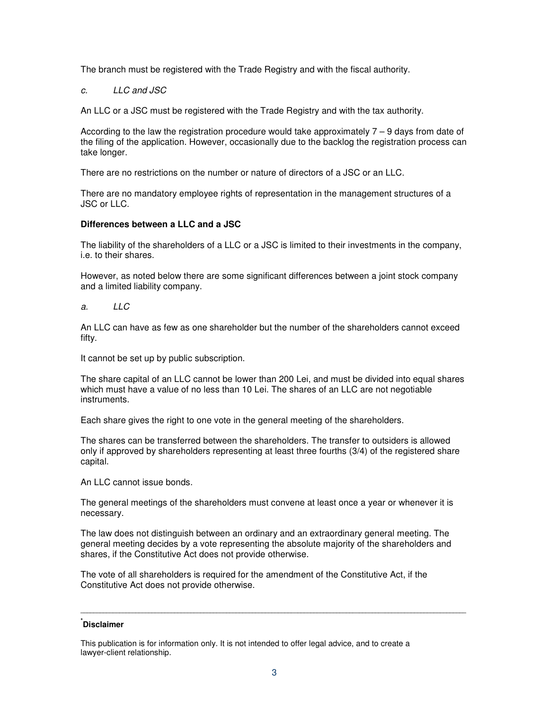The branch must be registered with the Trade Registry and with the fiscal authority.

# c. LLC and JSC

An LLC or a JSC must be registered with the Trade Registry and with the tax authority.

According to the law the registration procedure would take approximately 7 – 9 days from date of the filing of the application. However, occasionally due to the backlog the registration process can take longer.

There are no restrictions on the number or nature of directors of a JSC or an LLC.

There are no mandatory employee rights of representation in the management structures of a JSC or LLC.

# **Differences between a LLC and a JSC**

The liability of the shareholders of a LLC or a JSC is limited to their investments in the company, i.e. to their shares.

However, as noted below there are some significant differences between a joint stock company and a limited liability company.

a. LLC

An LLC can have as few as one shareholder but the number of the shareholders cannot exceed fifty.

It cannot be set up by public subscription.

The share capital of an LLC cannot be lower than 200 Lei, and must be divided into equal shares which must have a value of no less than 10 Lei. The shares of an LLC are not negotiable instruments.

Each share gives the right to one vote in the general meeting of the shareholders.

The shares can be transferred between the shareholders. The transfer to outsiders is allowed only if approved by shareholders representing at least three fourths (3/4) of the registered share capital.

An LLC cannot issue bonds.

The general meetings of the shareholders must convene at least once a year or whenever it is necessary.

The law does not distinguish between an ordinary and an extraordinary general meeting. The general meeting decides by a vote representing the absolute majority of the shareholders and shares, if the Constitutive Act does not provide otherwise.

The vote of all shareholders is required for the amendment of the Constitutive Act, if the Constitutive Act does not provide otherwise.

# **\* Disclaimer**

This publication is for information only. It is not intended to offer legal advice, and to create a lawyer-client relationship.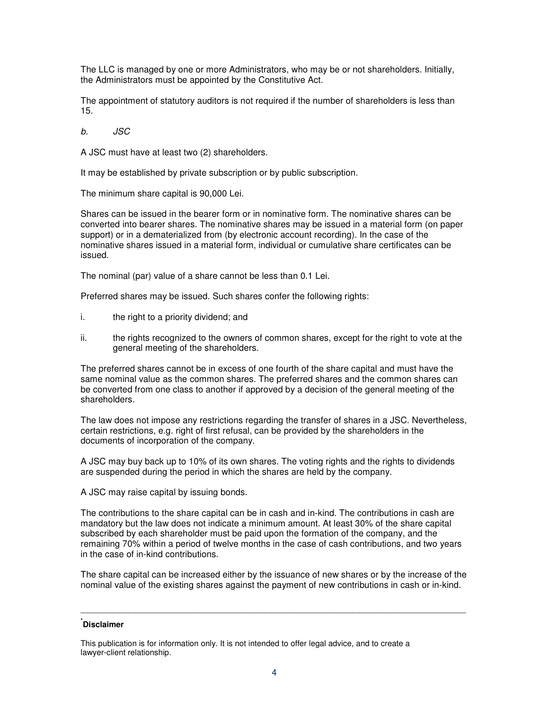The LLC is managed by one or more Administrators, who may be or not shareholders. Initially, the Administrators must be appointed by the Constitutive Act.

The appointment of statutory auditors is not required if the number of shareholders is less than 15.

b. JSC

A JSC must have at least two (2) shareholders.

It may be established by private subscription or by public subscription.

The minimum share capital is 90,000 Lei.

Shares can be issued in the bearer form or in nominative form. The nominative shares can be converted into bearer shares. The nominative shares may be issued in a material form (on paper support) or in a dematerialized from (by electronic account recording). In the case of the nominative shares issued in a material form, individual or cumulative share certificates can be issued.

The nominal (par) value of a share cannot be less than 0.1 Lei.

Preferred shares may be issued. Such shares confer the following rights:

- i. the right to a priority dividend; and
- ii. the rights recognized to the owners of common shares, except for the right to vote at the general meeting of the shareholders.

The preferred shares cannot be in excess of one fourth of the share capital and must have the same nominal value as the common shares. The preferred shares and the common shares can be converted from one class to another if approved by a decision of the general meeting of the shareholders.

The law does not impose any restrictions regarding the transfer of shares in a JSC. Nevertheless, certain restrictions, e.g. right of first refusal, can be provided by the shareholders in the documents of incorporation of the company.

A JSC may buy back up to 10% of its own shares. The voting rights and the rights to dividends are suspended during the period in which the shares are held by the company.

A JSC may raise capital by issuing bonds.

The contributions to the share capital can be in cash and in-kind. The contributions in cash are mandatory but the law does not indicate a minimum amount. At least 30% of the share capital subscribed by each shareholder must be paid upon the formation of the company, and the remaining 70% within a period of twelve months in the case of cash contributions, and two years in the case of in-kind contributions.

The share capital can be increased either by the issuance of new shares or by the increase of the nominal value of the existing shares against the payment of new contributions in cash or in-kind.

**\_\_\_\_\_\_\_\_\_\_\_\_\_\_\_\_\_\_\_\_\_\_\_\_\_\_\_\_\_\_\_\_\_\_\_\_\_\_\_\_\_\_\_\_\_\_\_\_\_\_\_\_\_\_\_\_\_\_\_\_\_\_\_\_\_\_\_\_\_\_\_\_\_\_\_\_\_\_\_\_\_\_\_\_\_\_\_\_\_\_\_\_\_\_\_\_\_\_\_\_\_\_\_\_\_\_\_\_\_\_\_\_\_\_\_\_\_\_\_** 

# **\* Disclaimer**

This publication is for information only. It is not intended to offer legal advice, and to create a lawyer-client relationship.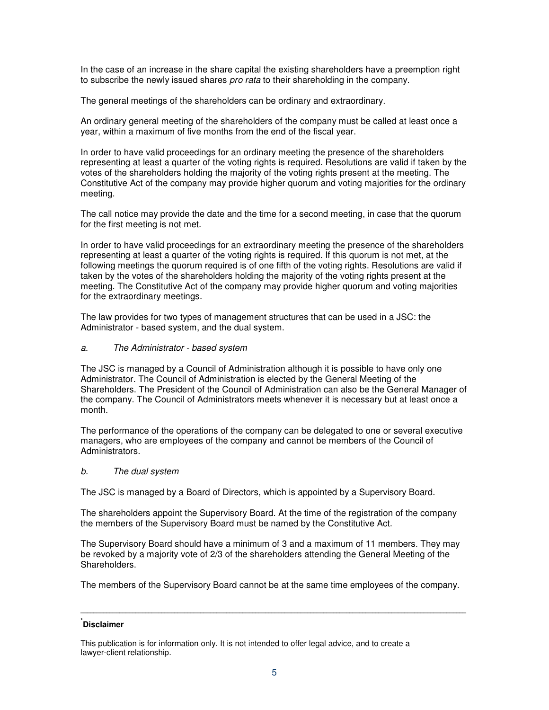In the case of an increase in the share capital the existing shareholders have a preemption right to subscribe the newly issued shares *pro rata* to their shareholding in the company.

The general meetings of the shareholders can be ordinary and extraordinary.

An ordinary general meeting of the shareholders of the company must be called at least once a year, within a maximum of five months from the end of the fiscal year.

In order to have valid proceedings for an ordinary meeting the presence of the shareholders representing at least a quarter of the voting rights is required. Resolutions are valid if taken by the votes of the shareholders holding the majority of the voting rights present at the meeting. The Constitutive Act of the company may provide higher quorum and voting majorities for the ordinary meeting.

The call notice may provide the date and the time for a second meeting, in case that the quorum for the first meeting is not met.

In order to have valid proceedings for an extraordinary meeting the presence of the shareholders representing at least a quarter of the voting rights is required. If this quorum is not met, at the following meetings the quorum required is of one fifth of the voting rights. Resolutions are valid if taken by the votes of the shareholders holding the majority of the voting rights present at the meeting. The Constitutive Act of the company may provide higher quorum and voting majorities for the extraordinary meetings.

The law provides for two types of management structures that can be used in a JSC: the Administrator - based system, and the dual system.

# a. The Administrator - based system

The JSC is managed by a Council of Administration although it is possible to have only one Administrator. The Council of Administration is elected by the General Meeting of the Shareholders. The President of the Council of Administration can also be the General Manager of the company. The Council of Administrators meets whenever it is necessary but at least once a month.

The performance of the operations of the company can be delegated to one or several executive managers, who are employees of the company and cannot be members of the Council of Administrators.

### b. The dual system

The JSC is managed by a Board of Directors, which is appointed by a Supervisory Board.

The shareholders appoint the Supervisory Board. At the time of the registration of the company the members of the Supervisory Board must be named by the Constitutive Act.

The Supervisory Board should have a minimum of 3 and a maximum of 11 members. They may be revoked by a majority vote of 2/3 of the shareholders attending the General Meeting of the Shareholders.

The members of the Supervisory Board cannot be at the same time employees of the company.

**\_\_\_\_\_\_\_\_\_\_\_\_\_\_\_\_\_\_\_\_\_\_\_\_\_\_\_\_\_\_\_\_\_\_\_\_\_\_\_\_\_\_\_\_\_\_\_\_\_\_\_\_\_\_\_\_\_\_\_\_\_\_\_\_\_\_\_\_\_\_\_\_\_\_\_\_\_\_\_\_\_\_\_\_\_\_\_\_\_\_\_\_\_\_\_\_\_\_\_\_\_\_\_\_\_\_\_\_\_\_\_\_\_\_\_\_\_\_\_** 

# **\* Disclaimer**

This publication is for information only. It is not intended to offer legal advice, and to create a lawyer-client relationship.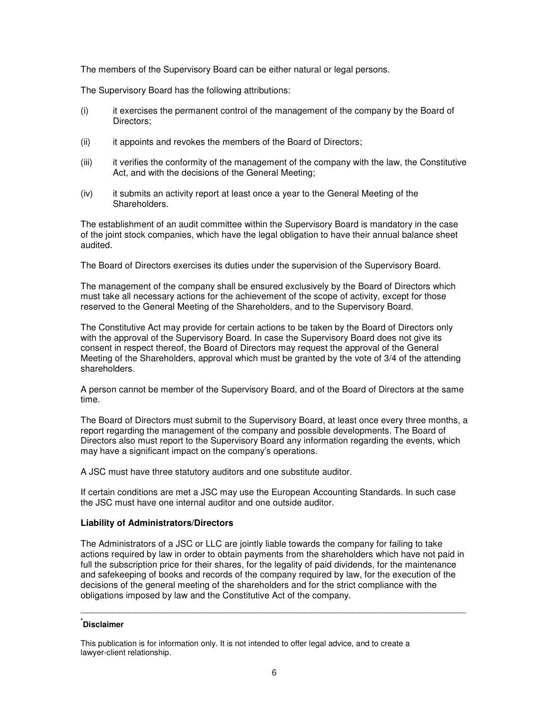The members of the Supervisory Board can be either natural or legal persons.

The Supervisory Board has the following attributions:

- (i) it exercises the permanent control of the management of the company by the Board of Directors;
- (ii) it appoints and revokes the members of the Board of Directors;
- (iii) it verifies the conformity of the management of the company with the law, the Constitutive Act, and with the decisions of the General Meeting;
- (iv) it submits an activity report at least once a year to the General Meeting of the Shareholders.

The establishment of an audit committee within the Supervisory Board is mandatory in the case of the joint stock companies, which have the legal obligation to have their annual balance sheet audited.

The Board of Directors exercises its duties under the supervision of the Supervisory Board.

The management of the company shall be ensured exclusively by the Board of Directors which must take all necessary actions for the achievement of the scope of activity, except for those reserved to the General Meeting of the Shareholders, and to the Supervisory Board.

The Constitutive Act may provide for certain actions to be taken by the Board of Directors only with the approval of the Supervisory Board. In case the Supervisory Board does not give its consent in respect thereof, the Board of Directors may request the approval of the General Meeting of the Shareholders, approval which must be granted by the vote of 3/4 of the attending shareholders.

A person cannot be member of the Supervisory Board, and of the Board of Directors at the same time.

The Board of Directors must submit to the Supervisory Board, at least once every three months, a report regarding the management of the company and possible developments. The Board of Directors also must report to the Supervisory Board any information regarding the events, which may have a significant impact on the company's operations.

A JSC must have three statutory auditors and one substitute auditor.

If certain conditions are met a JSC may use the European Accounting Standards. In such case the JSC must have one internal auditor and one outside auditor.

### **Liability of Administrators/Directors**

The Administrators of a JSC or LLC are jointly liable towards the company for failing to take actions required by law in order to obtain payments from the shareholders which have not paid in full the subscription price for their shares, for the legality of paid dividends, for the maintenance and safekeeping of books and records of the company required by law, for the execution of the decisions of the general meeting of the shareholders and for the strict compliance with the obligations imposed by law and the Constitutive Act of the company.

**\_\_\_\_\_\_\_\_\_\_\_\_\_\_\_\_\_\_\_\_\_\_\_\_\_\_\_\_\_\_\_\_\_\_\_\_\_\_\_\_\_\_\_\_\_\_\_\_\_\_\_\_\_\_\_\_\_\_\_\_\_\_\_\_\_\_\_\_\_\_\_\_\_\_\_\_\_\_\_\_\_\_\_\_\_\_\_\_\_\_\_\_\_\_\_\_\_\_\_\_\_\_\_\_\_\_\_\_\_\_\_\_\_\_\_\_\_\_\_** 

# **\* Disclaimer**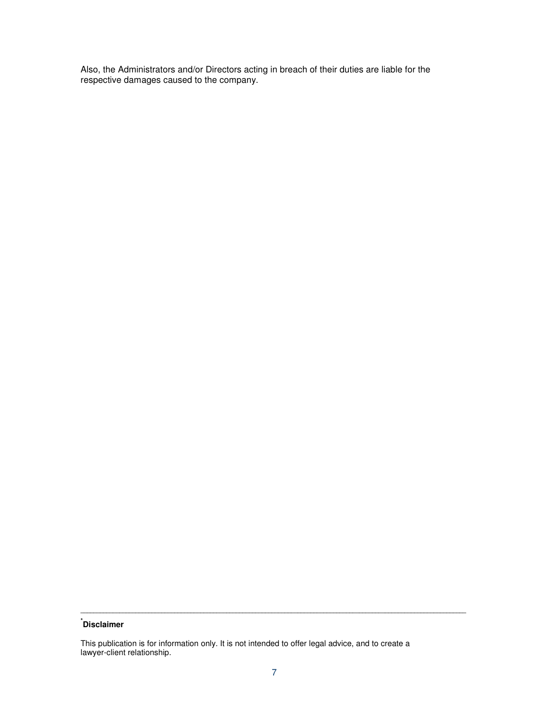Also, the Administrators and/or Directors acting in breach of their duties are liable for the respective damages caused to the company.

# **\* Disclaimer**

This publication is for information only. It is not intended to offer legal advice, and to create a lawyer-client relationship.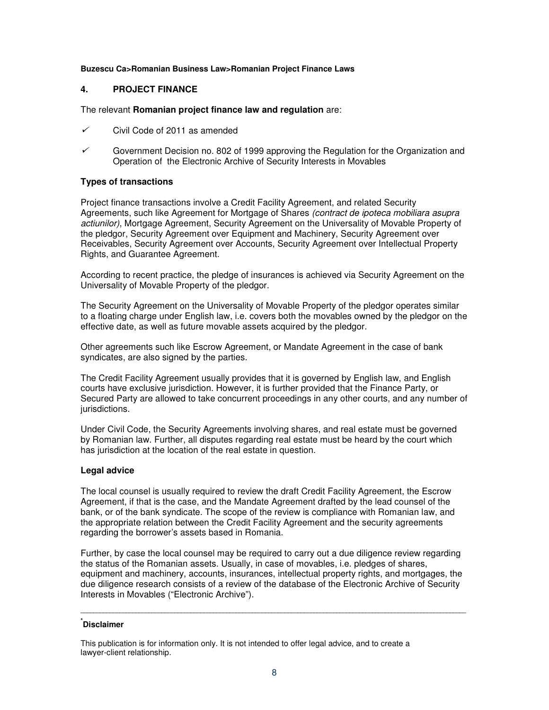### **Buzescu Ca>Romanian Business Law>Romanian Project Finance Laws**

# **4. PROJECT FINANCE**

### The relevant **Romanian project finance law and regulation** are:

- $\checkmark$ Civil Code of 2011 as amended
- $\checkmark$  Government Decision no. 802 of 1999 approving the Regulation for the Organization and Operation of the Electronic Archive of Security Interests in Movables

# **Types of transactions**

Project finance transactions involve a Credit Facility Agreement, and related Security Agreements, such like Agreement for Mortgage of Shares (contract de ipoteca mobiliara asupra actiunilor), Mortgage Agreement, Security Agreement on the Universality of Movable Property of the pledgor, Security Agreement over Equipment and Machinery, Security Agreement over Receivables, Security Agreement over Accounts, Security Agreement over Intellectual Property Rights, and Guarantee Agreement.

According to recent practice, the pledge of insurances is achieved via Security Agreement on the Universality of Movable Property of the pledgor.

The Security Agreement on the Universality of Movable Property of the pledgor operates similar to a floating charge under English law, i.e. covers both the movables owned by the pledgor on the effective date, as well as future movable assets acquired by the pledgor.

Other agreements such like Escrow Agreement, or Mandate Agreement in the case of bank syndicates, are also signed by the parties.

The Credit Facility Agreement usually provides that it is governed by English law, and English courts have exclusive jurisdiction. However, it is further provided that the Finance Party, or Secured Party are allowed to take concurrent proceedings in any other courts, and any number of jurisdictions.

Under Civil Code, the Security Agreements involving shares, and real estate must be governed by Romanian law. Further, all disputes regarding real estate must be heard by the court which has jurisdiction at the location of the real estate in question.

# **Legal advice**

The local counsel is usually required to review the draft Credit Facility Agreement, the Escrow Agreement, if that is the case, and the Mandate Agreement drafted by the lead counsel of the bank, or of the bank syndicate. The scope of the review is compliance with Romanian law, and the appropriate relation between the Credit Facility Agreement and the security agreements regarding the borrower's assets based in Romania.

Further, by case the local counsel may be required to carry out a due diligence review regarding the status of the Romanian assets. Usually, in case of movables, i.e. pledges of shares, equipment and machinery, accounts, insurances, intellectual property rights, and mortgages, the due diligence research consists of a review of the database of the Electronic Archive of Security Interests in Movables ("Electronic Archive").

**\_\_\_\_\_\_\_\_\_\_\_\_\_\_\_\_\_\_\_\_\_\_\_\_\_\_\_\_\_\_\_\_\_\_\_\_\_\_\_\_\_\_\_\_\_\_\_\_\_\_\_\_\_\_\_\_\_\_\_\_\_\_\_\_\_\_\_\_\_\_\_\_\_\_\_\_\_\_\_\_\_\_\_\_\_\_\_\_\_\_\_\_\_\_\_\_\_\_\_\_\_\_\_\_\_\_\_\_\_\_\_\_\_\_\_\_\_\_\_** 

# **\* Disclaimer**

This publication is for information only. It is not intended to offer legal advice, and to create a lawyer-client relationship.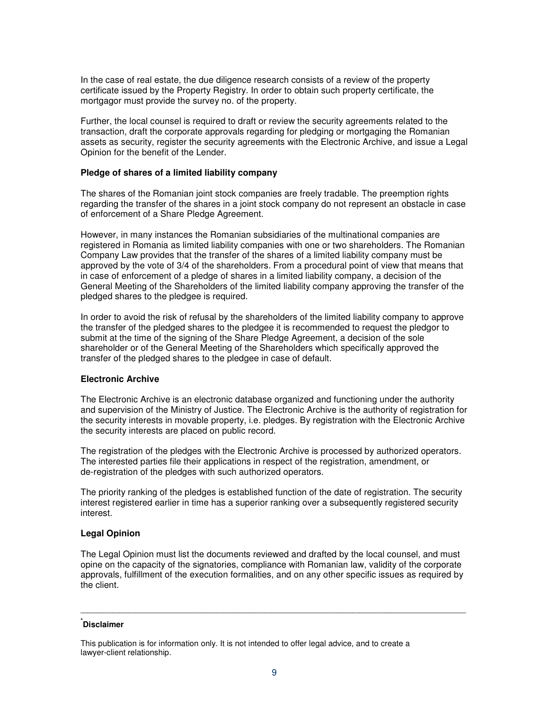In the case of real estate, the due diligence research consists of a review of the property certificate issued by the Property Registry. In order to obtain such property certificate, the mortgagor must provide the survey no. of the property.

Further, the local counsel is required to draft or review the security agreements related to the transaction, draft the corporate approvals regarding for pledging or mortgaging the Romanian assets as security, register the security agreements with the Electronic Archive, and issue a Legal Opinion for the benefit of the Lender.

#### **Pledge of shares of a limited liability company**

The shares of the Romanian joint stock companies are freely tradable. The preemption rights regarding the transfer of the shares in a joint stock company do not represent an obstacle in case of enforcement of a Share Pledge Agreement.

However, in many instances the Romanian subsidiaries of the multinational companies are registered in Romania as limited liability companies with one or two shareholders. The Romanian Company Law provides that the transfer of the shares of a limited liability company must be approved by the vote of 3/4 of the shareholders. From a procedural point of view that means that in case of enforcement of a pledge of shares in a limited liability company, a decision of the General Meeting of the Shareholders of the limited liability company approving the transfer of the pledged shares to the pledgee is required.

In order to avoid the risk of refusal by the shareholders of the limited liability company to approve the transfer of the pledged shares to the pledgee it is recommended to request the pledgor to submit at the time of the signing of the Share Pledge Agreement, a decision of the sole shareholder or of the General Meeting of the Shareholders which specifically approved the transfer of the pledged shares to the pledgee in case of default.

#### **Electronic Archive**

The Electronic Archive is an electronic database organized and functioning under the authority and supervision of the Ministry of Justice. The Electronic Archive is the authority of registration for the security interests in movable property, i.e. pledges. By registration with the Electronic Archive the security interests are placed on public record.

The registration of the pledges with the Electronic Archive is processed by authorized operators. The interested parties file their applications in respect of the registration, amendment, or de-registration of the pledges with such authorized operators.

The priority ranking of the pledges is established function of the date of registration. The security interest registered earlier in time has a superior ranking over a subsequently registered security interest.

#### **Legal Opinion**

The Legal Opinion must list the documents reviewed and drafted by the local counsel, and must opine on the capacity of the signatories, compliance with Romanian law, validity of the corporate approvals, fulfillment of the execution formalities, and on any other specific issues as required by the client.

**\_\_\_\_\_\_\_\_\_\_\_\_\_\_\_\_\_\_\_\_\_\_\_\_\_\_\_\_\_\_\_\_\_\_\_\_\_\_\_\_\_\_\_\_\_\_\_\_\_\_\_\_\_\_\_\_\_\_\_\_\_\_\_\_\_\_\_\_\_\_\_\_\_\_\_\_\_\_\_\_\_\_\_\_\_\_\_\_\_\_\_\_\_\_\_\_\_\_\_\_\_\_\_\_\_\_\_\_\_\_\_\_\_\_\_\_\_\_\_** 

# **\* Disclaimer**

This publication is for information only. It is not intended to offer legal advice, and to create a lawyer-client relationship.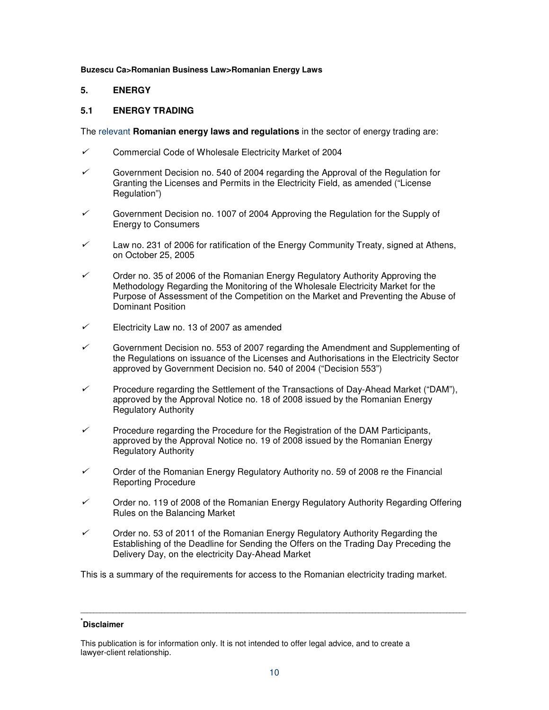#### **Buzescu Ca>Romanian Business Law>Romanian Energy Laws**

# **5. ENERGY**

# **5.1 ENERGY TRADING**

The relevant **Romanian energy laws and regulations** in the sector of energy trading are:

- ✓ Commercial Code of Wholesale Electricity Market of 2004
- $\checkmark$  Government Decision no. 540 of 2004 regarding the Approval of the Regulation for Granting the Licenses and Permits in the Electricity Field, as amended ("License Regulation")
- $\checkmark$  Government Decision no. 1007 of 2004 Approving the Regulation for the Supply of Energy to Consumers
- ✓ Law no. 231 of 2006 for ratification of the Energy Community Treaty, signed at Athens, on October 25, 2005
- ✓ Order no. 35 of 2006 of the Romanian Energy Regulatory Authority Approving the Methodology Regarding the Monitoring of the Wholesale Electricity Market for the Purpose of Assessment of the Competition on the Market and Preventing the Abuse of Dominant Position
- ✓ Electricity Law no. 13 of 2007 as amended
- ✓ Government Decision no. 553 of 2007 regarding the Amendment and Supplementing of the Regulations on issuance of the Licenses and Authorisations in the Electricity Sector approved by Government Decision no. 540 of 2004 ("Decision 553")
- ✓ Procedure regarding the Settlement of the Transactions of Day-Ahead Market ("DAM"), approved by the Approval Notice no. 18 of 2008 issued by the Romanian Energy Regulatory Authority
- $\checkmark$  Procedure regarding the Procedure for the Registration of the DAM Participants, approved by the Approval Notice no. 19 of 2008 issued by the Romanian Energy Regulatory Authority
- $\checkmark$  Order of the Romanian Energy Regulatory Authority no. 59 of 2008 re the Financial Reporting Procedure
- ✓ Order no. 119 of 2008 of the Romanian Energy Regulatory Authority Regarding Offering Rules on the Balancing Market
- ✓ Order no. 53 of 2011 of the Romanian Energy Regulatory Authority Regarding the Establishing of the Deadline for Sending the Offers on the Trading Day Preceding the Delivery Day, on the electricity Day-Ahead Market

This is a summary of the requirements for access to the Romanian electricity trading market.

# **\* Disclaimer**

This publication is for information only. It is not intended to offer legal advice, and to create a lawyer-client relationship.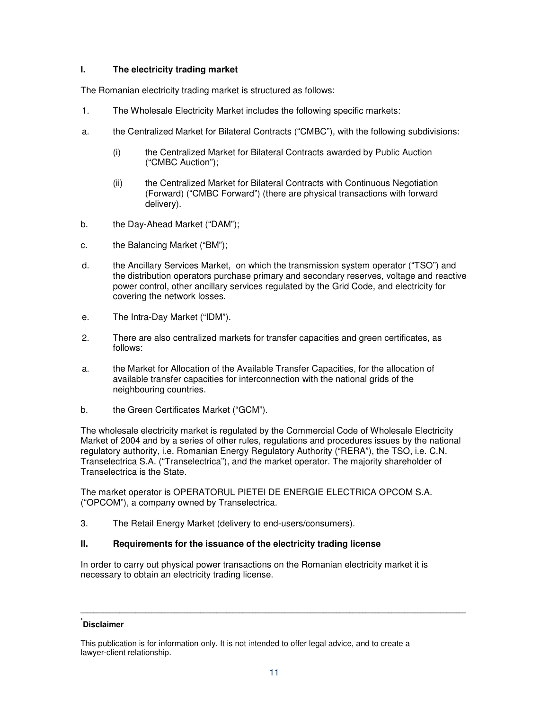# **I. The electricity trading market**

The Romanian electricity trading market is structured as follows:

- 1. The Wholesale Electricity Market includes the following specific markets:
- a. the Centralized Market for Bilateral Contracts ("CMBC"), with the following subdivisions:
	- (i) the Centralized Market for Bilateral Contracts awarded by Public Auction ("CMBC Auction");
	- (ii) the Centralized Market for Bilateral Contracts with Continuous Negotiation (Forward) ("CMBC Forward") (there are physical transactions with forward delivery).
- b. the Day-Ahead Market ("DAM");
- c. the Balancing Market ("BM");
- d. the Ancillary Services Market, on which the transmission system operator ("TSO") and the distribution operators purchase primary and secondary reserves, voltage and reactive power control, other ancillary services regulated by the Grid Code, and electricity for covering the network losses.
- e. The Intra-Day Market ("IDM").
- 2. There are also centralized markets for transfer capacities and green certificates, as follows:
- a. the Market for Allocation of the Available Transfer Capacities, for the allocation of available transfer capacities for interconnection with the national grids of the neighbouring countries.
- b. the Green Certificates Market ("GCM").

The wholesale electricity market is regulated by the Commercial Code of Wholesale Electricity Market of 2004 and by a series of other rules, regulations and procedures issues by the national regulatory authority, i.e. Romanian Energy Regulatory Authority ("RERA"), the TSO, i.e. C.N. Transelectrica S.A. ("Transelectrica"), and the market operator. The majority shareholder of Transelectrica is the State.

The market operator is OPERATORUL PIETEI DE ENERGIE ELECTRICA OPCOM S.A. ("OPCOM"), a company owned by Transelectrica.

3. The Retail Energy Market (delivery to end-users/consumers).

# **II. Requirements for the issuance of the electricity trading license**

In order to carry out physical power transactions on the Romanian electricity market it is necessary to obtain an electricity trading license.

# **\* Disclaimer**

This publication is for information only. It is not intended to offer legal advice, and to create a lawyer-client relationship.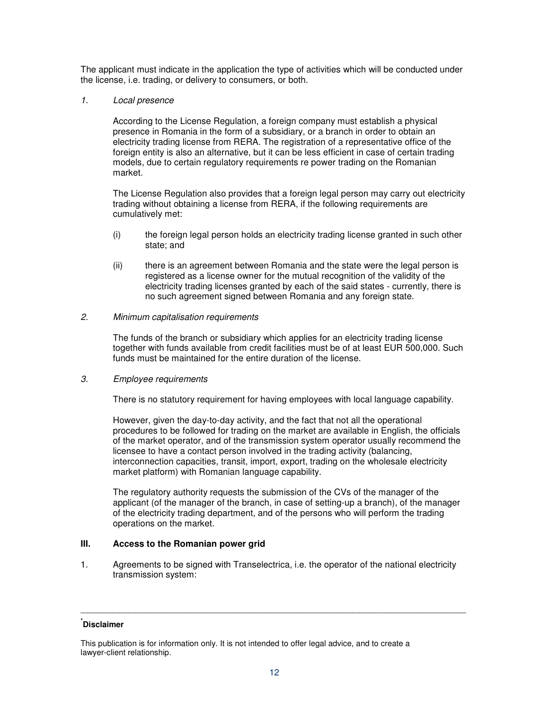The applicant must indicate in the application the type of activities which will be conducted under the license, i.e. trading, or delivery to consumers, or both.

# 1. Local presence

According to the License Regulation, a foreign company must establish a physical presence in Romania in the form of a subsidiary, or a branch in order to obtain an electricity trading license from RERA. The registration of a representative office of the foreign entity is also an alternative, but it can be less efficient in case of certain trading models, due to certain regulatory requirements re power trading on the Romanian market.

The License Regulation also provides that a foreign legal person may carry out electricity trading without obtaining a license from RERA, if the following requirements are cumulatively met:

- (i) the foreign legal person holds an electricity trading license granted in such other state; and
- (ii) there is an agreement between Romania and the state were the legal person is registered as a license owner for the mutual recognition of the validity of the electricity trading licenses granted by each of the said states - currently, there is no such agreement signed between Romania and any foreign state.

# 2. Minimum capitalisation requirements

The funds of the branch or subsidiary which applies for an electricity trading license together with funds available from credit facilities must be of at least EUR 500,000. Such funds must be maintained for the entire duration of the license.

# 3. Employee requirements

There is no statutory requirement for having employees with local language capability.

However, given the day-to-day activity, and the fact that not all the operational procedures to be followed for trading on the market are available in English, the officials of the market operator, and of the transmission system operator usually recommend the licensee to have a contact person involved in the trading activity (balancing, interconnection capacities, transit, import, export, trading on the wholesale electricity market platform) with Romanian language capability.

The regulatory authority requests the submission of the CVs of the manager of the applicant (of the manager of the branch, in case of setting-up a branch), of the manager of the electricity trading department, and of the persons who will perform the trading operations on the market.

# **III. Access to the Romanian power grid**

1. Agreements to be signed with Transelectrica, i.e. the operator of the national electricity transmission system:

# **\* Disclaimer**

This publication is for information only. It is not intended to offer legal advice, and to create a lawyer-client relationship.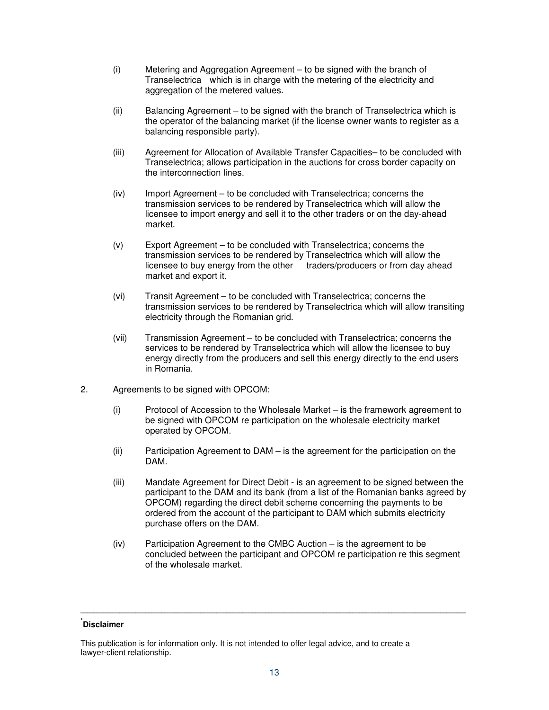- (i) Metering and Aggregation Agreement to be signed with the branch of Transelectrica which is in charge with the metering of the electricity and aggregation of the metered values.
- (ii) Balancing Agreement to be signed with the branch of Transelectrica which is the operator of the balancing market (if the license owner wants to register as a balancing responsible party).
- (iii) Agreement for Allocation of Available Transfer Capacities– to be concluded with Transelectrica; allows participation in the auctions for cross border capacity on the interconnection lines.
- (iv) Import Agreement to be concluded with Transelectrica; concerns the transmission services to be rendered by Transelectrica which will allow the licensee to import energy and sell it to the other traders or on the day-ahead market.
- (v) Export Agreement to be concluded with Transelectrica; concerns the transmission services to be rendered by Transelectrica which will allow the licensee to buy energy from the other traders/producers or from day ahead market and export it.
- (vi) Transit Agreement to be concluded with Transelectrica; concerns the transmission services to be rendered by Transelectrica which will allow transiting electricity through the Romanian grid.
- (vii) Transmission Agreement to be concluded with Transelectrica; concerns the services to be rendered by Transelectrica which will allow the licensee to buy energy directly from the producers and sell this energy directly to the end users in Romania.
- 2. Agreements to be signed with OPCOM:
	- (i) Protocol of Accession to the Wholesale Market is the framework agreement to be signed with OPCOM re participation on the wholesale electricity market operated by OPCOM.
	- (ii) Participation Agreement to DAM is the agreement for the participation on the DAM.
	- (iii) Mandate Agreement for Direct Debit is an agreement to be signed between the participant to the DAM and its bank (from a list of the Romanian banks agreed by OPCOM) regarding the direct debit scheme concerning the payments to be ordered from the account of the participant to DAM which submits electricity purchase offers on the DAM.
	- (iv) Participation Agreement to the CMBC Auction is the agreement to be concluded between the participant and OPCOM re participation re this segment of the wholesale market.

# **\* Disclaimer**

This publication is for information only. It is not intended to offer legal advice, and to create a lawyer-client relationship.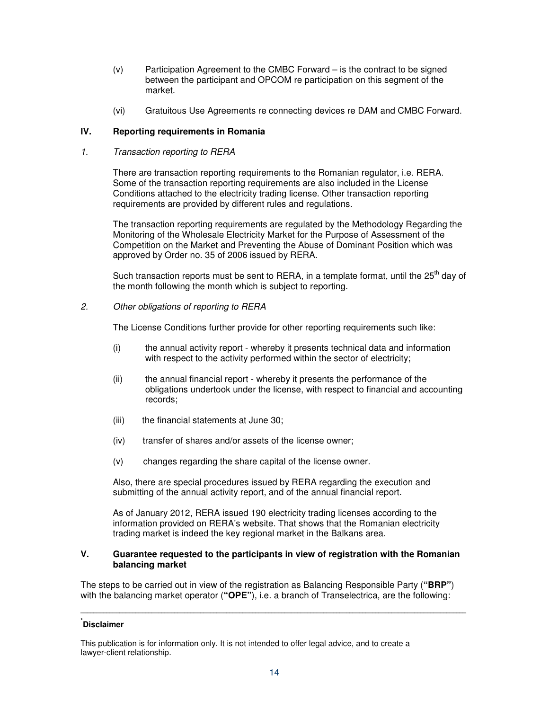- (v) Participation Agreement to the CMBC Forward is the contract to be signed between the participant and OPCOM re participation on this segment of the market.
- (vi) Gratuitous Use Agreements re connecting devices re DAM and CMBC Forward.

# **IV. Reporting requirements in Romania**

### 1. Transaction reporting to RERA

There are transaction reporting requirements to the Romanian regulator, i.e. RERA. Some of the transaction reporting requirements are also included in the License Conditions attached to the electricity trading license. Other transaction reporting requirements are provided by different rules and regulations.

The transaction reporting requirements are regulated by the Methodology Regarding the Monitoring of the Wholesale Electricity Market for the Purpose of Assessment of the Competition on the Market and Preventing the Abuse of Dominant Position which was approved by Order no. 35 of 2006 issued by RERA.

Such transaction reports must be sent to RERA, in a template format, until the 25<sup>th</sup> day of the month following the month which is subject to reporting.

# 2. Other obligations of reporting to RERA

The License Conditions further provide for other reporting requirements such like:

- (i) the annual activity report whereby it presents technical data and information with respect to the activity performed within the sector of electricity;
- (ii) the annual financial report whereby it presents the performance of the obligations undertook under the license, with respect to financial and accounting records;
- (iii) the financial statements at June 30;
- (iv) transfer of shares and/or assets of the license owner;
- (v) changes regarding the share capital of the license owner.

Also, there are special procedures issued by RERA regarding the execution and submitting of the annual activity report, and of the annual financial report.

As of January 2012, RERA issued 190 electricity trading licenses according to the information provided on RERA's website. That shows that the Romanian electricity trading market is indeed the key regional market in the Balkans area.

### **V. Guarantee requested to the participants in view of registration with the Romanian balancing market**

The steps to be carried out in view of the registration as Balancing Responsible Party (**"BRP"**) with the balancing market operator (**"OPE"**), i.e. a branch of Transelectrica, are the following:

**\_\_\_\_\_\_\_\_\_\_\_\_\_\_\_\_\_\_\_\_\_\_\_\_\_\_\_\_\_\_\_\_\_\_\_\_\_\_\_\_\_\_\_\_\_\_\_\_\_\_\_\_\_\_\_\_\_\_\_\_\_\_\_\_\_\_\_\_\_\_\_\_\_\_\_\_\_\_\_\_\_\_\_\_\_\_\_\_\_\_\_\_\_\_\_\_\_\_\_\_\_\_\_\_\_\_\_\_\_\_\_\_\_\_\_\_\_\_\_** 

# **\* Disclaimer**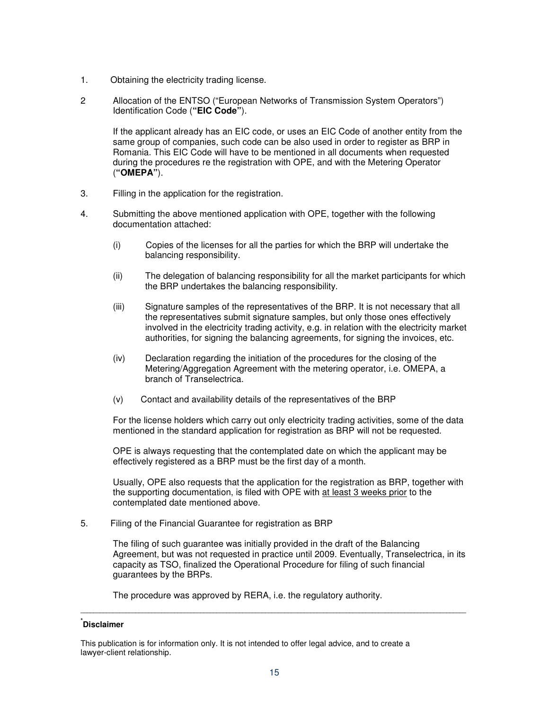- 1. Obtaining the electricity trading license.
- 2 Allocation of the ENTSO ("European Networks of Transmission System Operators") Identification Code (**"EIC Code"**).

If the applicant already has an EIC code, or uses an EIC Code of another entity from the same group of companies, such code can be also used in order to register as BRP in Romania. This EIC Code will have to be mentioned in all documents when requested during the procedures re the registration with OPE, and with the Metering Operator (**"OMEPA"**).

- 3. Filling in the application for the registration.
- 4. Submitting the above mentioned application with OPE, together with the following documentation attached:
	- (i) Copies of the licenses for all the parties for which the BRP will undertake the balancing responsibility.
	- (ii) The delegation of balancing responsibility for all the market participants for which the BRP undertakes the balancing responsibility.
	- (iii) Signature samples of the representatives of the BRP. It is not necessary that all the representatives submit signature samples, but only those ones effectively involved in the electricity trading activity, e.g. in relation with the electricity market authorities, for signing the balancing agreements, for signing the invoices, etc.
	- (iv) Declaration regarding the initiation of the procedures for the closing of the Metering/Aggregation Agreement with the metering operator, i.e. OMEPA, a branch of Transelectrica.
	- (v) Contact and availability details of the representatives of the BRP

For the license holders which carry out only electricity trading activities, some of the data mentioned in the standard application for registration as BRP will not be requested.

OPE is always requesting that the contemplated date on which the applicant may be effectively registered as a BRP must be the first day of a month.

Usually, OPE also requests that the application for the registration as BRP, together with the supporting documentation, is filed with OPE with at least 3 weeks prior to the contemplated date mentioned above.

5. Filing of the Financial Guarantee for registration as BRP

The filing of such guarantee was initially provided in the draft of the Balancing Agreement, but was not requested in practice until 2009. Eventually, Transelectrica, in its capacity as TSO, finalized the Operational Procedure for filing of such financial guarantees by the BRPs.

The procedure was approved by RERA, i.e. the regulatory authority.

# **\* Disclaimer**

This publication is for information only. It is not intended to offer legal advice, and to create a lawyer-client relationship.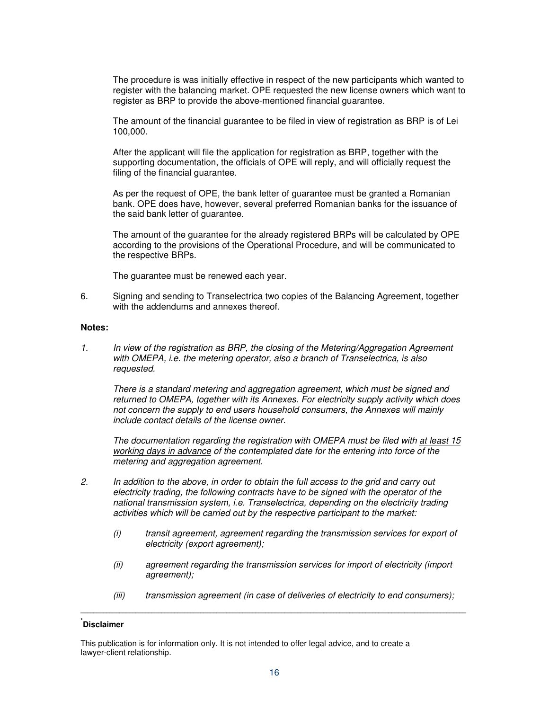The procedure is was initially effective in respect of the new participants which wanted to register with the balancing market. OPE requested the new license owners which want to register as BRP to provide the above-mentioned financial guarantee.

The amount of the financial guarantee to be filed in view of registration as BRP is of Lei 100,000.

After the applicant will file the application for registration as BRP, together with the supporting documentation, the officials of OPE will reply, and will officially request the filing of the financial guarantee.

As per the request of OPE, the bank letter of guarantee must be granted a Romanian bank. OPE does have, however, several preferred Romanian banks for the issuance of the said bank letter of guarantee.

The amount of the guarantee for the already registered BRPs will be calculated by OPE according to the provisions of the Operational Procedure, and will be communicated to the respective BRPs.

The guarantee must be renewed each year.

6. Signing and sending to Transelectrica two copies of the Balancing Agreement, together with the addendums and annexes thereof.

#### **Notes:**

1. In view of the registration as BRP, the closing of the Metering/Aggregation Agreement with OMEPA, i.e. the metering operator, also a branch of Transelectrica, is also requested.

There is a standard metering and aggregation agreement, which must be signed and returned to OMEPA, together with its Annexes. For electricity supply activity which does not concern the supply to end users household consumers, the Annexes will mainly include contact details of the license owner.

The documentation regarding the registration with OMEPA must be filed with at least 15 working days in advance of the contemplated date for the entering into force of the metering and aggregation agreement.

- 2. In addition to the above, in order to obtain the full access to the grid and carry out electricity trading, the following contracts have to be signed with the operator of the national transmission system, i.e. Transelectrica, depending on the electricity trading activities which will be carried out by the respective participant to the market:
	- (i) transit agreement, agreement regarding the transmission services for export of electricity (export agreement);
	- (ii) agreement regarding the transmission services for import of electricity (import agreement);
	- (iii) transmission agreement (in case of deliveries of electricity to end consumers);

# **\* Disclaimer**

This publication is for information only. It is not intended to offer legal advice, and to create a lawyer-client relationship.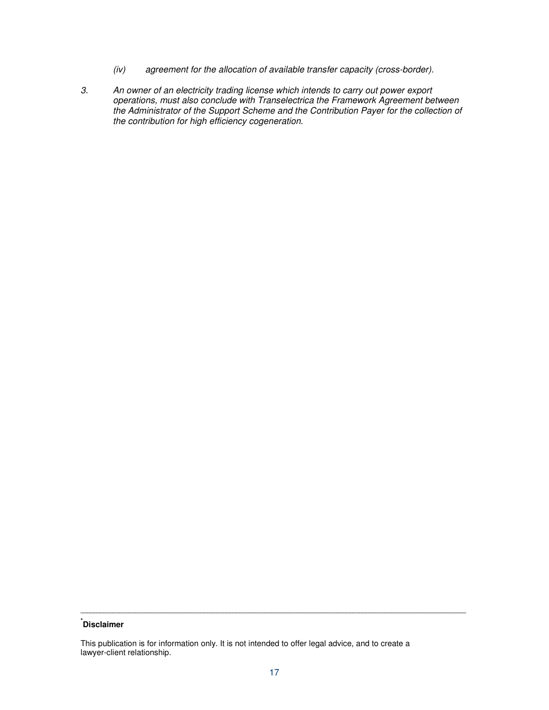- (iv) agreement for the allocation of available transfer capacity (cross-border).
- 3. An owner of an electricity trading license which intends to carry out power export operations, must also conclude with Transelectrica the Framework Agreement between the Administrator of the Support Scheme and the Contribution Payer for the collection of the contribution for high efficiency cogeneration.

# **\* Disclaimer**

This publication is for information only. It is not intended to offer legal advice, and to create a lawyer-client relationship.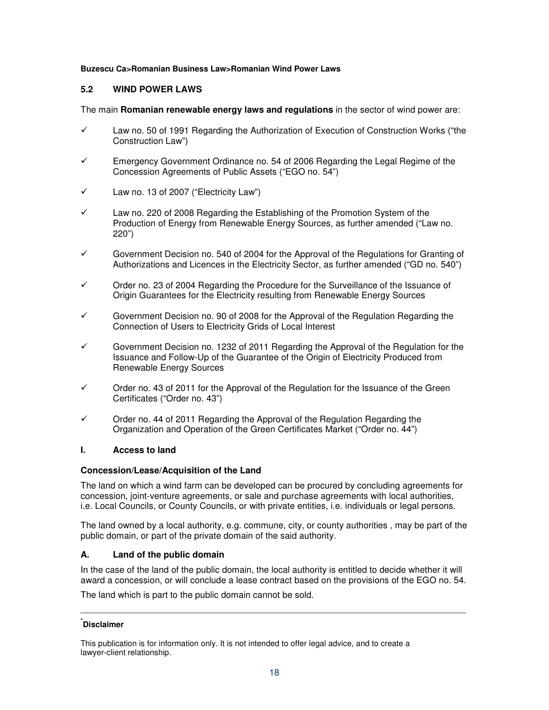# **Buzescu Ca>Romanian Business Law>Romanian Wind Power Laws**

# **5.2 WIND POWER LAWS**

The main **Romanian renewable energy laws and regulations** in the sector of wind power are:

- $\checkmark$  Law no. 50 of 1991 Regarding the Authorization of Execution of Construction Works ("the Construction Law")
- Emergency Government Ordinance no. 54 of 2006 Regarding the Legal Regime of the Concession Agreements of Public Assets ("EGO no. 54")
- $\checkmark$  Law no. 13 of 2007 ("Electricity Law")
- $\checkmark$  Law no. 220 of 2008 Regarding the Establishing of the Promotion System of the Production of Energy from Renewable Energy Sources, as further amended ("Law no. 220")
- Government Decision no. 540 of 2004 for the Approval of the Regulations for Granting of Authorizations and Licences in the Electricity Sector, as further amended ("GD no. 540")
- $\checkmark$  Order no. 23 of 2004 Regarding the Procedure for the Surveillance of the Issuance of Origin Guarantees for the Electricity resulting from Renewable Energy Sources
- $\checkmark$  Government Decision no. 90 of 2008 for the Approval of the Regulation Regarding the Connection of Users to Electricity Grids of Local Interest
- $\checkmark$  Government Decision no. 1232 of 2011 Regarding the Approval of the Regulation for the Issuance and Follow-Up of the Guarantee of the Origin of Electricity Produced from Renewable Energy Sources
- Order no. 43 of 2011 for the Approval of the Regulation for the Issuance of the Green Certificates ("Order no. 43")
- $\checkmark$  Order no. 44 of 2011 Regarding the Approval of the Regulation Regarding the Organization and Operation of the Green Certificates Market ("Order no. 44")

### **I. Access to land**

### **Concession/Lease/Acquisition of the Land**

The land on which a wind farm can be developed can be procured by concluding agreements for concession, joint-venture agreements, or sale and purchase agreements with local authorities, i.e. Local Councils, or County Councils, or with private entities, i.e. individuals or legal persons.

The land owned by a local authority, e.g. commune, city, or county authorities , may be part of the public domain, or part of the private domain of the said authority.

# **A. Land of the public domain**

In the case of the land of the public domain, the local authority is entitled to decide whether it will award a concession, or will conclude a lease contract based on the provisions of the EGO no. 54.

**\_\_\_\_\_\_\_\_\_\_\_\_\_\_\_\_\_\_\_\_\_\_\_\_\_\_\_\_\_\_\_\_\_\_\_\_\_\_\_\_\_\_\_\_\_\_\_\_\_\_\_\_\_\_\_\_\_\_\_\_\_\_\_\_\_\_\_\_\_\_\_\_\_\_\_\_\_\_\_\_\_\_\_\_\_\_\_\_\_\_\_\_\_\_\_\_\_\_\_\_\_\_\_\_\_\_\_\_\_\_\_\_\_\_\_\_\_\_\_** 

The land which is part to the public domain cannot be sold.

# **\* Disclaimer**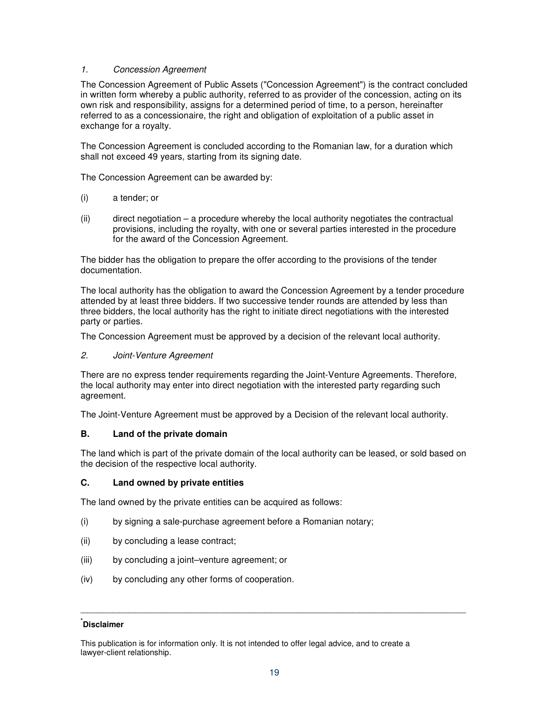# 1. Concession Agreement

The Concession Agreement of Public Assets ("Concession Agreement") is the contract concluded in written form whereby a public authority, referred to as provider of the concession, acting on its own risk and responsibility, assigns for a determined period of time, to a person, hereinafter referred to as a concessionaire, the right and obligation of exploitation of a public asset in exchange for a royalty.

The Concession Agreement is concluded according to the Romanian law, for a duration which shall not exceed 49 years, starting from its signing date.

The Concession Agreement can be awarded by:

- (i) a tender; or
- (ii) direct negotiation a procedure whereby the local authority negotiates the contractual provisions, including the royalty, with one or several parties interested in the procedure for the award of the Concession Agreement.

The bidder has the obligation to prepare the offer according to the provisions of the tender documentation.

The local authority has the obligation to award the Concession Agreement by a tender procedure attended by at least three bidders. If two successive tender rounds are attended by less than three bidders, the local authority has the right to initiate direct negotiations with the interested party or parties.

The Concession Agreement must be approved by a decision of the relevant local authority.

### 2. Joint-Venture Agreement

There are no express tender requirements regarding the Joint-Venture Agreements. Therefore, the local authority may enter into direct negotiation with the interested party regarding such agreement.

The Joint-Venture Agreement must be approved by a Decision of the relevant local authority.

# **B. Land of the private domain**

The land which is part of the private domain of the local authority can be leased, or sold based on the decision of the respective local authority.

# **C. Land owned by private entities**

The land owned by the private entities can be acquired as follows:

- (i) by signing a sale-purchase agreement before a Romanian notary;
- (ii) by concluding a lease contract;
- (iii) by concluding a joint–venture agreement; or
- (iv) by concluding any other forms of cooperation.

# **\* Disclaimer**

This publication is for information only. It is not intended to offer legal advice, and to create a lawyer-client relationship.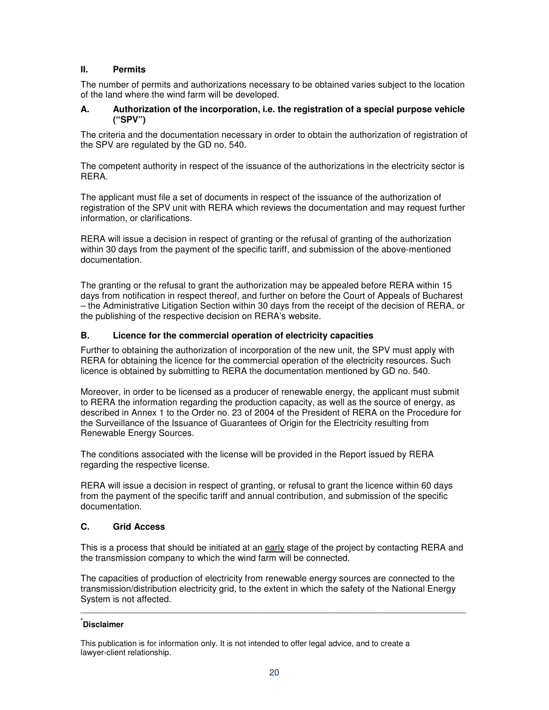# **II. Permits**

The number of permits and authorizations necessary to be obtained varies subject to the location of the land where the wind farm will be developed.

# **A. Authorization of the incorporation, i.e. the registration of a special purpose vehicle ("SPV")**

The criteria and the documentation necessary in order to obtain the authorization of registration of the SPV are regulated by the GD no. 540.

The competent authority in respect of the issuance of the authorizations in the electricity sector is RERA.

The applicant must file a set of documents in respect of the issuance of the authorization of registration of the SPV unit with RERA which reviews the documentation and may request further information, or clarifications.

RERA will issue a decision in respect of granting or the refusal of granting of the authorization within 30 days from the payment of the specific tariff, and submission of the above-mentioned documentation.

The granting or the refusal to grant the authorization may be appealed before RERA within 15 days from notification in respect thereof, and further on before the Court of Appeals of Bucharest – the Administrative Litigation Section within 30 days from the receipt of the decision of RERA, or the publishing of the respective decision on RERA's website.

# **B. Licence for the commercial operation of electricity capacities**

Further to obtaining the authorization of incorporation of the new unit, the SPV must apply with RERA for obtaining the licence for the commercial operation of the electricity resources. Such licence is obtained by submitting to RERA the documentation mentioned by GD no. 540.

Moreover, in order to be licensed as a producer of renewable energy, the applicant must submit to RERA the information regarding the production capacity, as well as the source of energy, as described in Annex 1 to the Order no. 23 of 2004 of the President of RERA on the Procedure for the Surveillance of the Issuance of Guarantees of Origin for the Electricity resulting from Renewable Energy Sources.

The conditions associated with the license will be provided in the Report issued by RERA regarding the respective license.

RERA will issue a decision in respect of granting, or refusal to grant the licence within 60 days from the payment of the specific tariff and annual contribution, and submission of the specific documentation.

# **C. Grid Access**

This is a process that should be initiated at an early stage of the project by contacting RERA and the transmission company to which the wind farm will be connected.

The capacities of production of electricity from renewable energy sources are connected to the transmission/distribution electricity grid, to the extent in which the safety of the National Energy System is not affected.

**\_\_\_\_\_\_\_\_\_\_\_\_\_\_\_\_\_\_\_\_\_\_\_\_\_\_\_\_\_\_\_\_\_\_\_\_\_\_\_\_\_\_\_\_\_\_\_\_\_\_\_\_\_\_\_\_\_\_\_\_\_\_\_\_\_\_\_\_\_\_\_\_\_\_\_\_\_\_\_\_\_\_\_\_\_\_\_\_\_\_\_\_\_\_\_\_\_\_\_\_\_\_\_\_\_\_\_\_\_\_\_\_\_\_\_\_\_\_\_** 

# **\* Disclaimer**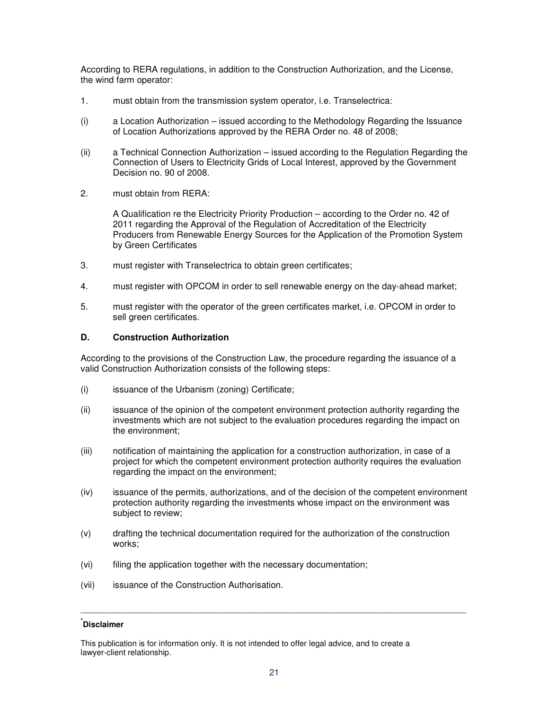According to RERA regulations, in addition to the Construction Authorization, and the License, the wind farm operator:

- 1. must obtain from the transmission system operator, i.e. Transelectrica:
- (i) a Location Authorization issued according to the Methodology Regarding the Issuance of Location Authorizations approved by the RERA Order no. 48 of 2008;
- (ii) a Technical Connection Authorization issued according to the Regulation Regarding the Connection of Users to Electricity Grids of Local Interest, approved by the Government Decision no. 90 of 2008.
- 2. must obtain from RERA:

A Qualification re the Electricity Priority Production – according to the Order no. 42 of 2011 regarding the Approval of the Regulation of Accreditation of the Electricity Producers from Renewable Energy Sources for the Application of the Promotion System by Green Certificates

- 3. must register with Transelectrica to obtain green certificates;
- 4. must register with OPCOM in order to sell renewable energy on the day-ahead market;
- 5. must register with the operator of the green certificates market, i.e. OPCOM in order to sell green certificates.

# **D. Construction Authorization**

According to the provisions of the Construction Law, the procedure regarding the issuance of a valid Construction Authorization consists of the following steps:

- (i) issuance of the Urbanism (zoning) Certificate;
- (ii) issuance of the opinion of the competent environment protection authority regarding the investments which are not subject to the evaluation procedures regarding the impact on the environment;
- (iii) notification of maintaining the application for a construction authorization, in case of a project for which the competent environment protection authority requires the evaluation regarding the impact on the environment;
- (iv) issuance of the permits, authorizations, and of the decision of the competent environment protection authority regarding the investments whose impact on the environment was subject to review;
- (v) drafting the technical documentation required for the authorization of the construction works;
- (vi) filing the application together with the necessary documentation;
- (vii) issuance of the Construction Authorisation.

# **\* Disclaimer**

This publication is for information only. It is not intended to offer legal advice, and to create a lawyer-client relationship.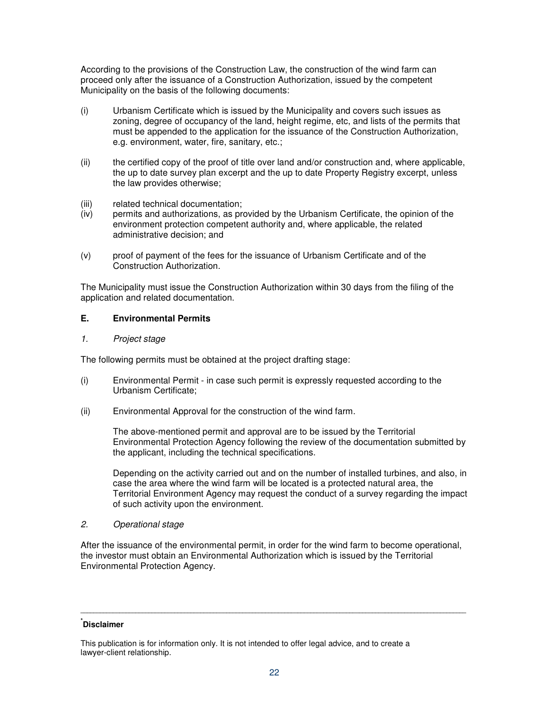According to the provisions of the Construction Law, the construction of the wind farm can proceed only after the issuance of a Construction Authorization, issued by the competent Municipality on the basis of the following documents:

- (i) Urbanism Certificate which is issued by the Municipality and covers such issues as zoning, degree of occupancy of the land, height regime, etc, and lists of the permits that must be appended to the application for the issuance of the Construction Authorization, e.g. environment, water, fire, sanitary, etc.;
- (ii) the certified copy of the proof of title over land and/or construction and, where applicable, the up to date survey plan excerpt and the up to date Property Registry excerpt, unless the law provides otherwise;
- (iii) related technical documentation;
- (iv) permits and authorizations, as provided by the Urbanism Certificate, the opinion of the environment protection competent authority and, where applicable, the related administrative decision; and
- (v) proof of payment of the fees for the issuance of Urbanism Certificate and of the Construction Authorization.

The Municipality must issue the Construction Authorization within 30 days from the filing of the application and related documentation.

# **E. Environmental Permits**

1. Project stage

The following permits must be obtained at the project drafting stage:

- (i) Environmental Permit in case such permit is expressly requested according to the Urbanism Certificate;
- (ii) Environmental Approval for the construction of the wind farm.

 The above-mentioned permit and approval are to be issued by the Territorial Environmental Protection Agency following the review of the documentation submitted by the applicant, including the technical specifications.

Depending on the activity carried out and on the number of installed turbines, and also, in case the area where the wind farm will be located is a protected natural area, the Territorial Environment Agency may request the conduct of a survey regarding the impact of such activity upon the environment.

2. Operational stage

After the issuance of the environmental permit, in order for the wind farm to become operational, the investor must obtain an Environmental Authorization which is issued by the Territorial Environmental Protection Agency.

# **\* Disclaimer**

This publication is for information only. It is not intended to offer legal advice, and to create a lawyer-client relationship.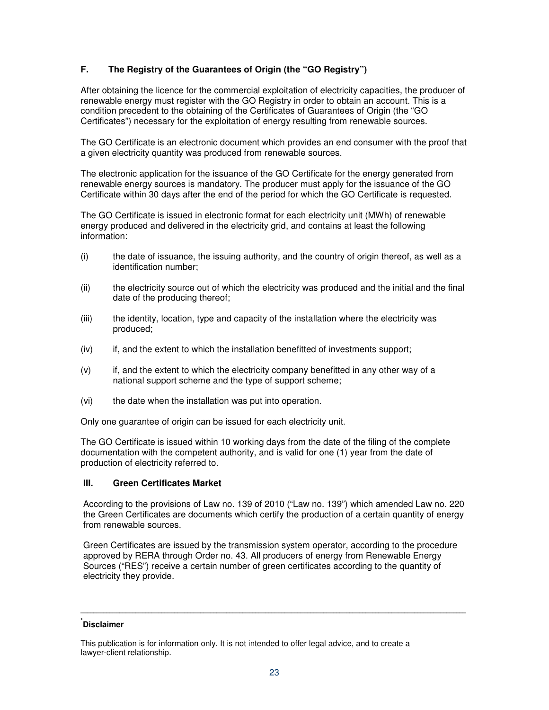# **F. The Registry of the Guarantees of Origin (the "GO Registry")**

After obtaining the licence for the commercial exploitation of electricity capacities, the producer of renewable energy must register with the GO Registry in order to obtain an account. This is a condition precedent to the obtaining of the Certificates of Guarantees of Origin (the "GO Certificates") necessary for the exploitation of energy resulting from renewable sources.

The GO Certificate is an electronic document which provides an end consumer with the proof that a given electricity quantity was produced from renewable sources.

The electronic application for the issuance of the GO Certificate for the energy generated from renewable energy sources is mandatory. The producer must apply for the issuance of the GO Certificate within 30 days after the end of the period for which the GO Certificate is requested.

The GO Certificate is issued in electronic format for each electricity unit (MWh) of renewable energy produced and delivered in the electricity grid, and contains at least the following information:

- (i)the date of issuance, the issuing authority, and the country of origin thereof, as well as a identification number;
- (ii) the electricity source out of which the electricity was produced and the initial and the final date of the producing thereof;
- (iii) the identity, location, type and capacity of the installation where the electricity was produced;
- (iv) if, and the extent to which the installation benefitted of investments support;
- (v) if, and the extent to which the electricity company benefitted in any other way of a national support scheme and the type of support scheme;
- (vi) the date when the installation was put into operation.

Only one guarantee of origin can be issued for each electricity unit.

The GO Certificate is issued within 10 working days from the date of the filing of the complete documentation with the competent authority, and is valid for one (1) year from the date of production of electricity referred to.

# **III. Green Certificates Market**

According to the provisions of Law no. 139 of 2010 ("Law no. 139") which amended Law no. 220 the Green Certificates are documents which certify the production of a certain quantity of energy from renewable sources.

Green Certificates are issued by the transmission system operator, according to the procedure approved by RERA through Order no. 43. All producers of energy from Renewable Energy Sources ("RES") receive a certain number of green certificates according to the quantity of electricity they provide.

# **\* Disclaimer**

This publication is for information only. It is not intended to offer legal advice, and to create a lawyer-client relationship.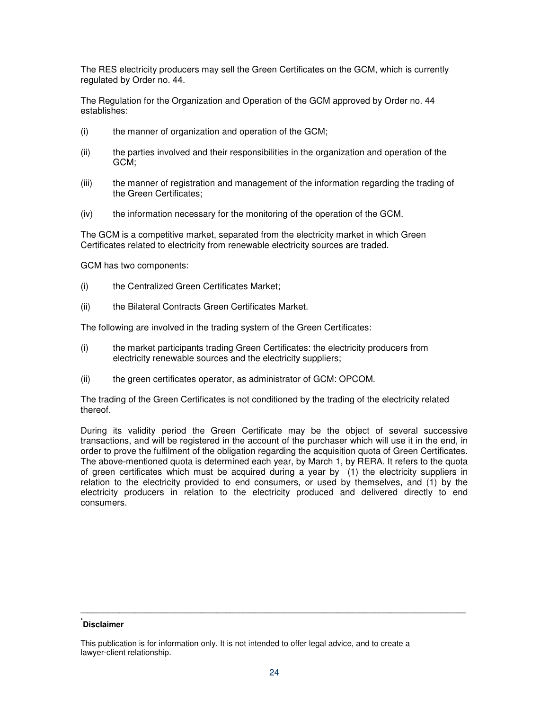The RES electricity producers may sell the Green Certificates on the GCM, which is currently regulated by Order no. 44.

The Regulation for the Organization and Operation of the GCM approved by Order no. 44 establishes:

- (i) the manner of organization and operation of the GCM;
- (ii) the parties involved and their responsibilities in the organization and operation of the GCM;
- (iii) the manner of registration and management of the information regarding the trading of the Green Certificates;
- (iv) the information necessary for the monitoring of the operation of the GCM.

The GCM is a competitive market, separated from the electricity market in which Green Certificates related to electricity from renewable electricity sources are traded.

GCM has two components:

- (i) the Centralized Green Certificates Market;
- (ii) the Bilateral Contracts Green Certificates Market.

The following are involved in the trading system of the Green Certificates:

- (i) the market participants trading Green Certificates: the electricity producers from electricity renewable sources and the electricity suppliers;
- (ii) the green certificates operator, as administrator of GCM: OPCOM.

The trading of the Green Certificates is not conditioned by the trading of the electricity related thereof.

During its validity period the Green Certificate may be the object of several successive transactions, and will be registered in the account of the purchaser which will use it in the end, in order to prove the fulfilment of the obligation regarding the acquisition quota of Green Certificates. The above-mentioned quota is determined each year, by March 1, by RERA. It refers to the quota of green certificates which must be acquired during a year by (1) the electricity suppliers in relation to the electricity provided to end consumers, or used by themselves, and (1) by the electricity producers in relation to the electricity produced and delivered directly to end consumers.

# **\* Disclaimer**

This publication is for information only. It is not intended to offer legal advice, and to create a lawyer-client relationship.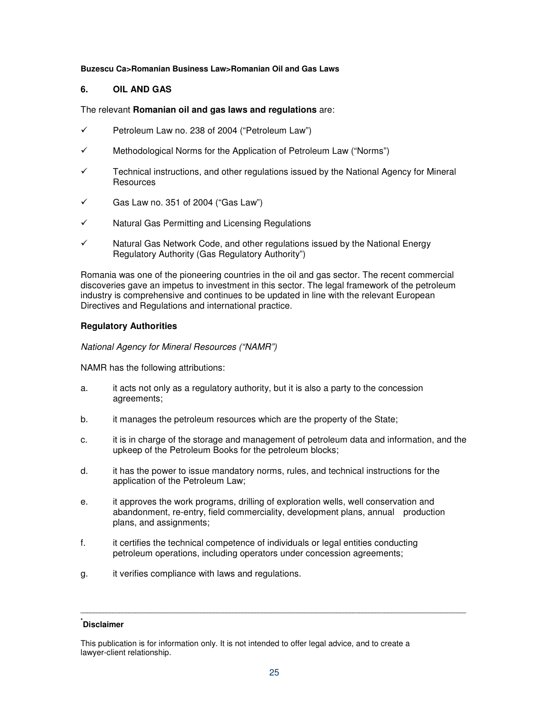### **Buzescu Ca>Romanian Business Law>Romanian Oil and Gas Laws**

# **6. OIL AND GAS**

# The relevant **Romanian oil and gas laws and regulations** are:

- $\checkmark$  Petroleum Law no. 238 of 2004 ("Petroleum Law")
- $\checkmark$  Methodological Norms for the Application of Petroleum Law ("Norms")
- $\checkmark$  Technical instructions, and other regulations issued by the National Agency for Mineral **Resources**
- $\checkmark$  Gas Law no. 351 of 2004 ("Gas Law")
- Natural Gas Permitting and Licensing Regulations
- $\checkmark$  Natural Gas Network Code, and other regulations issued by the National Energy Regulatory Authority (Gas Regulatory Authority")

Romania was one of the pioneering countries in the oil and gas sector. The recent commercial discoveries gave an impetus to investment in this sector. The legal framework of the petroleum industry is comprehensive and continues to be updated in line with the relevant European Directives and Regulations and international practice.

# **Regulatory Authorities**

National Agency for Mineral Resources ("NAMR")

NAMR has the following attributions:

- a. it acts not only as a regulatory authority, but it is also a party to the concession agreements;
- b. it manages the petroleum resources which are the property of the State;
- c. it is in charge of the storage and management of petroleum data and information, and the upkeep of the Petroleum Books for the petroleum blocks;
- d. it has the power to issue mandatory norms, rules, and technical instructions for the application of the Petroleum Law;
- e. it approves the work programs, drilling of exploration wells, well conservation and abandonment, re-entry, field commerciality, development plans, annual production plans, and assignments;
- f. it certifies the technical competence of individuals or legal entities conducting petroleum operations, including operators under concession agreements;
- g. it verifies compliance with laws and regulations.

# **\* Disclaimer**

This publication is for information only. It is not intended to offer legal advice, and to create a lawyer-client relationship.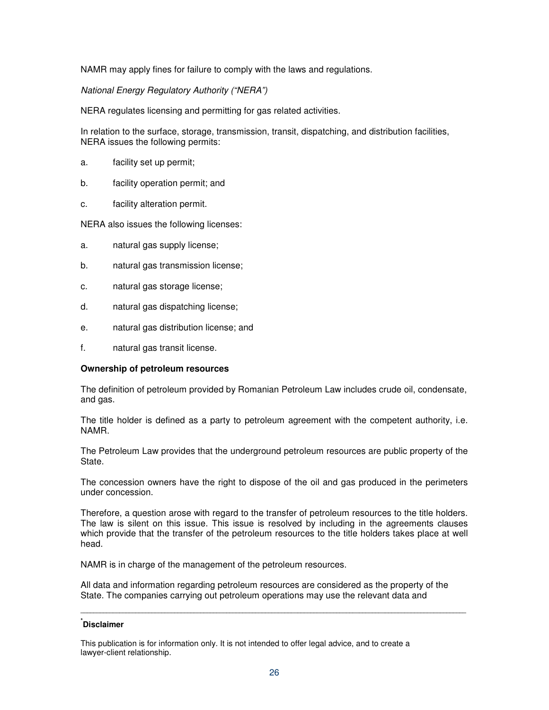NAMR may apply fines for failure to comply with the laws and regulations.

National Energy Regulatory Authority ("NERA")

NERA regulates licensing and permitting for gas related activities.

In relation to the surface, storage, transmission, transit, dispatching, and distribution facilities, NERA issues the following permits:

- a. facility set up permit;
- b. facility operation permit; and
- c. facility alteration permit.

NERA also issues the following licenses:

- a. natural gas supply license;
- b. natural gas transmission license;
- c. natural gas storage license;
- d. natural gas dispatching license;
- e. natural gas distribution license; and
- f. natural gas transit license.

### **Ownership of petroleum resources**

The definition of petroleum provided by Romanian Petroleum Law includes crude oil, condensate, and gas.

The title holder is defined as a party to petroleum agreement with the competent authority, i.e. NAMR.

The Petroleum Law provides that the underground petroleum resources are public property of the State.

The concession owners have the right to dispose of the oil and gas produced in the perimeters under concession.

Therefore, a question arose with regard to the transfer of petroleum resources to the title holders. The law is silent on this issue. This issue is resolved by including in the agreements clauses which provide that the transfer of the petroleum resources to the title holders takes place at well head.

NAMR is in charge of the management of the petroleum resources.

All data and information regarding petroleum resources are considered as the property of the State. The companies carrying out petroleum operations may use the relevant data and

**\_\_\_\_\_\_\_\_\_\_\_\_\_\_\_\_\_\_\_\_\_\_\_\_\_\_\_\_\_\_\_\_\_\_\_\_\_\_\_\_\_\_\_\_\_\_\_\_\_\_\_\_\_\_\_\_\_\_\_\_\_\_\_\_\_\_\_\_\_\_\_\_\_\_\_\_\_\_\_\_\_\_\_\_\_\_\_\_\_\_\_\_\_\_\_\_\_\_\_\_\_\_\_\_\_\_\_\_\_\_\_\_\_\_\_\_\_\_\_** 

# **\* Disclaimer**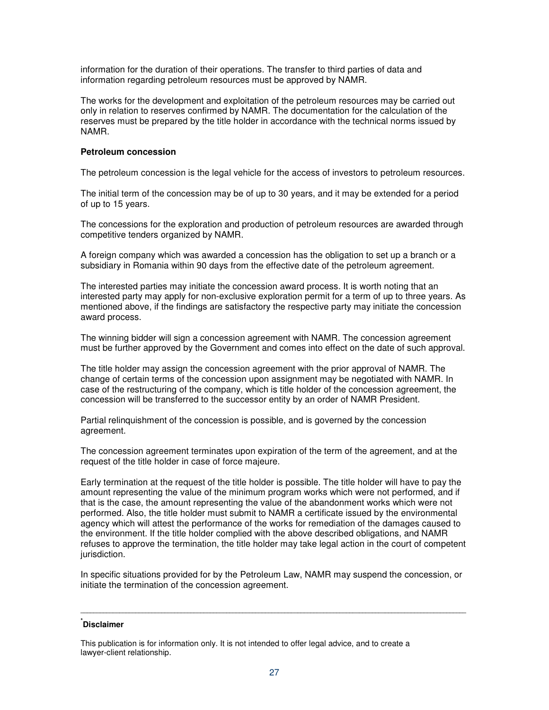information for the duration of their operations. The transfer to third parties of data and information regarding petroleum resources must be approved by NAMR.

The works for the development and exploitation of the petroleum resources may be carried out only in relation to reserves confirmed by NAMR. The documentation for the calculation of the reserves must be prepared by the title holder in accordance with the technical norms issued by NAMR.

### **Petroleum concession**

The petroleum concession is the legal vehicle for the access of investors to petroleum resources.

The initial term of the concession may be of up to 30 years, and it may be extended for a period of up to 15 years.

The concessions for the exploration and production of petroleum resources are awarded through competitive tenders organized by NAMR.

A foreign company which was awarded a concession has the obligation to set up a branch or a subsidiary in Romania within 90 days from the effective date of the petroleum agreement.

The interested parties may initiate the concession award process. It is worth noting that an interested party may apply for non-exclusive exploration permit for a term of up to three years. As mentioned above, if the findings are satisfactory the respective party may initiate the concession award process.

The winning bidder will sign a concession agreement with NAMR. The concession agreement must be further approved by the Government and comes into effect on the date of such approval.

The title holder may assign the concession agreement with the prior approval of NAMR. The change of certain terms of the concession upon assignment may be negotiated with NAMR. In case of the restructuring of the company, which is title holder of the concession agreement, the concession will be transferred to the successor entity by an order of NAMR President.

Partial relinquishment of the concession is possible, and is governed by the concession agreement.

The concession agreement terminates upon expiration of the term of the agreement, and at the request of the title holder in case of force majeure.

Early termination at the request of the title holder is possible. The title holder will have to pay the amount representing the value of the minimum program works which were not performed, and if that is the case, the amount representing the value of the abandonment works which were not performed. Also, the title holder must submit to NAMR a certificate issued by the environmental agency which will attest the performance of the works for remediation of the damages caused to the environment. If the title holder complied with the above described obligations, and NAMR refuses to approve the termination, the title holder may take legal action in the court of competent jurisdiction.

In specific situations provided for by the Petroleum Law, NAMR may suspend the concession, or initiate the termination of the concession agreement.

**\_\_\_\_\_\_\_\_\_\_\_\_\_\_\_\_\_\_\_\_\_\_\_\_\_\_\_\_\_\_\_\_\_\_\_\_\_\_\_\_\_\_\_\_\_\_\_\_\_\_\_\_\_\_\_\_\_\_\_\_\_\_\_\_\_\_\_\_\_\_\_\_\_\_\_\_\_\_\_\_\_\_\_\_\_\_\_\_\_\_\_\_\_\_\_\_\_\_\_\_\_\_\_\_\_\_\_\_\_\_\_\_\_\_\_\_\_\_\_** 

# **\* Disclaimer**

This publication is for information only. It is not intended to offer legal advice, and to create a lawyer-client relationship.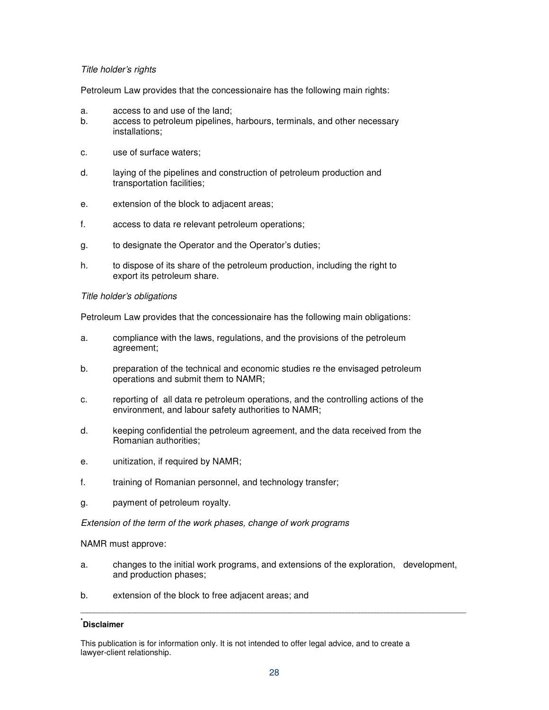# Title holder's rights

Petroleum Law provides that the concessionaire has the following main rights:

- a. access to and use of the land;
- b. access to petroleum pipelines, harbours, terminals, and other necessary installations;
- c. use of surface waters;
- d. laying of the pipelines and construction of petroleum production and transportation facilities;
- e. extension of the block to adjacent areas;
- f. access to data re relevant petroleum operations;
- g. to designate the Operator and the Operator's duties;
- h. to dispose of its share of the petroleum production, including the right to export its petroleum share.

# Title holder's obligations

Petroleum Law provides that the concessionaire has the following main obligations:

- a. compliance with the laws, regulations, and the provisions of the petroleum agreement;
- b. preparation of the technical and economic studies re the envisaged petroleum operations and submit them to NAMR;
- c. reporting of all data re petroleum operations, and the controlling actions of the environment, and labour safety authorities to NAMR;
- d. keeping confidential the petroleum agreement, and the data received from the Romanian authorities;
- e. unitization, if required by NAMR;
- f. training of Romanian personnel, and technology transfer;
- g. payment of petroleum royalty.

Extension of the term of the work phases, change of work programs

NAMR must approve:

- a. changes to the initial work programs, and extensions of the exploration, development, and production phases;
- b. extension of the block to free adjacent areas; and

# **\* Disclaimer**

This publication is for information only. It is not intended to offer legal advice, and to create a lawyer-client relationship.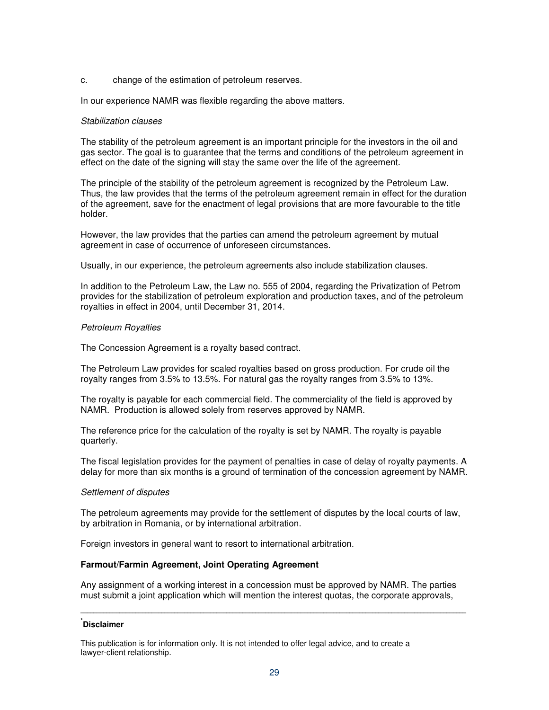#### c. change of the estimation of petroleum reserves.

In our experience NAMR was flexible regarding the above matters.

#### Stabilization clauses

The stability of the petroleum agreement is an important principle for the investors in the oil and gas sector. The goal is to guarantee that the terms and conditions of the petroleum agreement in effect on the date of the signing will stay the same over the life of the agreement.

The principle of the stability of the petroleum agreement is recognized by the Petroleum Law. Thus, the law provides that the terms of the petroleum agreement remain in effect for the duration of the agreement, save for the enactment of legal provisions that are more favourable to the title holder.

However, the law provides that the parties can amend the petroleum agreement by mutual agreement in case of occurrence of unforeseen circumstances.

Usually, in our experience, the petroleum agreements also include stabilization clauses.

In addition to the Petroleum Law, the Law no. 555 of 2004, regarding the Privatization of Petrom provides for the stabilization of petroleum exploration and production taxes, and of the petroleum royalties in effect in 2004, until December 31, 2014.

#### Petroleum Royalties

The Concession Agreement is a royalty based contract.

The Petroleum Law provides for scaled royalties based on gross production. For crude oil the royalty ranges from 3.5% to 13.5%. For natural gas the royalty ranges from 3.5% to 13%.

The royalty is payable for each commercial field. The commerciality of the field is approved by NAMR. Production is allowed solely from reserves approved by NAMR.

The reference price for the calculation of the royalty is set by NAMR. The royalty is payable quarterly.

The fiscal legislation provides for the payment of penalties in case of delay of royalty payments. A delay for more than six months is a ground of termination of the concession agreement by NAMR.

#### Settlement of disputes

The petroleum agreements may provide for the settlement of disputes by the local courts of law, by arbitration in Romania, or by international arbitration.

Foreign investors in general want to resort to international arbitration.

### **Farmout/Farmin Agreement, Joint Operating Agreement**

Any assignment of a working interest in a concession must be approved by NAMR. The parties must submit a joint application which will mention the interest quotas, the corporate approvals,

**\_\_\_\_\_\_\_\_\_\_\_\_\_\_\_\_\_\_\_\_\_\_\_\_\_\_\_\_\_\_\_\_\_\_\_\_\_\_\_\_\_\_\_\_\_\_\_\_\_\_\_\_\_\_\_\_\_\_\_\_\_\_\_\_\_\_\_\_\_\_\_\_\_\_\_\_\_\_\_\_\_\_\_\_\_\_\_\_\_\_\_\_\_\_\_\_\_\_\_\_\_\_\_\_\_\_\_\_\_\_\_\_\_\_\_\_\_\_\_** 

# **\* Disclaimer**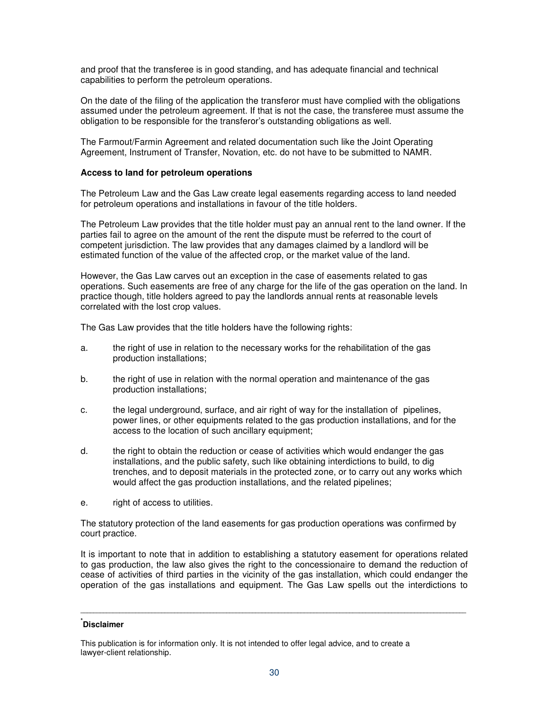and proof that the transferee is in good standing, and has adequate financial and technical capabilities to perform the petroleum operations.

On the date of the filing of the application the transferor must have complied with the obligations assumed under the petroleum agreement. If that is not the case, the transferee must assume the obligation to be responsible for the transferor's outstanding obligations as well.

The Farmout/Farmin Agreement and related documentation such like the Joint Operating Agreement, Instrument of Transfer, Novation, etc. do not have to be submitted to NAMR.

### **Access to land for petroleum operations**

The Petroleum Law and the Gas Law create legal easements regarding access to land needed for petroleum operations and installations in favour of the title holders.

The Petroleum Law provides that the title holder must pay an annual rent to the land owner. If the parties fail to agree on the amount of the rent the dispute must be referred to the court of competent jurisdiction. The law provides that any damages claimed by a landlord will be estimated function of the value of the affected crop, or the market value of the land.

However, the Gas Law carves out an exception in the case of easements related to gas operations. Such easements are free of any charge for the life of the gas operation on the land. In practice though, title holders agreed to pay the landlords annual rents at reasonable levels correlated with the lost crop values.

The Gas Law provides that the title holders have the following rights:

- a. the right of use in relation to the necessary works for the rehabilitation of the gas production installations;
- b. the right of use in relation with the normal operation and maintenance of the gas production installations;
- c. the legal underground, surface, and air right of way for the installation of pipelines, power lines, or other equipments related to the gas production installations, and for the access to the location of such ancillary equipment;
- d. the right to obtain the reduction or cease of activities which would endanger the gas installations, and the public safety, such like obtaining interdictions to build, to dig trenches, and to deposit materials in the protected zone, or to carry out any works which would affect the gas production installations, and the related pipelines;
- e. right of access to utilities.

The statutory protection of the land easements for gas production operations was confirmed by court practice.

It is important to note that in addition to establishing a statutory easement for operations related to gas production, the law also gives the right to the concessionaire to demand the reduction of cease of activities of third parties in the vicinity of the gas installation, which could endanger the operation of the gas installations and equipment. The Gas Law spells out the interdictions to

**\_\_\_\_\_\_\_\_\_\_\_\_\_\_\_\_\_\_\_\_\_\_\_\_\_\_\_\_\_\_\_\_\_\_\_\_\_\_\_\_\_\_\_\_\_\_\_\_\_\_\_\_\_\_\_\_\_\_\_\_\_\_\_\_\_\_\_\_\_\_\_\_\_\_\_\_\_\_\_\_\_\_\_\_\_\_\_\_\_\_\_\_\_\_\_\_\_\_\_\_\_\_\_\_\_\_\_\_\_\_\_\_\_\_\_\_\_\_\_** 

# **\* Disclaimer**

This publication is for information only. It is not intended to offer legal advice, and to create a lawyer-client relationship.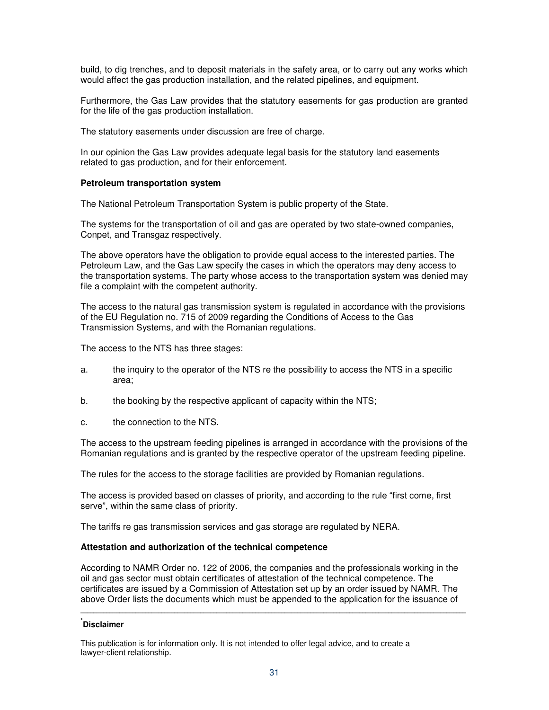build, to dig trenches, and to deposit materials in the safety area, or to carry out any works which would affect the gas production installation, and the related pipelines, and equipment.

Furthermore, the Gas Law provides that the statutory easements for gas production are granted for the life of the gas production installation.

The statutory easements under discussion are free of charge.

In our opinion the Gas Law provides adequate legal basis for the statutory land easements related to gas production, and for their enforcement.

# **Petroleum transportation system**

The National Petroleum Transportation System is public property of the State.

The systems for the transportation of oil and gas are operated by two state-owned companies, Conpet, and Transgaz respectively.

The above operators have the obligation to provide equal access to the interested parties. The Petroleum Law, and the Gas Law specify the cases in which the operators may deny access to the transportation systems. The party whose access to the transportation system was denied may file a complaint with the competent authority.

The access to the natural gas transmission system is regulated in accordance with the provisions of the EU Regulation no. 715 of 2009 regarding the Conditions of Access to the Gas Transmission Systems, and with the Romanian regulations.

The access to the NTS has three stages:

- a. the inquiry to the operator of the NTS re the possibility to access the NTS in a specific area;
- b. the booking by the respective applicant of capacity within the NTS;
- c. the connection to the NTS.

The access to the upstream feeding pipelines is arranged in accordance with the provisions of the Romanian regulations and is granted by the respective operator of the upstream feeding pipeline.

The rules for the access to the storage facilities are provided by Romanian regulations.

The access is provided based on classes of priority, and according to the rule "first come, first serve", within the same class of priority.

The tariffs re gas transmission services and gas storage are regulated by NERA.

# **Attestation and authorization of the technical competence**

According to NAMR Order no. 122 of 2006, the companies and the professionals working in the oil and gas sector must obtain certificates of attestation of the technical competence. The certificates are issued by a Commission of Attestation set up by an order issued by NAMR. The above Order lists the documents which must be appended to the application for the issuance of

**\_\_\_\_\_\_\_\_\_\_\_\_\_\_\_\_\_\_\_\_\_\_\_\_\_\_\_\_\_\_\_\_\_\_\_\_\_\_\_\_\_\_\_\_\_\_\_\_\_\_\_\_\_\_\_\_\_\_\_\_\_\_\_\_\_\_\_\_\_\_\_\_\_\_\_\_\_\_\_\_\_\_\_\_\_\_\_\_\_\_\_\_\_\_\_\_\_\_\_\_\_\_\_\_\_\_\_\_\_\_\_\_\_\_\_\_\_\_\_** 

# **\* Disclaimer**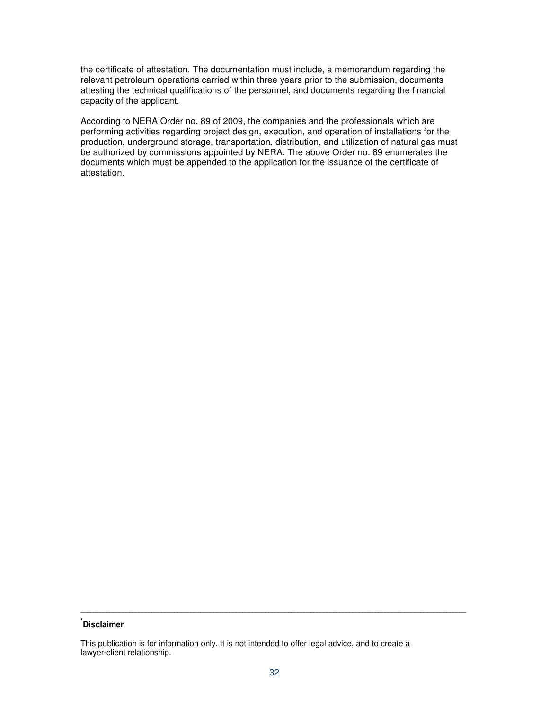the certificate of attestation. The documentation must include, a memorandum regarding the relevant petroleum operations carried within three years prior to the submission, documents attesting the technical qualifications of the personnel, and documents regarding the financial capacity of the applicant.

According to NERA Order no. 89 of 2009, the companies and the professionals which are performing activities regarding project design, execution, and operation of installations for the production, underground storage, transportation, distribution, and utilization of natural gas must be authorized by commissions appointed by NERA. The above Order no. 89 enumerates the documents which must be appended to the application for the issuance of the certificate of attestation.

# **\* Disclaimer**

This publication is for information only. It is not intended to offer legal advice, and to create a lawyer-client relationship.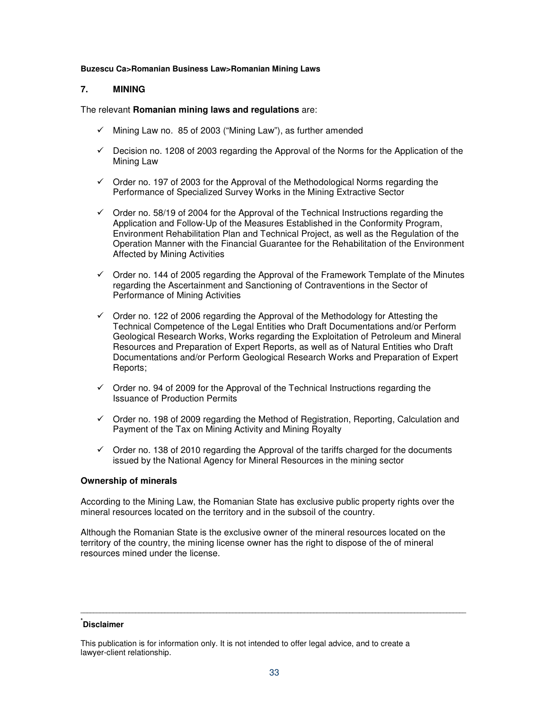#### **Buzescu Ca>Romanian Business Law>Romanian Mining Laws**

### **7. MINING**

The relevant **Romanian mining laws and regulations** are:

- $\checkmark$  Mining Law no. 85 of 2003 ("Mining Law"), as further amended
- $\checkmark$  Decision no. 1208 of 2003 regarding the Approval of the Norms for the Application of the Mining Law
- $\checkmark$  Order no. 197 of 2003 for the Approval of the Methodological Norms regarding the Performance of Specialized Survey Works in the Mining Extractive Sector
- $\checkmark$  Order no. 58/19 of 2004 for the Approval of the Technical Instructions regarding the Application and Follow-Up of the Measures Established in the Conformity Program, Environment Rehabilitation Plan and Technical Project, as well as the Regulation of the Operation Manner with the Financial Guarantee for the Rehabilitation of the Environment Affected by Mining Activities
- $\checkmark$  Order no. 144 of 2005 regarding the Approval of the Framework Template of the Minutes regarding the Ascertainment and Sanctioning of Contraventions in the Sector of Performance of Mining Activities
- $\checkmark$  Order no. 122 of 2006 regarding the Approval of the Methodology for Attesting the Technical Competence of the Legal Entities who Draft Documentations and/or Perform Geological Research Works, Works regarding the Exploitation of Petroleum and Mineral Resources and Preparation of Expert Reports, as well as of Natural Entities who Draft Documentations and/or Perform Geological Research Works and Preparation of Expert Reports;
- $\checkmark$  Order no. 94 of 2009 for the Approval of the Technical Instructions regarding the Issuance of Production Permits
- $\checkmark$  Order no. 198 of 2009 regarding the Method of Registration, Reporting, Calculation and Payment of the Tax on Mining Activity and Mining Royalty
- $\checkmark$  Order no. 138 of 2010 regarding the Approval of the tariffs charged for the documents issued by the National Agency for Mineral Resources in the mining sector

### **Ownership of minerals**

According to the Mining Law, the Romanian State has exclusive public property rights over the mineral resources located on the territory and in the subsoil of the country.

Although the Romanian State is the exclusive owner of the mineral resources located on the territory of the country, the mining license owner has the right to dispose of the of mineral resources mined under the license.

# **\* Disclaimer**

This publication is for information only. It is not intended to offer legal advice, and to create a lawyer-client relationship.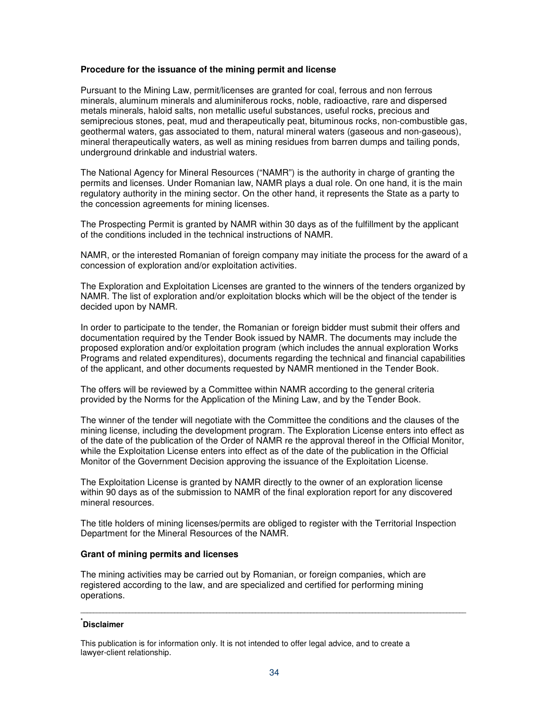### **Procedure for the issuance of the mining permit and license**

Pursuant to the Mining Law, permit/licenses are granted for coal, ferrous and non ferrous minerals, aluminum minerals and aluminiferous rocks, noble, radioactive, rare and dispersed metals minerals, haloid salts, non metallic useful substances, useful rocks, precious and semiprecious stones, peat, mud and therapeutically peat, bituminous rocks, non-combustible gas, geothermal waters, gas associated to them, natural mineral waters (gaseous and non-gaseous), mineral therapeutically waters, as well as mining residues from barren dumps and tailing ponds, underground drinkable and industrial waters.

The National Agency for Mineral Resources ("NAMR") is the authority in charge of granting the permits and licenses. Under Romanian law, NAMR plays a dual role. On one hand, it is the main regulatory authority in the mining sector. On the other hand, it represents the State as a party to the concession agreements for mining licenses.

The Prospecting Permit is granted by NAMR within 30 days as of the fulfillment by the applicant of the conditions included in the technical instructions of NAMR.

NAMR, or the interested Romanian of foreign company may initiate the process for the award of a concession of exploration and/or exploitation activities.

The Exploration and Exploitation Licenses are granted to the winners of the tenders organized by NAMR. The list of exploration and/or exploitation blocks which will be the object of the tender is decided upon by NAMR.

In order to participate to the tender, the Romanian or foreign bidder must submit their offers and documentation required by the Tender Book issued by NAMR. The documents may include the proposed exploration and/or exploitation program (which includes the annual exploration Works Programs and related expenditures), documents regarding the technical and financial capabilities of the applicant, and other documents requested by NAMR mentioned in the Tender Book.

The offers will be reviewed by a Committee within NAMR according to the general criteria provided by the Norms for the Application of the Mining Law, and by the Tender Book.

The winner of the tender will negotiate with the Committee the conditions and the clauses of the mining license, including the development program. The Exploration License enters into effect as of the date of the publication of the Order of NAMR re the approval thereof in the Official Monitor, while the Exploitation License enters into effect as of the date of the publication in the Official Monitor of the Government Decision approving the issuance of the Exploitation License.

The Exploitation License is granted by NAMR directly to the owner of an exploration license within 90 days as of the submission to NAMR of the final exploration report for any discovered mineral resources.

The title holders of mining licenses/permits are obliged to register with the Territorial Inspection Department for the Mineral Resources of the NAMR.

### **Grant of mining permits and licenses**

The mining activities may be carried out by Romanian, or foreign companies, which are registered according to the law, and are specialized and certified for performing mining operations.

# **\* Disclaimer**

This publication is for information only. It is not intended to offer legal advice, and to create a lawyer-client relationship.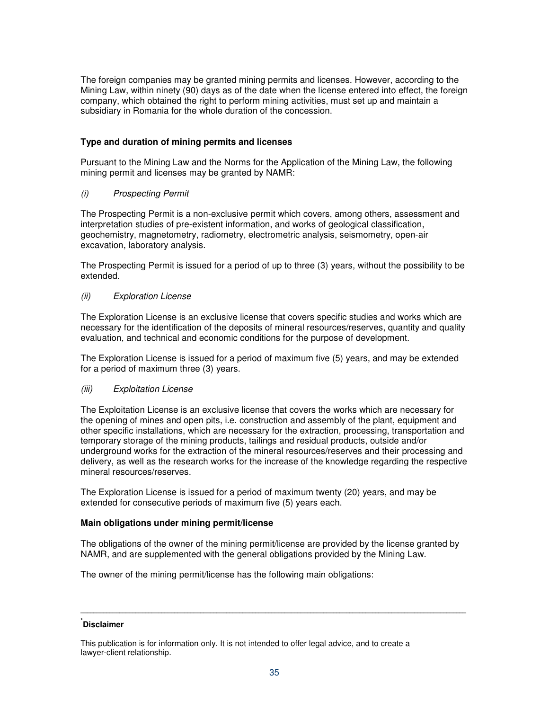The foreign companies may be granted mining permits and licenses. However, according to the Mining Law, within ninety (90) days as of the date when the license entered into effect, the foreign company, which obtained the right to perform mining activities, must set up and maintain a subsidiary in Romania for the whole duration of the concession.

## **Type and duration of mining permits and licenses**

Pursuant to the Mining Law and the Norms for the Application of the Mining Law, the following mining permit and licenses may be granted by NAMR:

## (i) Prospecting Permit

The Prospecting Permit is a non-exclusive permit which covers, among others, assessment and interpretation studies of pre-existent information, and works of geological classification, geochemistry, magnetometry, radiometry, electrometric analysis, seismometry, open-air excavation, laboratory analysis.

The Prospecting Permit is issued for a period of up to three (3) years, without the possibility to be extended.

## (ii) Exploration License

The Exploration License is an exclusive license that covers specific studies and works which are necessary for the identification of the deposits of mineral resources/reserves, quantity and quality evaluation, and technical and economic conditions for the purpose of development.

The Exploration License is issued for a period of maximum five (5) years, and may be extended for a period of maximum three (3) years.

### (iii) Exploitation License

The Exploitation License is an exclusive license that covers the works which are necessary for the opening of mines and open pits, i.e. construction and assembly of the plant, equipment and other specific installations, which are necessary for the extraction, processing, transportation and temporary storage of the mining products, tailings and residual products, outside and/or underground works for the extraction of the mineral resources/reserves and their processing and delivery, as well as the research works for the increase of the knowledge regarding the respective mineral resources/reserves.

The Exploration License is issued for a period of maximum twenty (20) years, and may be extended for consecutive periods of maximum five (5) years each.

### **Main obligations under mining permit/license**

The obligations of the owner of the mining permit/license are provided by the license granted by NAMR, and are supplemented with the general obligations provided by the Mining Law.

The owner of the mining permit/license has the following main obligations:

## **\* Disclaimer**

This publication is for information only. It is not intended to offer legal advice, and to create a lawyer-client relationship.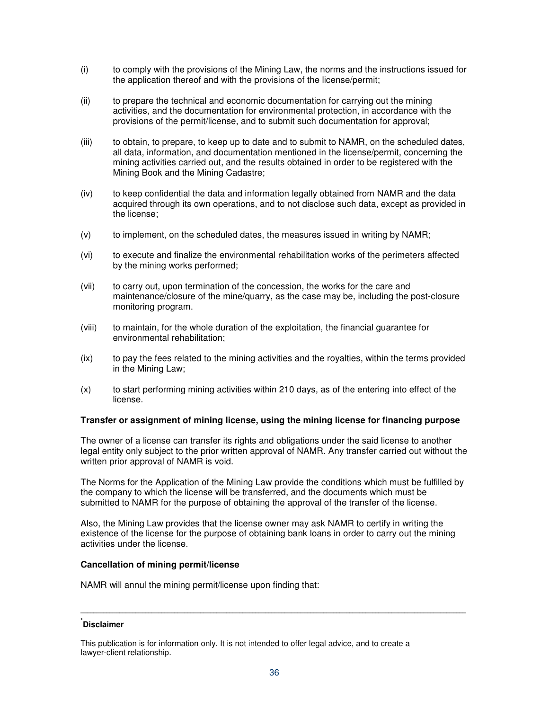- (i) to comply with the provisions of the Mining Law, the norms and the instructions issued for the application thereof and with the provisions of the license/permit;
- (ii) to prepare the technical and economic documentation for carrying out the mining activities, and the documentation for environmental protection, in accordance with the provisions of the permit/license, and to submit such documentation for approval;
- (iii) to obtain, to prepare, to keep up to date and to submit to NAMR, on the scheduled dates, all data, information, and documentation mentioned in the license/permit, concerning the mining activities carried out, and the results obtained in order to be registered with the Mining Book and the Mining Cadastre;
- (iv) to keep confidential the data and information legally obtained from NAMR and the data acquired through its own operations, and to not disclose such data, except as provided in the license;
- (v) to implement, on the scheduled dates, the measures issued in writing by NAMR;
- (vi) to execute and finalize the environmental rehabilitation works of the perimeters affected by the mining works performed;
- (vii) to carry out, upon termination of the concession, the works for the care and maintenance/closure of the mine/quarry, as the case may be, including the post-closure monitoring program.
- (viii) to maintain, for the whole duration of the exploitation, the financial guarantee for environmental rehabilitation;
- (ix) to pay the fees related to the mining activities and the royalties, within the terms provided in the Mining Law;
- (x) to start performing mining activities within 210 days, as of the entering into effect of the license.

### **Transfer or assignment of mining license, using the mining license for financing purpose**

The owner of a license can transfer its rights and obligations under the said license to another legal entity only subject to the prior written approval of NAMR. Any transfer carried out without the written prior approval of NAMR is void.

The Norms for the Application of the Mining Law provide the conditions which must be fulfilled by the company to which the license will be transferred, and the documents which must be submitted to NAMR for the purpose of obtaining the approval of the transfer of the license.

Also, the Mining Law provides that the license owner may ask NAMR to certify in writing the existence of the license for the purpose of obtaining bank loans in order to carry out the mining activities under the license.

### **Cancellation of mining permit/license**

NAMR will annul the mining permit/license upon finding that:

## **\* Disclaimer**

This publication is for information only. It is not intended to offer legal advice, and to create a lawyer-client relationship.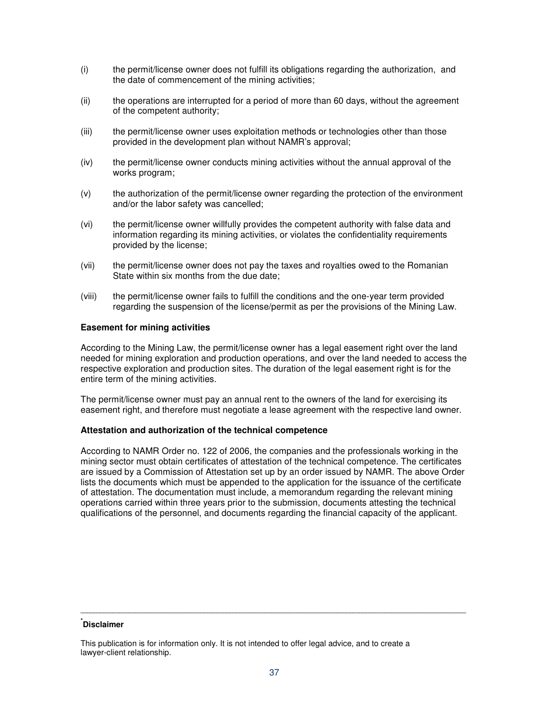- (i) the permit/license owner does not fulfill its obligations regarding the authorization, and the date of commencement of the mining activities;
- (ii) the operations are interrupted for a period of more than 60 days, without the agreement of the competent authority;
- (iii) the permit/license owner uses exploitation methods or technologies other than those provided in the development plan without NAMR's approval;
- (iv) the permit/license owner conducts mining activities without the annual approval of the works program;
- (v) the authorization of the permit/license owner regarding the protection of the environment and/or the labor safety was cancelled;
- (vi) the permit/license owner willfully provides the competent authority with false data and information regarding its mining activities, or violates the confidentiality requirements provided by the license;
- (vii) the permit/license owner does not pay the taxes and royalties owed to the Romanian State within six months from the due date;
- (viii) the permit/license owner fails to fulfill the conditions and the one-year term provided regarding the suspension of the license/permit as per the provisions of the Mining Law.

### **Easement for mining activities**

According to the Mining Law, the permit/license owner has a legal easement right over the land needed for mining exploration and production operations, and over the land needed to access the respective exploration and production sites. The duration of the legal easement right is for the entire term of the mining activities.

The permit/license owner must pay an annual rent to the owners of the land for exercising its easement right, and therefore must negotiate a lease agreement with the respective land owner.

### **Attestation and authorization of the technical competence**

According to NAMR Order no. 122 of 2006, the companies and the professionals working in the mining sector must obtain certificates of attestation of the technical competence. The certificates are issued by a Commission of Attestation set up by an order issued by NAMR. The above Order lists the documents which must be appended to the application for the issuance of the certificate of attestation. The documentation must include, a memorandum regarding the relevant mining operations carried within three years prior to the submission, documents attesting the technical qualifications of the personnel, and documents regarding the financial capacity of the applicant.

## **\* Disclaimer**

This publication is for information only. It is not intended to offer legal advice, and to create a lawyer-client relationship.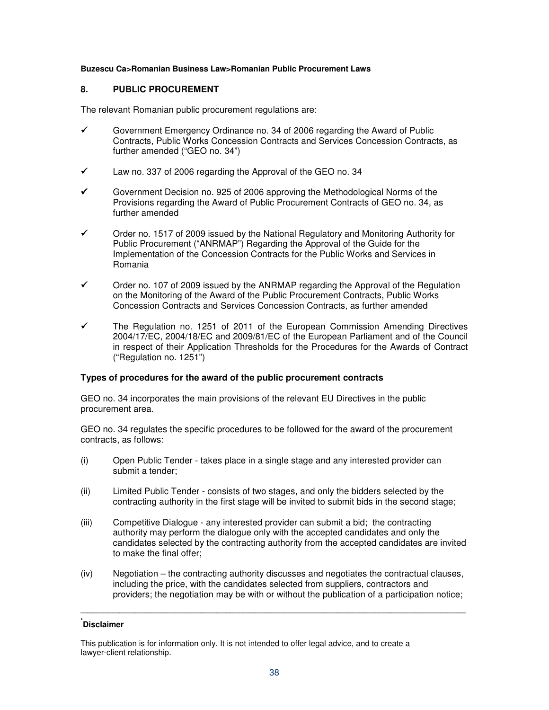### **Buzescu Ca>Romanian Business Law>Romanian Public Procurement Laws**

## **8. PUBLIC PROCUREMENT**

The relevant Romanian public procurement regulations are:

- $\checkmark$  Government Emergency Ordinance no. 34 of 2006 regarding the Award of Public Contracts, Public Works Concession Contracts and Services Concession Contracts, as further amended ("GEO no. 34")
- $\checkmark$  Law no. 337 of 2006 regarding the Approval of the GEO no. 34
- Government Decision no. 925 of 2006 approving the Methodological Norms of the Provisions regarding the Award of Public Procurement Contracts of GEO no. 34, as further amended
- $\checkmark$  Order no. 1517 of 2009 issued by the National Regulatory and Monitoring Authority for Public Procurement ("ANRMAP") Regarding the Approval of the Guide for the Implementation of the Concession Contracts for the Public Works and Services in Romania
- $\checkmark$  Order no. 107 of 2009 issued by the ANRMAP regarding the Approval of the Regulation on the Monitoring of the Award of the Public Procurement Contracts, Public Works Concession Contracts and Services Concession Contracts, as further amended
- $\checkmark$  The Regulation no. 1251 of 2011 of the European Commission Amending Directives 2004/17/EC, 2004/18/EC and 2009/81/EC of the European Parliament and of the Council in respect of their Application Thresholds for the Procedures for the Awards of Contract ("Regulation no. 1251")

### **Types of procedures for the award of the public procurement contracts**

GEO no. 34 incorporates the main provisions of the relevant EU Directives in the public procurement area.

GEO no. 34 regulates the specific procedures to be followed for the award of the procurement contracts, as follows:

- (i) Open Public Tender takes place in a single stage and any interested provider can submit a tender;
- (ii) Limited Public Tender consists of two stages, and only the bidders selected by the contracting authority in the first stage will be invited to submit bids in the second stage;
- (iii) Competitive Dialogue any interested provider can submit a bid; the contracting authority may perform the dialogue only with the accepted candidates and only the candidates selected by the contracting authority from the accepted candidates are invited to make the final offer;
- (iv) Negotiation the contracting authority discusses and negotiates the contractual clauses, including the price, with the candidates selected from suppliers, contractors and providers; the negotiation may be with or without the publication of a participation notice;

**\_\_\_\_\_\_\_\_\_\_\_\_\_\_\_\_\_\_\_\_\_\_\_\_\_\_\_\_\_\_\_\_\_\_\_\_\_\_\_\_\_\_\_\_\_\_\_\_\_\_\_\_\_\_\_\_\_\_\_\_\_\_\_\_\_\_\_\_\_\_\_\_\_\_\_\_\_\_\_\_\_\_\_\_\_\_\_\_\_\_\_\_\_\_\_\_\_\_\_\_\_\_\_\_\_\_\_\_\_\_\_\_\_\_\_\_\_\_\_** 

This publication is for information only. It is not intended to offer legal advice, and to create a lawyer-client relationship.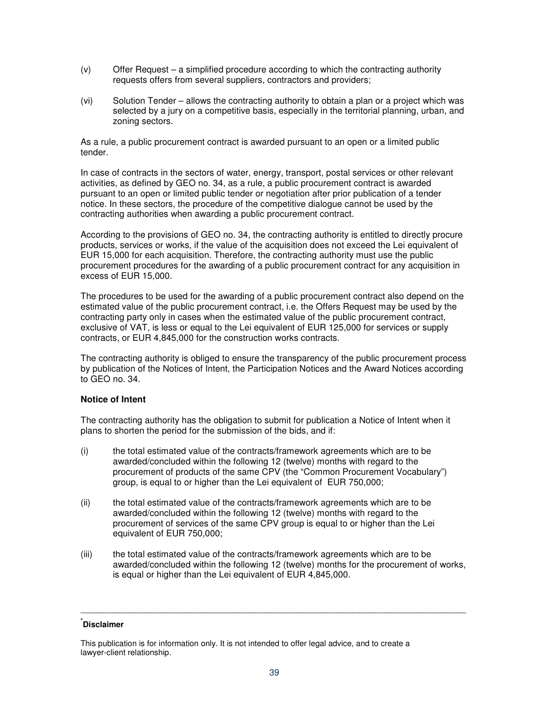- (v) Offer Request a simplified procedure according to which the contracting authority requests offers from several suppliers, contractors and providers;
- (vi) Solution Tender allows the contracting authority to obtain a plan or a project which was selected by a jury on a competitive basis, especially in the territorial planning, urban, and zoning sectors.

As a rule, a public procurement contract is awarded pursuant to an open or a limited public tender.

In case of contracts in the sectors of water, energy, transport, postal services or other relevant activities, as defined by GEO no. 34, as a rule, a public procurement contract is awarded pursuant to an open or limited public tender or negotiation after prior publication of a tender notice. In these sectors, the procedure of the competitive dialogue cannot be used by the contracting authorities when awarding a public procurement contract.

According to the provisions of GEO no. 34, the contracting authority is entitled to directly procure products, services or works, if the value of the acquisition does not exceed the Lei equivalent of EUR 15,000 for each acquisition. Therefore, the contracting authority must use the public procurement procedures for the awarding of a public procurement contract for any acquisition in excess of EUR 15,000.

The procedures to be used for the awarding of a public procurement contract also depend on the estimated value of the public procurement contract, i.e. the Offers Request may be used by the contracting party only in cases when the estimated value of the public procurement contract, exclusive of VAT, is less or equal to the Lei equivalent of EUR 125,000 for services or supply contracts, or EUR 4,845,000 for the construction works contracts.

The contracting authority is obliged to ensure the transparency of the public procurement process by publication of the Notices of Intent, the Participation Notices and the Award Notices according to GEO no. 34.

### **Notice of Intent**

The contracting authority has the obligation to submit for publication a Notice of Intent when it plans to shorten the period for the submission of the bids, and if:

- (i) the total estimated value of the contracts/framework agreements which are to be awarded/concluded within the following 12 (twelve) months with regard to the procurement of products of the same CPV (the "Common Procurement Vocabulary") group, is equal to or higher than the Lei equivalent of EUR 750,000;
- (ii) the total estimated value of the contracts/framework agreements which are to be awarded/concluded within the following 12 (twelve) months with regard to the procurement of services of the same CPV group is equal to or higher than the Lei equivalent of EUR 750,000;
- (iii) the total estimated value of the contracts/framework agreements which are to be awarded/concluded within the following 12 (twelve) months for the procurement of works, is equal or higher than the Lei equivalent of EUR 4,845,000.

**\_\_\_\_\_\_\_\_\_\_\_\_\_\_\_\_\_\_\_\_\_\_\_\_\_\_\_\_\_\_\_\_\_\_\_\_\_\_\_\_\_\_\_\_\_\_\_\_\_\_\_\_\_\_\_\_\_\_\_\_\_\_\_\_\_\_\_\_\_\_\_\_\_\_\_\_\_\_\_\_\_\_\_\_\_\_\_\_\_\_\_\_\_\_\_\_\_\_\_\_\_\_\_\_\_\_\_\_\_\_\_\_\_\_\_\_\_\_\_** 

This publication is for information only. It is not intended to offer legal advice, and to create a lawyer-client relationship.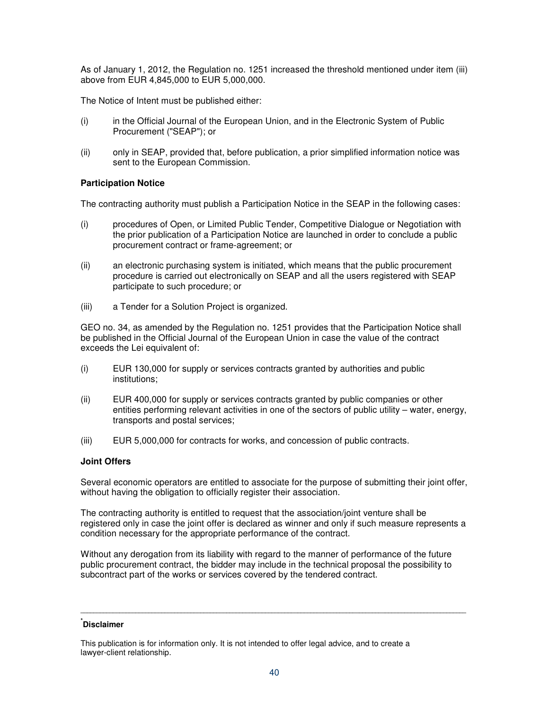As of January 1, 2012, the Regulation no. 1251 increased the threshold mentioned under item (iii) above from EUR 4,845,000 to EUR 5,000,000.

The Notice of Intent must be published either:

- (i) in the Official Journal of the European Union, and in the Electronic System of Public Procurement ("SEAP"); or
- (ii) only in SEAP, provided that, before publication, a prior simplified information notice was sent to the European Commission.

## **Participation Notice**

The contracting authority must publish a Participation Notice in the SEAP in the following cases:

- (i) procedures of Open, or Limited Public Tender, Competitive Dialogue or Negotiation with the prior publication of a Participation Notice are launched in order to conclude a public procurement contract or frame-agreement; or
- (ii) an electronic purchasing system is initiated, which means that the public procurement procedure is carried out electronically on SEAP and all the users registered with SEAP participate to such procedure; or
- (iii) a Tender for a Solution Project is organized.

GEO no. 34, as amended by the Regulation no. 1251 provides that the Participation Notice shall be published in the Official Journal of the European Union in case the value of the contract exceeds the Lei equivalent of:

- (i) EUR 130,000 for supply or services contracts granted by authorities and public institutions;
- (ii) EUR 400,000 for supply or services contracts granted by public companies or other entities performing relevant activities in one of the sectors of public utility – water, energy, transports and postal services;
- (iii) EUR 5,000,000 for contracts for works, and concession of public contracts.

### **Joint Offers**

Several economic operators are entitled to associate for the purpose of submitting their joint offer, without having the obligation to officially register their association.

The contracting authority is entitled to request that the association/joint venture shall be registered only in case the joint offer is declared as winner and only if such measure represents a condition necessary for the appropriate performance of the contract.

Without any derogation from its liability with regard to the manner of performance of the future public procurement contract, the bidder may include in the technical proposal the possibility to subcontract part of the works or services covered by the tendered contract.

## **\* Disclaimer**

This publication is for information only. It is not intended to offer legal advice, and to create a lawyer-client relationship.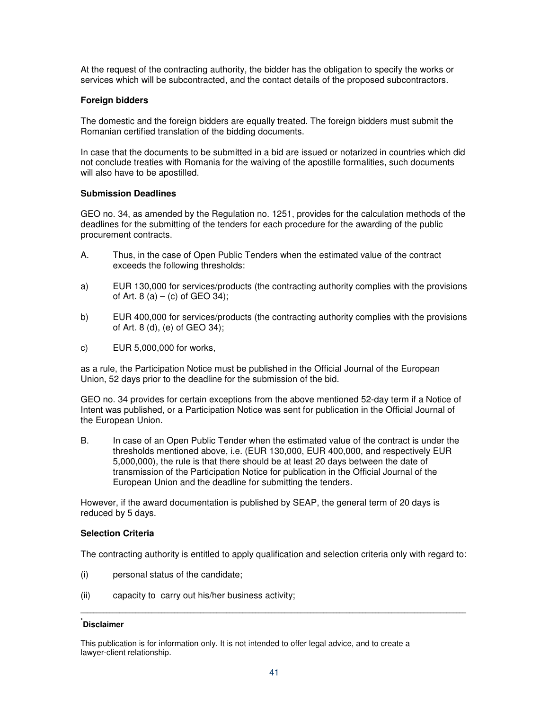At the request of the contracting authority, the bidder has the obligation to specify the works or services which will be subcontracted, and the contact details of the proposed subcontractors.

## **Foreign bidders**

The domestic and the foreign bidders are equally treated. The foreign bidders must submit the Romanian certified translation of the bidding documents.

In case that the documents to be submitted in a bid are issued or notarized in countries which did not conclude treaties with Romania for the waiving of the apostille formalities, such documents will also have to be apostilled.

## **Submission Deadlines**

GEO no. 34, as amended by the Regulation no. 1251, provides for the calculation methods of the deadlines for the submitting of the tenders for each procedure for the awarding of the public procurement contracts.

- A. Thus, in the case of Open Public Tenders when the estimated value of the contract exceeds the following thresholds:
- a) EUR 130,000 for services/products (the contracting authority complies with the provisions of Art. 8 (a) – (c) of GEO 34);
- b) EUR 400,000 for services/products (the contracting authority complies with the provisions of Art. 8 (d), (e) of GEO 34);
- c) EUR 5,000,000 for works,

as a rule, the Participation Notice must be published in the Official Journal of the European Union, 52 days prior to the deadline for the submission of the bid.

GEO no. 34 provides for certain exceptions from the above mentioned 52-day term if a Notice of Intent was published, or a Participation Notice was sent for publication in the Official Journal of the European Union.

B. In case of an Open Public Tender when the estimated value of the contract is under the thresholds mentioned above, i.e. (EUR 130,000, EUR 400,000, and respectively EUR 5,000,000), the rule is that there should be at least 20 days between the date of transmission of the Participation Notice for publication in the Official Journal of the European Union and the deadline for submitting the tenders.

However, if the award documentation is published by SEAP, the general term of 20 days is reduced by 5 days.

### **Selection Criteria**

The contracting authority is entitled to apply qualification and selection criteria only with regard to:

**\_\_\_\_\_\_\_\_\_\_\_\_\_\_\_\_\_\_\_\_\_\_\_\_\_\_\_\_\_\_\_\_\_\_\_\_\_\_\_\_\_\_\_\_\_\_\_\_\_\_\_\_\_\_\_\_\_\_\_\_\_\_\_\_\_\_\_\_\_\_\_\_\_\_\_\_\_\_\_\_\_\_\_\_\_\_\_\_\_\_\_\_\_\_\_\_\_\_\_\_\_\_\_\_\_\_\_\_\_\_\_\_\_\_\_\_\_\_\_** 

- (i) personal status of the candidate;
- (ii) capacity to carry out his/her business activity;

## **\* Disclaimer**

This publication is for information only. It is not intended to offer legal advice, and to create a lawyer-client relationship.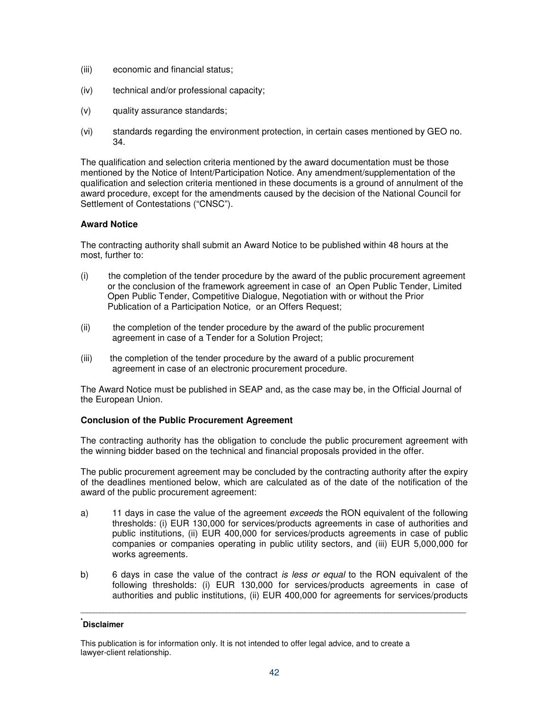- (iii) economic and financial status;
- (iv) technical and/or professional capacity;
- (v) quality assurance standards;
- (vi) standards regarding the environment protection, in certain cases mentioned by GEO no. 34.

The qualification and selection criteria mentioned by the award documentation must be those mentioned by the Notice of Intent/Participation Notice. Any amendment/supplementation of the qualification and selection criteria mentioned in these documents is a ground of annulment of the award procedure, except for the amendments caused by the decision of the National Council for Settlement of Contestations ("CNSC").

## **Award Notice**

The contracting authority shall submit an Award Notice to be published within 48 hours at the most, further to:

- (i) the completion of the tender procedure by the award of the public procurement agreement or the conclusion of the framework agreement in case of an Open Public Tender, Limited Open Public Tender, Competitive Dialogue, Negotiation with or without the Prior Publication of a Participation Notice, or an Offers Request;
- (ii) the completion of the tender procedure by the award of the public procurement agreement in case of a Tender for a Solution Project;
- (iii) the completion of the tender procedure by the award of a public procurement agreement in case of an electronic procurement procedure.

The Award Notice must be published in SEAP and, as the case may be, in the Official Journal of the European Union.

## **Conclusion of the Public Procurement Agreement**

The contracting authority has the obligation to conclude the public procurement agreement with the winning bidder based on the technical and financial proposals provided in the offer.

The public procurement agreement may be concluded by the contracting authority after the expiry of the deadlines mentioned below, which are calculated as of the date of the notification of the award of the public procurement agreement:

- a) 11 days in case the value of the agreement *exceeds* the RON equivalent of the following thresholds: (i) EUR 130,000 for services/products agreements in case of authorities and public institutions, (ii) EUR 400,000 for services/products agreements in case of public companies or companies operating in public utility sectors, and (iii) EUR 5,000,000 for works agreements.
- b) 6 days in case the value of the contract is less or equal to the RON equivalent of the following thresholds: (i) EUR 130,000 for services/products agreements in case of authorities and public institutions, (ii) EUR 400,000 for agreements for services/products

**\_\_\_\_\_\_\_\_\_\_\_\_\_\_\_\_\_\_\_\_\_\_\_\_\_\_\_\_\_\_\_\_\_\_\_\_\_\_\_\_\_\_\_\_\_\_\_\_\_\_\_\_\_\_\_\_\_\_\_\_\_\_\_\_\_\_\_\_\_\_\_\_\_\_\_\_\_\_\_\_\_\_\_\_\_\_\_\_\_\_\_\_\_\_\_\_\_\_\_\_\_\_\_\_\_\_\_\_\_\_\_\_\_\_\_\_\_\_\_** 

This publication is for information only. It is not intended to offer legal advice, and to create a lawyer-client relationship.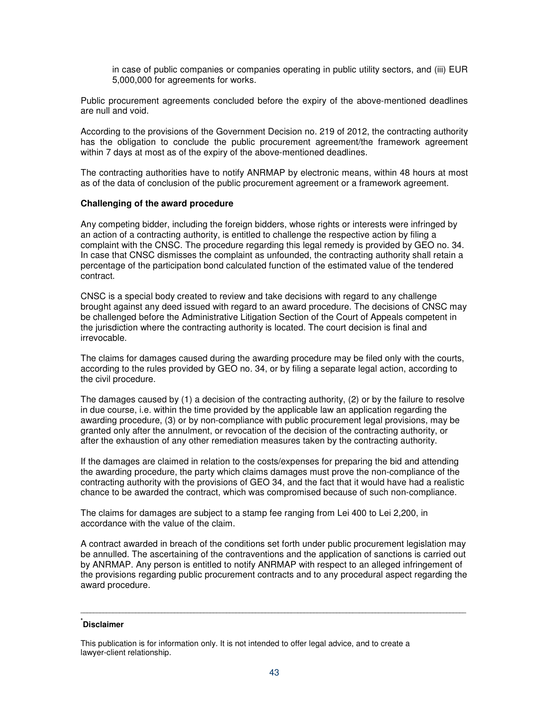in case of public companies or companies operating in public utility sectors, and (iii) EUR 5,000,000 for agreements for works.

Public procurement agreements concluded before the expiry of the above-mentioned deadlines are null and void.

According to the provisions of the Government Decision no. 219 of 2012, the contracting authority has the obligation to conclude the public procurement agreement/the framework agreement within 7 days at most as of the expiry of the above-mentioned deadlines.

The contracting authorities have to notify ANRMAP by electronic means, within 48 hours at most as of the data of conclusion of the public procurement agreement or a framework agreement.

### **Challenging of the award procedure**

Any competing bidder, including the foreign bidders, whose rights or interests were infringed by an action of a contracting authority, is entitled to challenge the respective action by filing a complaint with the CNSC. The procedure regarding this legal remedy is provided by GEO no. 34. In case that CNSC dismisses the complaint as unfounded, the contracting authority shall retain a percentage of the participation bond calculated function of the estimated value of the tendered contract.

CNSC is a special body created to review and take decisions with regard to any challenge brought against any deed issued with regard to an award procedure. The decisions of CNSC may be challenged before the Administrative Litigation Section of the Court of Appeals competent in the jurisdiction where the contracting authority is located. The court decision is final and irrevocable.

The claims for damages caused during the awarding procedure may be filed only with the courts, according to the rules provided by GEO no. 34, or by filing a separate legal action, according to the civil procedure.

The damages caused by (1) a decision of the contracting authority, (2) or by the failure to resolve in due course, i.e. within the time provided by the applicable law an application regarding the awarding procedure, (3) or by non-compliance with public procurement legal provisions, may be granted only after the annulment, or revocation of the decision of the contracting authority, or after the exhaustion of any other remediation measures taken by the contracting authority.

If the damages are claimed in relation to the costs/expenses for preparing the bid and attending the awarding procedure, the party which claims damages must prove the non-compliance of the contracting authority with the provisions of GEO 34, and the fact that it would have had a realistic chance to be awarded the contract, which was compromised because of such non-compliance.

The claims for damages are subject to a stamp fee ranging from Lei 400 to Lei 2,200, in accordance with the value of the claim.

A contract awarded in breach of the conditions set forth under public procurement legislation may be annulled. The ascertaining of the contraventions and the application of sanctions is carried out by ANRMAP. Any person is entitled to notify ANRMAP with respect to an alleged infringement of the provisions regarding public procurement contracts and to any procedural aspect regarding the award procedure.

**\_\_\_\_\_\_\_\_\_\_\_\_\_\_\_\_\_\_\_\_\_\_\_\_\_\_\_\_\_\_\_\_\_\_\_\_\_\_\_\_\_\_\_\_\_\_\_\_\_\_\_\_\_\_\_\_\_\_\_\_\_\_\_\_\_\_\_\_\_\_\_\_\_\_\_\_\_\_\_\_\_\_\_\_\_\_\_\_\_\_\_\_\_\_\_\_\_\_\_\_\_\_\_\_\_\_\_\_\_\_\_\_\_\_\_\_\_\_\_** 

This publication is for information only. It is not intended to offer legal advice, and to create a lawyer-client relationship.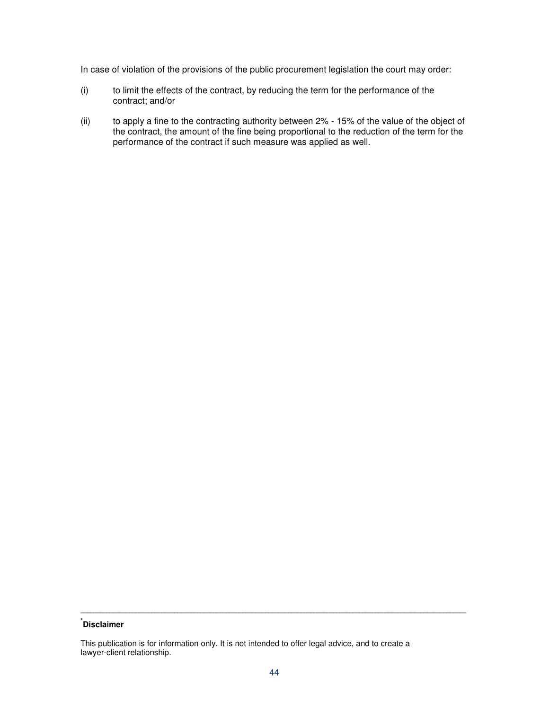In case of violation of the provisions of the public procurement legislation the court may order:

- (i) to limit the effects of the contract, by reducing the term for the performance of the contract; and/or
- (ii) to apply a fine to the contracting authority between 2% 15% of the value of the object of the contract, the amount of the fine being proportional to the reduction of the term for the performance of the contract if such measure was applied as well.

## **\* Disclaimer**

This publication is for information only. It is not intended to offer legal advice, and to create a lawyer-client relationship.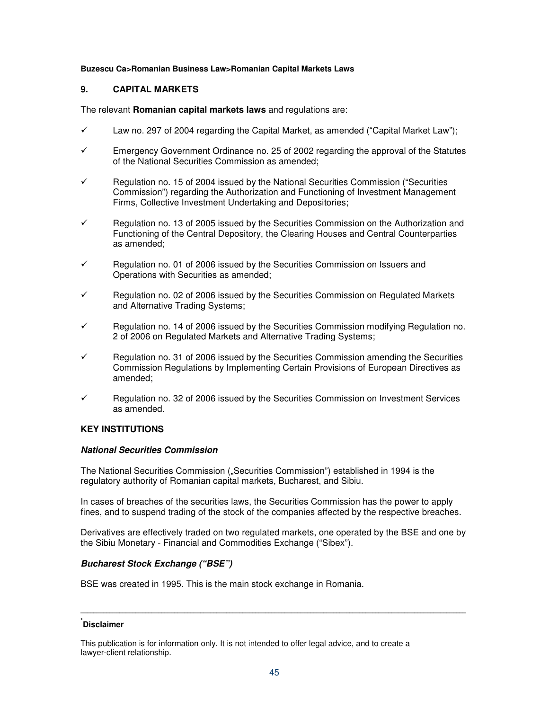### **Buzescu Ca>Romanian Business Law>Romanian Capital Markets Laws**

## **9. CAPITAL MARKETS**

The relevant **Romanian capital markets laws** and regulations are:

- $\checkmark$  Law no. 297 of 2004 regarding the Capital Market, as amended ("Capital Market Law");
- $\checkmark$  Emergency Government Ordinance no. 25 of 2002 regarding the approval of the Statutes of the National Securities Commission as amended;
- $\checkmark$  Regulation no. 15 of 2004 issued by the National Securities Commission ("Securities Commission") regarding the Authorization and Functioning of Investment Management Firms, Collective Investment Undertaking and Depositories;
- $\checkmark$  Regulation no. 13 of 2005 issued by the Securities Commission on the Authorization and Functioning of the Central Depository, the Clearing Houses and Central Counterparties as amended;
- Regulation no. 01 of 2006 issued by the Securities Commission on Issuers and Operations with Securities as amended;
- $\checkmark$  Regulation no. 02 of 2006 issued by the Securities Commission on Regulated Markets and Alternative Trading Systems;
- Regulation no. 14 of 2006 issued by the Securities Commission modifying Regulation no. 2 of 2006 on Regulated Markets and Alternative Trading Systems;
- $\checkmark$  Regulation no. 31 of 2006 issued by the Securities Commission amending the Securities Commission Regulations by Implementing Certain Provisions of European Directives as amended;
- $\checkmark$  Regulation no. 32 of 2006 issued by the Securities Commission on Investment Services as amended.

### **KEY INSTITUTIONS**

### **National Securities Commission**

The National Securities Commission ("Securities Commission") established in 1994 is the regulatory authority of Romanian capital markets, Bucharest, and Sibiu.

In cases of breaches of the securities laws, the Securities Commission has the power to apply fines, and to suspend trading of the stock of the companies affected by the respective breaches.

Derivatives are effectively traded on two regulated markets, one operated by the BSE and one by the Sibiu Monetary - Financial and Commodities Exchange ("Sibex").

### **Bucharest Stock Exchange ("BSE")**

BSE was created in 1995. This is the main stock exchange in Romania.

## **\* Disclaimer**

This publication is for information only. It is not intended to offer legal advice, and to create a lawyer-client relationship.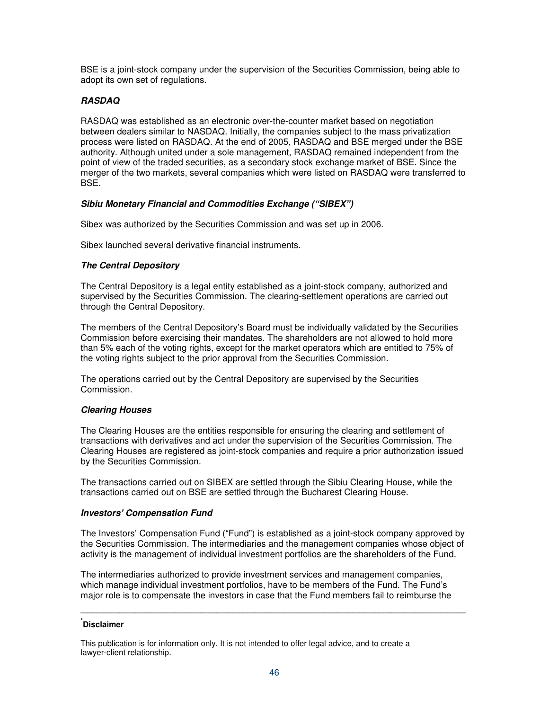BSE is a joint-stock company under the supervision of the Securities Commission, being able to adopt its own set of regulations.

## **RASDAQ**

RASDAQ was established as an electronic over-the-counter market based on negotiation between dealers similar to NASDAQ. Initially, the companies subject to the mass privatization process were listed on RASDAQ. At the end of 2005, RASDAQ and BSE merged under the BSE authority. Although united under a sole management, RASDAQ remained independent from the point of view of the traded securities, as a secondary stock exchange market of BSE. Since the merger of the two markets, several companies which were listed on RASDAQ were transferred to BSE.

## **Sibiu Monetary Financial and Commodities Exchange ("SIBEX")**

Sibex was authorized by the Securities Commission and was set up in 2006.

Sibex launched several derivative financial instruments.

## **The Central Depository**

The Central Depository is a legal entity established as a joint-stock company, authorized and supervised by the Securities Commission. The clearing-settlement operations are carried out through the Central Depository.

The members of the Central Depository's Board must be individually validated by the Securities Commission before exercising their mandates. The shareholders are not allowed to hold more than 5% each of the voting rights, except for the market operators which are entitled to 75% of the voting rights subject to the prior approval from the Securities Commission.

The operations carried out by the Central Depository are supervised by the Securities Commission.

### **Clearing Houses**

The Clearing Houses are the entities responsible for ensuring the clearing and settlement of transactions with derivatives and act under the supervision of the Securities Commission. The Clearing Houses are registered as joint-stock companies and require a prior authorization issued by the Securities Commission.

The transactions carried out on SIBEX are settled through the Sibiu Clearing House, while the transactions carried out on BSE are settled through the Bucharest Clearing House.

### **Investors' Compensation Fund**

The Investors' Compensation Fund ("Fund") is established as a joint-stock company approved by the Securities Commission. The intermediaries and the management companies whose object of activity is the management of individual investment portfolios are the shareholders of the Fund.

The intermediaries authorized to provide investment services and management companies, which manage individual investment portfolios, have to be members of the Fund. The Fund's major role is to compensate the investors in case that the Fund members fail to reimburse the

**\_\_\_\_\_\_\_\_\_\_\_\_\_\_\_\_\_\_\_\_\_\_\_\_\_\_\_\_\_\_\_\_\_\_\_\_\_\_\_\_\_\_\_\_\_\_\_\_\_\_\_\_\_\_\_\_\_\_\_\_\_\_\_\_\_\_\_\_\_\_\_\_\_\_\_\_\_\_\_\_\_\_\_\_\_\_\_\_\_\_\_\_\_\_\_\_\_\_\_\_\_\_\_\_\_\_\_\_\_\_\_\_\_\_\_\_\_\_\_** 

This publication is for information only. It is not intended to offer legal advice, and to create a lawyer-client relationship.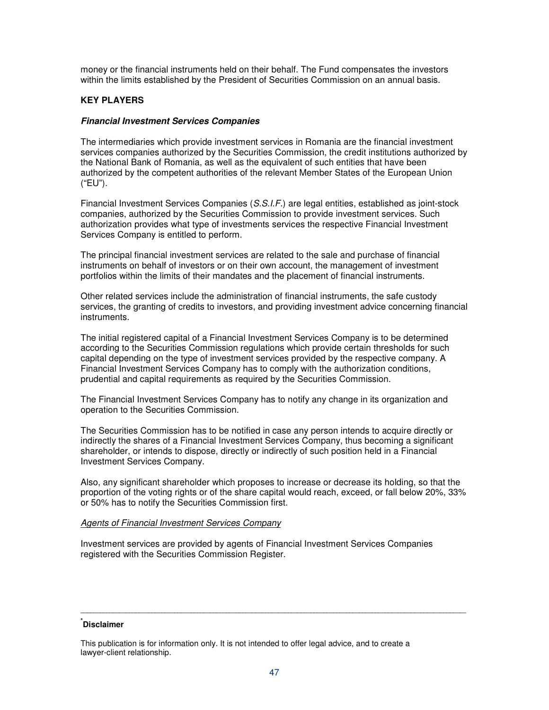money or the financial instruments held on their behalf. The Fund compensates the investors within the limits established by the President of Securities Commission on an annual basis.

## **KEY PLAYERS**

### **Financial Investment Services Companies**

The intermediaries which provide investment services in Romania are the financial investment services companies authorized by the Securities Commission, the credit institutions authorized by the National Bank of Romania, as well as the equivalent of such entities that have been authorized by the competent authorities of the relevant Member States of the European Union ("EU").

Financial Investment Services Companies (S.S.I.F.) are legal entities, established as joint-stock companies, authorized by the Securities Commission to provide investment services. Such authorization provides what type of investments services the respective Financial Investment Services Company is entitled to perform.

The principal financial investment services are related to the sale and purchase of financial instruments on behalf of investors or on their own account, the management of investment portfolios within the limits of their mandates and the placement of financial instruments.

Other related services include the administration of financial instruments, the safe custody services, the granting of credits to investors, and providing investment advice concerning financial instruments.

The initial registered capital of a Financial Investment Services Company is to be determined according to the Securities Commission regulations which provide certain thresholds for such capital depending on the type of investment services provided by the respective company. A Financial Investment Services Company has to comply with the authorization conditions, prudential and capital requirements as required by the Securities Commission.

The Financial Investment Services Company has to notify any change in its organization and operation to the Securities Commission.

The Securities Commission has to be notified in case any person intends to acquire directly or indirectly the shares of a Financial Investment Services Company, thus becoming a significant shareholder, or intends to dispose, directly or indirectly of such position held in a Financial Investment Services Company.

Also, any significant shareholder which proposes to increase or decrease its holding, so that the proportion of the voting rights or of the share capital would reach, exceed, or fall below 20%, 33% or 50% has to notify the Securities Commission first.

#### Agents of Financial Investment Services Company

Investment services are provided by agents of Financial Investment Services Companies registered with the Securities Commission Register.

## **\* Disclaimer**

This publication is for information only. It is not intended to offer legal advice, and to create a lawyer-client relationship.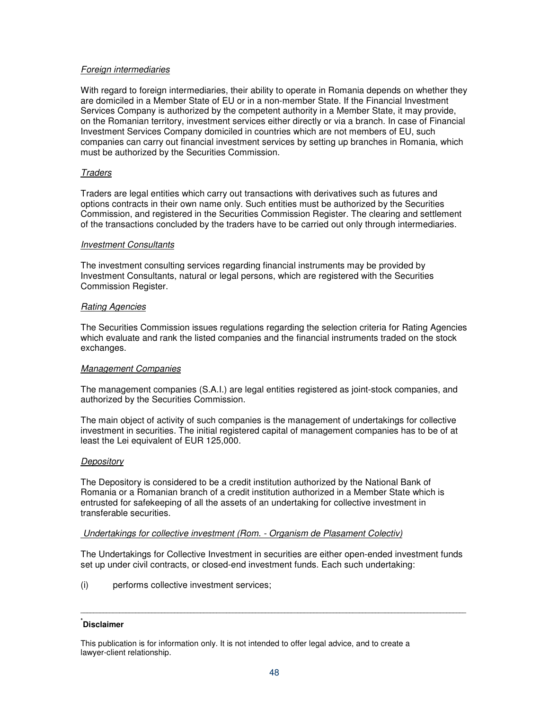## Foreign intermediaries

With regard to foreign intermediaries, their ability to operate in Romania depends on whether they are domiciled in a Member State of EU or in a non-member State. If the Financial Investment Services Company is authorized by the competent authority in a Member State, it may provide, on the Romanian territory, investment services either directly or via a branch. In case of Financial Investment Services Company domiciled in countries which are not members of EU, such companies can carry out financial investment services by setting up branches in Romania, which must be authorized by the Securities Commission.

### **Traders**

Traders are legal entities which carry out transactions with derivatives such as futures and options contracts in their own name only. Such entities must be authorized by the Securities Commission, and registered in the Securities Commission Register. The clearing and settlement of the transactions concluded by the traders have to be carried out only through intermediaries.

#### Investment Consultants

The investment consulting services regarding financial instruments may be provided by Investment Consultants, natural or legal persons, which are registered with the Securities Commission Register.

### Rating Agencies

The Securities Commission issues regulations regarding the selection criteria for Rating Agencies which evaluate and rank the listed companies and the financial instruments traded on the stock exchanges.

### Management Companies

The management companies (S.A.I.) are legal entities registered as joint-stock companies, and authorized by the Securities Commission.

The main object of activity of such companies is the management of undertakings for collective investment in securities. The initial registered capital of management companies has to be of at least the Lei equivalent of EUR 125,000.

### **Depository**

The Depository is considered to be a credit institution authorized by the National Bank of Romania or a Romanian branch of a credit institution authorized in a Member State which is entrusted for safekeeping of all the assets of an undertaking for collective investment in transferable securities.

### Undertakings for collective investment (Rom. - Organism de Plasament Colectiv)

The Undertakings for Collective Investment in securities are either open-ended investment funds set up under civil contracts, or closed-end investment funds. Each such undertaking:

**\_\_\_\_\_\_\_\_\_\_\_\_\_\_\_\_\_\_\_\_\_\_\_\_\_\_\_\_\_\_\_\_\_\_\_\_\_\_\_\_\_\_\_\_\_\_\_\_\_\_\_\_\_\_\_\_\_\_\_\_\_\_\_\_\_\_\_\_\_\_\_\_\_\_\_\_\_\_\_\_\_\_\_\_\_\_\_\_\_\_\_\_\_\_\_\_\_\_\_\_\_\_\_\_\_\_\_\_\_\_\_\_\_\_\_\_\_\_\_** 

(i) performs collective investment services;

## **\* Disclaimer**

This publication is for information only. It is not intended to offer legal advice, and to create a lawyer-client relationship.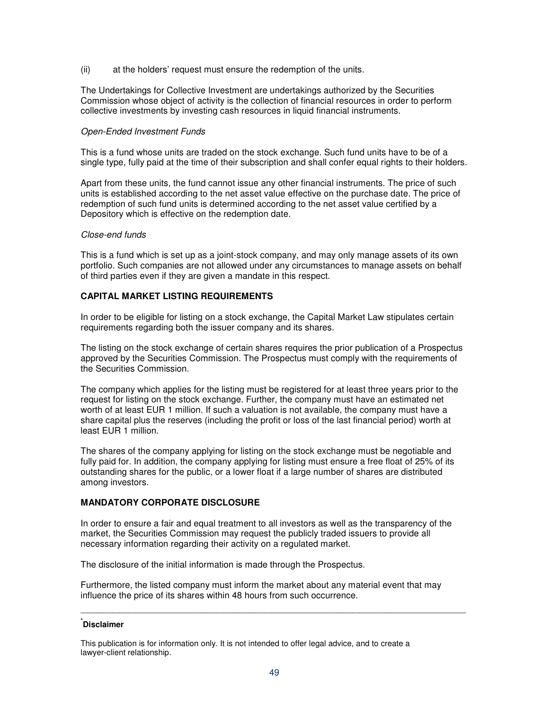(ii) at the holders' request must ensure the redemption of the units.

The Undertakings for Collective Investment are undertakings authorized by the Securities Commission whose object of activity is the collection of financial resources in order to perform collective investments by investing cash resources in liquid financial instruments.

## Open-Ended Investment Funds

This is a fund whose units are traded on the stock exchange. Such fund units have to be of a single type, fully paid at the time of their subscription and shall confer equal rights to their holders.

Apart from these units, the fund cannot issue any other financial instruments. The price of such units is established according to the net asset value effective on the purchase date. The price of redemption of such fund units is determined according to the net asset value certified by a Depository which is effective on the redemption date.

### Close-end funds

This is a fund which is set up as a joint-stock company, and may only manage assets of its own portfolio. Such companies are not allowed under any circumstances to manage assets on behalf of third parties even if they are given a mandate in this respect.

## **CAPITAL MARKET LISTING REQUIREMENTS**

In order to be eligible for listing on a stock exchange, the Capital Market Law stipulates certain requirements regarding both the issuer company and its shares.

The listing on the stock exchange of certain shares requires the prior publication of a Prospectus approved by the Securities Commission. The Prospectus must comply with the requirements of the Securities Commission.

The company which applies for the listing must be registered for at least three years prior to the request for listing on the stock exchange. Further, the company must have an estimated net worth of at least EUR 1 million. If such a valuation is not available, the company must have a share capital plus the reserves (including the profit or loss of the last financial period) worth at least EUR 1 million.

The shares of the company applying for listing on the stock exchange must be negotiable and fully paid for. In addition, the company applying for listing must ensure a free float of 25% of its outstanding shares for the public, or a lower float if a large number of shares are distributed among investors.

## **MANDATORY CORPORATE DISCLOSURE**

In order to ensure a fair and equal treatment to all investors as well as the transparency of the market, the Securities Commission may request the publicly traded issuers to provide all necessary information regarding their activity on a regulated market.

The disclosure of the initial information is made through the Prospectus.

Furthermore, the listed company must inform the market about any material event that may influence the price of its shares within 48 hours from such occurrence.

## **\* Disclaimer**

This publication is for information only. It is not intended to offer legal advice, and to create a lawyer-client relationship.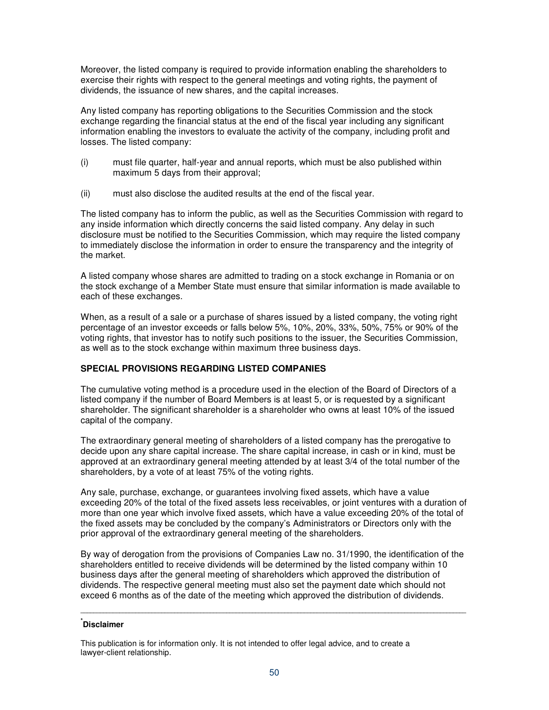Moreover, the listed company is required to provide information enabling the shareholders to exercise their rights with respect to the general meetings and voting rights, the payment of dividends, the issuance of new shares, and the capital increases.

Any listed company has reporting obligations to the Securities Commission and the stock exchange regarding the financial status at the end of the fiscal year including any significant information enabling the investors to evaluate the activity of the company, including profit and losses. The listed company:

- (i) must file quarter, half-year and annual reports, which must be also published within maximum 5 days from their approval;
- (ii) must also disclose the audited results at the end of the fiscal year.

The listed company has to inform the public, as well as the Securities Commission with regard to any inside information which directly concerns the said listed company. Any delay in such disclosure must be notified to the Securities Commission, which may require the listed company to immediately disclose the information in order to ensure the transparency and the integrity of the market.

A listed company whose shares are admitted to trading on a stock exchange in Romania or on the stock exchange of a Member State must ensure that similar information is made available to each of these exchanges.

When, as a result of a sale or a purchase of shares issued by a listed company, the voting right percentage of an investor exceeds or falls below 5%, 10%, 20%, 33%, 50%, 75% or 90% of the voting rights, that investor has to notify such positions to the issuer, the Securities Commission, as well as to the stock exchange within maximum three business days.

# **SPECIAL PROVISIONS REGARDING LISTED COMPANIES**

The cumulative voting method is a procedure used in the election of the Board of Directors of a listed company if the number of Board Members is at least 5, or is requested by a significant shareholder. The significant shareholder is a shareholder who owns at least 10% of the issued capital of the company.

The extraordinary general meeting of shareholders of a listed company has the prerogative to decide upon any share capital increase. The share capital increase, in cash or in kind, must be approved at an extraordinary general meeting attended by at least 3/4 of the total number of the shareholders, by a vote of at least 75% of the voting rights.

Any sale, purchase, exchange, or guarantees involving fixed assets, which have a value exceeding 20% of the total of the fixed assets less receivables, or joint ventures with a duration of more than one year which involve fixed assets, which have a value exceeding 20% of the total of the fixed assets may be concluded by the company's Administrators or Directors only with the prior approval of the extraordinary general meeting of the shareholders.

By way of derogation from the provisions of Companies Law no. 31/1990, the identification of the shareholders entitled to receive dividends will be determined by the listed company within 10 business days after the general meeting of shareholders which approved the distribution of dividends. The respective general meeting must also set the payment date which should not exceed 6 months as of the date of the meeting which approved the distribution of dividends.

**\_\_\_\_\_\_\_\_\_\_\_\_\_\_\_\_\_\_\_\_\_\_\_\_\_\_\_\_\_\_\_\_\_\_\_\_\_\_\_\_\_\_\_\_\_\_\_\_\_\_\_\_\_\_\_\_\_\_\_\_\_\_\_\_\_\_\_\_\_\_\_\_\_\_\_\_\_\_\_\_\_\_\_\_\_\_\_\_\_\_\_\_\_\_\_\_\_\_\_\_\_\_\_\_\_\_\_\_\_\_\_\_\_\_\_\_\_\_\_** 

This publication is for information only. It is not intended to offer legal advice, and to create a lawyer-client relationship.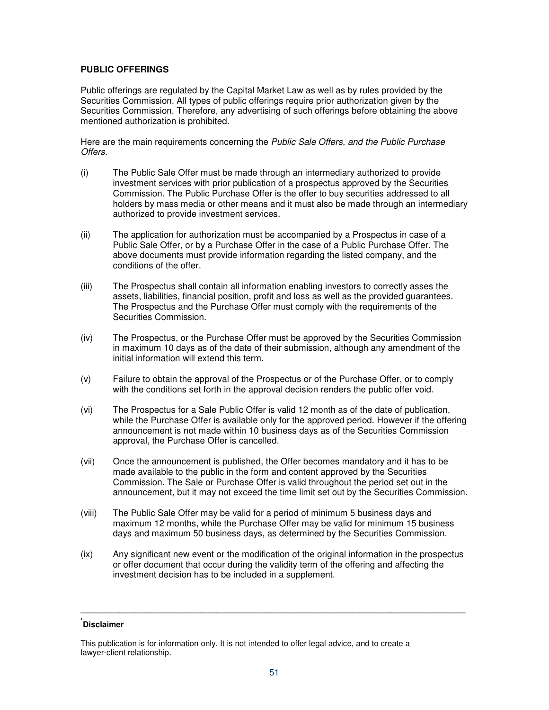## **PUBLIC OFFERINGS**

Public offerings are regulated by the Capital Market Law as well as by rules provided by the Securities Commission. All types of public offerings require prior authorization given by the Securities Commission. Therefore, any advertising of such offerings before obtaining the above mentioned authorization is prohibited.

Here are the main requirements concerning the Public Sale Offers, and the Public Purchase Offers.

- (i) The Public Sale Offer must be made through an intermediary authorized to provide investment services with prior publication of a prospectus approved by the Securities Commission. The Public Purchase Offer is the offer to buy securities addressed to all holders by mass media or other means and it must also be made through an intermediary authorized to provide investment services.
- (ii) The application for authorization must be accompanied by a Prospectus in case of a Public Sale Offer, or by a Purchase Offer in the case of a Public Purchase Offer. The above documents must provide information regarding the listed company, and the conditions of the offer.
- (iii) The Prospectus shall contain all information enabling investors to correctly asses the assets, liabilities, financial position, profit and loss as well as the provided guarantees. The Prospectus and the Purchase Offer must comply with the requirements of the Securities Commission.
- (iv) The Prospectus, or the Purchase Offer must be approved by the Securities Commission in maximum 10 days as of the date of their submission, although any amendment of the initial information will extend this term.
- (v) Failure to obtain the approval of the Prospectus or of the Purchase Offer, or to comply with the conditions set forth in the approval decision renders the public offer void.
- (vi) The Prospectus for a Sale Public Offer is valid 12 month as of the date of publication, while the Purchase Offer is available only for the approved period. However if the offering announcement is not made within 10 business days as of the Securities Commission approval, the Purchase Offer is cancelled.
- (vii) Once the announcement is published, the Offer becomes mandatory and it has to be made available to the public in the form and content approved by the Securities Commission. The Sale or Purchase Offer is valid throughout the period set out in the announcement, but it may not exceed the time limit set out by the Securities Commission.
- (viii) The Public Sale Offer may be valid for a period of minimum 5 business days and maximum 12 months, while the Purchase Offer may be valid for minimum 15 business days and maximum 50 business days, as determined by the Securities Commission.
- (ix) Any significant new event or the modification of the original information in the prospectus or offer document that occur during the validity term of the offering and affecting the investment decision has to be included in a supplement.

**\_\_\_\_\_\_\_\_\_\_\_\_\_\_\_\_\_\_\_\_\_\_\_\_\_\_\_\_\_\_\_\_\_\_\_\_\_\_\_\_\_\_\_\_\_\_\_\_\_\_\_\_\_\_\_\_\_\_\_\_\_\_\_\_\_\_\_\_\_\_\_\_\_\_\_\_\_\_\_\_\_\_\_\_\_\_\_\_\_\_\_\_\_\_\_\_\_\_\_\_\_\_\_\_\_\_\_\_\_\_\_\_\_\_\_\_\_\_\_** 

This publication is for information only. It is not intended to offer legal advice, and to create a lawyer-client relationship.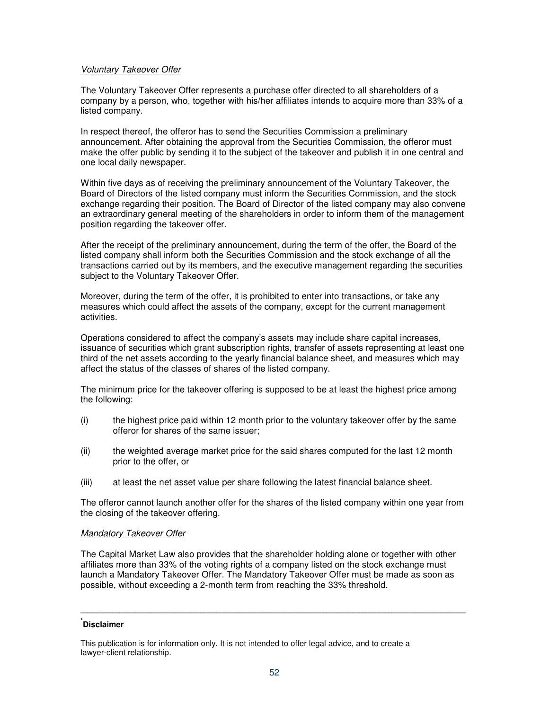### Voluntary Takeover Offer

The Voluntary Takeover Offer represents a purchase offer directed to all shareholders of a company by a person, who, together with his/her affiliates intends to acquire more than 33% of a listed company.

In respect thereof, the offeror has to send the Securities Commission a preliminary announcement. After obtaining the approval from the Securities Commission, the offeror must make the offer public by sending it to the subject of the takeover and publish it in one central and one local daily newspaper.

Within five days as of receiving the preliminary announcement of the Voluntary Takeover, the Board of Directors of the listed company must inform the Securities Commission, and the stock exchange regarding their position. The Board of Director of the listed company may also convene an extraordinary general meeting of the shareholders in order to inform them of the management position regarding the takeover offer.

After the receipt of the preliminary announcement, during the term of the offer, the Board of the listed company shall inform both the Securities Commission and the stock exchange of all the transactions carried out by its members, and the executive management regarding the securities subject to the Voluntary Takeover Offer.

Moreover, during the term of the offer, it is prohibited to enter into transactions, or take any measures which could affect the assets of the company, except for the current management activities.

Operations considered to affect the company's assets may include share capital increases, issuance of securities which grant subscription rights, transfer of assets representing at least one third of the net assets according to the yearly financial balance sheet, and measures which may affect the status of the classes of shares of the listed company.

The minimum price for the takeover offering is supposed to be at least the highest price among the following:

- (i) the highest price paid within 12 month prior to the voluntary takeover offer by the same offeror for shares of the same issuer;
- (ii) the weighted average market price for the said shares computed for the last 12 month prior to the offer, or
- (iii) at least the net asset value per share following the latest financial balance sheet.

The offeror cannot launch another offer for the shares of the listed company within one year from the closing of the takeover offering.

### Mandatory Takeover Offer

The Capital Market Law also provides that the shareholder holding alone or together with other affiliates more than 33% of the voting rights of a company listed on the stock exchange must launch a Mandatory Takeover Offer. The Mandatory Takeover Offer must be made as soon as possible, without exceeding a 2-month term from reaching the 33% threshold.

## **\* Disclaimer**

This publication is for information only. It is not intended to offer legal advice, and to create a lawyer-client relationship.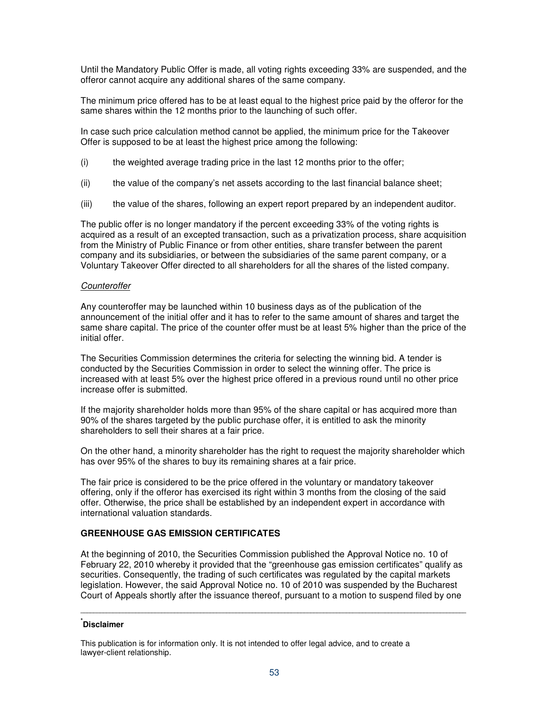Until the Mandatory Public Offer is made, all voting rights exceeding 33% are suspended, and the offeror cannot acquire any additional shares of the same company.

The minimum price offered has to be at least equal to the highest price paid by the offeror for the same shares within the 12 months prior to the launching of such offer.

In case such price calculation method cannot be applied, the minimum price for the Takeover Offer is supposed to be at least the highest price among the following:

- (i) the weighted average trading price in the last 12 months prior to the offer;
- (ii) the value of the company's net assets according to the last financial balance sheet;
- (iii) the value of the shares, following an expert report prepared by an independent auditor.

The public offer is no longer mandatory if the percent exceeding 33% of the voting rights is acquired as a result of an excepted transaction, such as a privatization process, share acquisition from the Ministry of Public Finance or from other entities, share transfer between the parent company and its subsidiaries, or between the subsidiaries of the same parent company, or a Voluntary Takeover Offer directed to all shareholders for all the shares of the listed company.

### **Counteroffer**

Any counteroffer may be launched within 10 business days as of the publication of the announcement of the initial offer and it has to refer to the same amount of shares and target the same share capital. The price of the counter offer must be at least 5% higher than the price of the initial offer.

The Securities Commission determines the criteria for selecting the winning bid. A tender is conducted by the Securities Commission in order to select the winning offer. The price is increased with at least 5% over the highest price offered in a previous round until no other price increase offer is submitted.

If the majority shareholder holds more than 95% of the share capital or has acquired more than 90% of the shares targeted by the public purchase offer, it is entitled to ask the minority shareholders to sell their shares at a fair price.

On the other hand, a minority shareholder has the right to request the majority shareholder which has over 95% of the shares to buy its remaining shares at a fair price.

The fair price is considered to be the price offered in the voluntary or mandatory takeover offering, only if the offeror has exercised its right within 3 months from the closing of the said offer. Otherwise, the price shall be established by an independent expert in accordance with international valuation standards.

## **GREENHOUSE GAS EMISSION CERTIFICATES**

At the beginning of 2010, the Securities Commission published the Approval Notice no. 10 of February 22, 2010 whereby it provided that the "greenhouse gas emission certificates" qualify as securities. Consequently, the trading of such certificates was regulated by the capital markets legislation. However, the said Approval Notice no. 10 of 2010 was suspended by the Bucharest Court of Appeals shortly after the issuance thereof, pursuant to a motion to suspend filed by one

**\_\_\_\_\_\_\_\_\_\_\_\_\_\_\_\_\_\_\_\_\_\_\_\_\_\_\_\_\_\_\_\_\_\_\_\_\_\_\_\_\_\_\_\_\_\_\_\_\_\_\_\_\_\_\_\_\_\_\_\_\_\_\_\_\_\_\_\_\_\_\_\_\_\_\_\_\_\_\_\_\_\_\_\_\_\_\_\_\_\_\_\_\_\_\_\_\_\_\_\_\_\_\_\_\_\_\_\_\_\_\_\_\_\_\_\_\_\_\_** 

## **\* Disclaimer**

This publication is for information only. It is not intended to offer legal advice, and to create a lawyer-client relationship.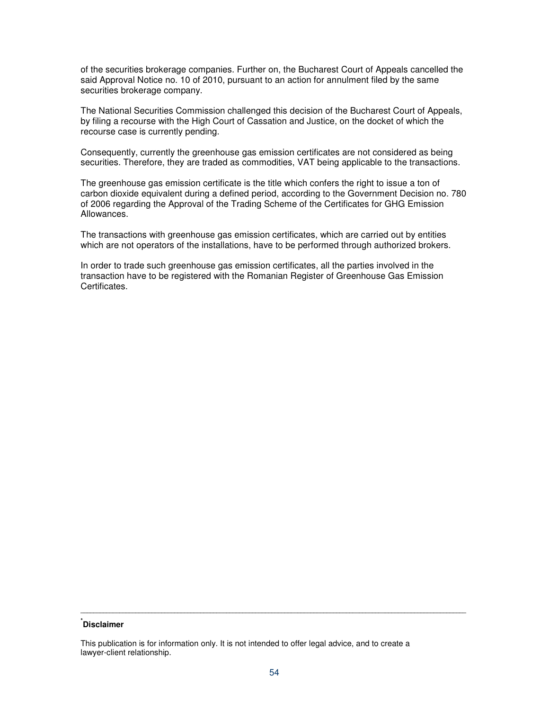of the securities brokerage companies. Further on, the Bucharest Court of Appeals cancelled the said Approval Notice no. 10 of 2010, pursuant to an action for annulment filed by the same securities brokerage company.

The National Securities Commission challenged this decision of the Bucharest Court of Appeals, by filing a recourse with the High Court of Cassation and Justice, on the docket of which the recourse case is currently pending.

Consequently, currently the greenhouse gas emission certificates are not considered as being securities. Therefore, they are traded as commodities, VAT being applicable to the transactions.

The greenhouse gas emission certificate is the title which confers the right to issue a ton of carbon dioxide equivalent during a defined period, according to the Government Decision no. 780 of 2006 regarding the Approval of the Trading Scheme of the Certificates for GHG Emission Allowances.

The transactions with greenhouse gas emission certificates, which are carried out by entities which are not operators of the installations, have to be performed through authorized brokers.

In order to trade such greenhouse gas emission certificates, all the parties involved in the transaction have to be registered with the Romanian Register of Greenhouse Gas Emission Certificates.

## **\* Disclaimer**

This publication is for information only. It is not intended to offer legal advice, and to create a lawyer-client relationship.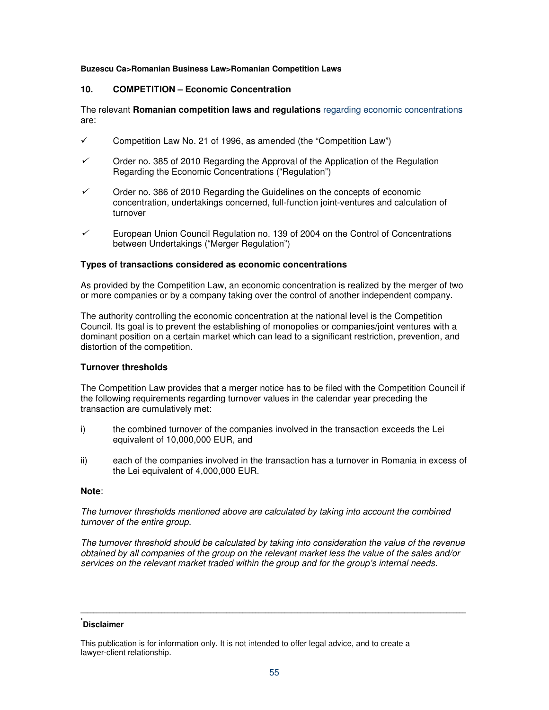### **Buzescu Ca>Romanian Business Law>Romanian Competition Laws**

# **10. COMPETITION – Economic Concentration**

The relevant **Romanian competition laws and regulations** regarding economic concentrations are:

- $\checkmark$  Competition Law No. 21 of 1996, as amended (the "Competition Law")
- $\checkmark$  Order no. 385 of 2010 Regarding the Approval of the Application of the Regulation Regarding the Economic Concentrations ("Regulation")
- ✓ Order no. 386 of 2010 Regarding the Guidelines on the concepts of economic concentration, undertakings concerned, full-function joint-ventures and calculation of turnover
- ✓ European Union Council Regulation no. 139 of 2004 on the Control of Concentrations between Undertakings ("Merger Regulation")

## **Types of transactions considered as economic concentrations**

As provided by the Competition Law, an economic concentration is realized by the merger of two or more companies or by a company taking over the control of another independent company.

The authority controlling the economic concentration at the national level is the Competition Council. Its goal is to prevent the establishing of monopolies or companies/joint ventures with a dominant position on a certain market which can lead to a significant restriction, prevention, and distortion of the competition.

## **Turnover thresholds**

The Competition Law provides that a merger notice has to be filed with the Competition Council if the following requirements regarding turnover values in the calendar year preceding the transaction are cumulatively met:

- i) the combined turnover of the companies involved in the transaction exceeds the Lei equivalent of 10,000,000 EUR, and
- ii) each of the companies involved in the transaction has a turnover in Romania in excess of the Lei equivalent of 4,000,000 EUR.

### **Note**:

The turnover thresholds mentioned above are calculated by taking into account the combined turnover of the entire group.

The turnover threshold should be calculated by taking into consideration the value of the revenue obtained by all companies of the group on the relevant market less the value of the sales and/or services on the relevant market traded within the group and for the group's internal needs.

**\_\_\_\_\_\_\_\_\_\_\_\_\_\_\_\_\_\_\_\_\_\_\_\_\_\_\_\_\_\_\_\_\_\_\_\_\_\_\_\_\_\_\_\_\_\_\_\_\_\_\_\_\_\_\_\_\_\_\_\_\_\_\_\_\_\_\_\_\_\_\_\_\_\_\_\_\_\_\_\_\_\_\_\_\_\_\_\_\_\_\_\_\_\_\_\_\_\_\_\_\_\_\_\_\_\_\_\_\_\_\_\_\_\_\_\_\_\_\_** 

This publication is for information only. It is not intended to offer legal advice, and to create a lawyer-client relationship.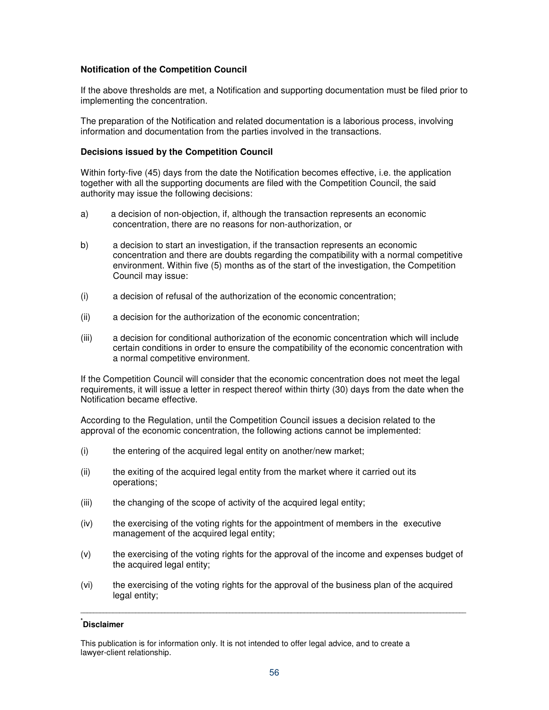## **Notification of the Competition Council**

If the above thresholds are met, a Notification and supporting documentation must be filed prior to implementing the concentration.

The preparation of the Notification and related documentation is a laborious process, involving information and documentation from the parties involved in the transactions.

#### **Decisions issued by the Competition Council**

Within forty-five (45) days from the date the Notification becomes effective, i.e. the application together with all the supporting documents are filed with the Competition Council, the said authority may issue the following decisions:

- a) a decision of non-objection, if, although the transaction represents an economic concentration, there are no reasons for non-authorization, or
- b) a decision to start an investigation, if the transaction represents an economic concentration and there are doubts regarding the compatibility with a normal competitive environment. Within five (5) months as of the start of the investigation, the Competition Council may issue:
- (i) a decision of refusal of the authorization of the economic concentration;
- (ii) a decision for the authorization of the economic concentration;
- (iii) a decision for conditional authorization of the economic concentration which will include certain conditions in order to ensure the compatibility of the economic concentration with a normal competitive environment.

If the Competition Council will consider that the economic concentration does not meet the legal requirements, it will issue a letter in respect thereof within thirty (30) days from the date when the Notification became effective.

According to the Regulation, until the Competition Council issues a decision related to the approval of the economic concentration, the following actions cannot be implemented:

- (i) the entering of the acquired legal entity on another/new market;
- (ii) the exiting of the acquired legal entity from the market where it carried out its operations;
- (iii) the changing of the scope of activity of the acquired legal entity;
- (iv) the exercising of the voting rights for the appointment of members in the executive management of the acquired legal entity;
- (v) the exercising of the voting rights for the approval of the income and expenses budget of the acquired legal entity;
- (vi) the exercising of the voting rights for the approval of the business plan of the acquired legal entity;

**\_\_\_\_\_\_\_\_\_\_\_\_\_\_\_\_\_\_\_\_\_\_\_\_\_\_\_\_\_\_\_\_\_\_\_\_\_\_\_\_\_\_\_\_\_\_\_\_\_\_\_\_\_\_\_\_\_\_\_\_\_\_\_\_\_\_\_\_\_\_\_\_\_\_\_\_\_\_\_\_\_\_\_\_\_\_\_\_\_\_\_\_\_\_\_\_\_\_\_\_\_\_\_\_\_\_\_\_\_\_\_\_\_\_\_\_\_\_\_** 

## **\* Disclaimer**

This publication is for information only. It is not intended to offer legal advice, and to create a lawyer-client relationship.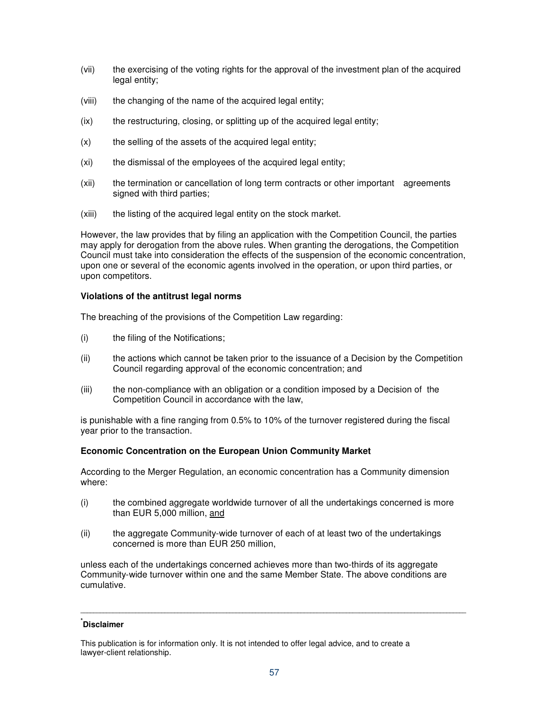- (vii) the exercising of the voting rights for the approval of the investment plan of the acquired legal entity;
- (viii) the changing of the name of the acquired legal entity;
- (ix) the restructuring, closing, or splitting up of the acquired legal entity;
- $(x)$  the selling of the assets of the acquired legal entity;
- (xi) the dismissal of the employees of the acquired legal entity;
- (xii) the termination or cancellation of long term contracts or other important agreements signed with third parties;
- (xiii) the listing of the acquired legal entity on the stock market.

However, the law provides that by filing an application with the Competition Council, the parties may apply for derogation from the above rules. When granting the derogations, the Competition Council must take into consideration the effects of the suspension of the economic concentration, upon one or several of the economic agents involved in the operation, or upon third parties, or upon competitors.

### **Violations of the antitrust legal norms**

The breaching of the provisions of the Competition Law regarding:

- (i) the filing of the Notifications;
- (ii) the actions which cannot be taken prior to the issuance of a Decision by the Competition Council regarding approval of the economic concentration; and
- (iii) the non-compliance with an obligation or a condition imposed by a Decision of the Competition Council in accordance with the law,

is punishable with a fine ranging from 0.5% to 10% of the turnover registered during the fiscal year prior to the transaction.

### **Economic Concentration on the European Union Community Market**

According to the Merger Regulation, an economic concentration has a Community dimension where:

- (i) the combined aggregate worldwide turnover of all the undertakings concerned is more than EUR 5,000 million, and
- (ii) the aggregate Community-wide turnover of each of at least two of the undertakings concerned is more than EUR 250 million,

unless each of the undertakings concerned achieves more than two-thirds of its aggregate Community-wide turnover within one and the same Member State. The above conditions are cumulative.

## **\* Disclaimer**

This publication is for information only. It is not intended to offer legal advice, and to create a lawyer-client relationship.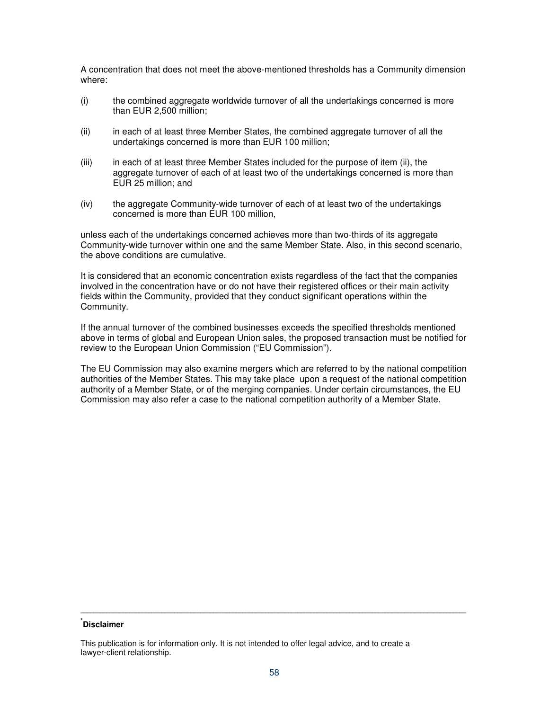A concentration that does not meet the above-mentioned thresholds has a Community dimension where:

- (i) the combined aggregate worldwide turnover of all the undertakings concerned is more than EUR 2,500 million;
- (ii) in each of at least three Member States, the combined aggregate turnover of all the undertakings concerned is more than EUR 100 million;
- (iii) in each of at least three Member States included for the purpose of item (ii), the aggregate turnover of each of at least two of the undertakings concerned is more than EUR 25 million; and
- (iv) the aggregate Community-wide turnover of each of at least two of the undertakings concerned is more than EUR 100 million,

unless each of the undertakings concerned achieves more than two-thirds of its aggregate Community-wide turnover within one and the same Member State. Also, in this second scenario, the above conditions are cumulative.

It is considered that an economic concentration exists regardless of the fact that the companies involved in the concentration have or do not have their registered offices or their main activity fields within the Community, provided that they conduct significant operations within the Community.

If the annual turnover of the combined businesses exceeds the specified thresholds mentioned above in terms of global and European Union sales, the proposed transaction must be notified for review to the European Union Commission ("EU Commission").

The EU Commission may also examine mergers which are referred to by the national competition authorities of the Member States. This may take place upon a request of the national competition authority of a Member State, or of the merging companies. Under certain circumstances, the EU Commission may also refer a case to the national competition authority of a Member State.

## **\* Disclaimer**

This publication is for information only. It is not intended to offer legal advice, and to create a lawyer-client relationship.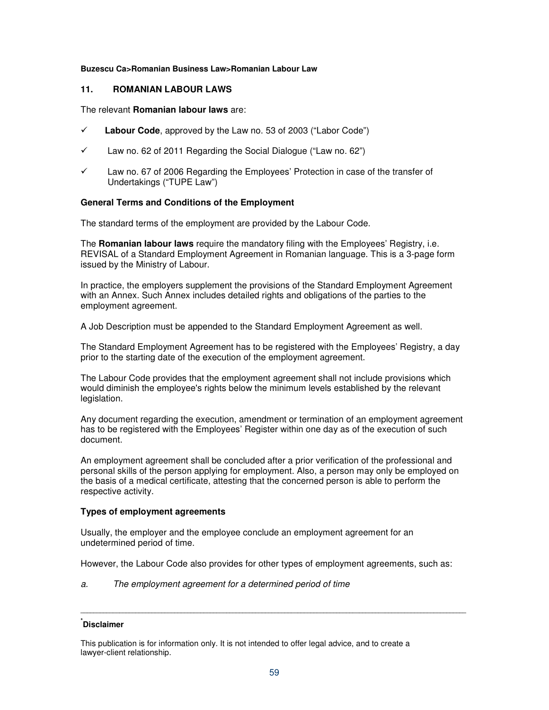### **Buzescu Ca>Romanian Business Law>Romanian Labour Law**

## **11. ROMANIAN LABOUR LAWS**

#### The relevant **Romanian labour laws** are:

- **Labour Code**, approved by the Law no. 53 of 2003 ("Labor Code")
- $\checkmark$  Law no. 62 of 2011 Regarding the Social Dialogue ("Law no. 62")
- $\checkmark$  Law no. 67 of 2006 Regarding the Employees' Protection in case of the transfer of Undertakings ("TUPE Law")

## **General Terms and Conditions of the Employment**

The standard terms of the employment are provided by the Labour Code.

The **Romanian labour laws** require the mandatory filing with the Employees' Registry, i.e. REVISAL of a Standard Employment Agreement in Romanian language. This is a 3-page form issued by the Ministry of Labour.

In practice, the employers supplement the provisions of the Standard Employment Agreement with an Annex. Such Annex includes detailed rights and obligations of the parties to the employment agreement.

A Job Description must be appended to the Standard Employment Agreement as well.

The Standard Employment Agreement has to be registered with the Employees' Registry, a day prior to the starting date of the execution of the employment agreement.

The Labour Code provides that the employment agreement shall not include provisions which would diminish the employee's rights below the minimum levels established by the relevant legislation.

Any document regarding the execution, amendment or termination of an employment agreement has to be registered with the Employees' Register within one day as of the execution of such document.

An employment agreement shall be concluded after a prior verification of the professional and personal skills of the person applying for employment. Also, a person may only be employed on the basis of a medical certificate, attesting that the concerned person is able to perform the respective activity.

### **Types of employment agreements**

Usually, the employer and the employee conclude an employment agreement for an undetermined period of time.

However, the Labour Code also provides for other types of employment agreements, such as:

a. The employment agreement for a determined period of time

## **\* Disclaimer**

This publication is for information only. It is not intended to offer legal advice, and to create a lawyer-client relationship.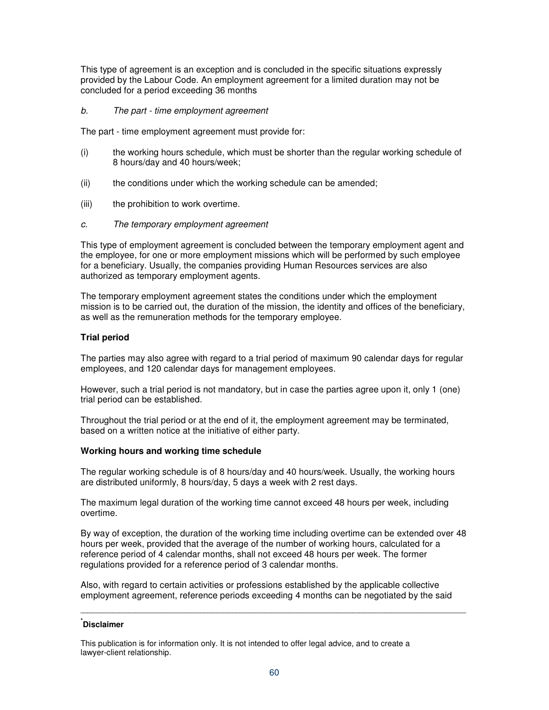This type of agreement is an exception and is concluded in the specific situations expressly provided by the Labour Code. An employment agreement for a limited duration may not be concluded for a period exceeding 36 months

b. The part - time employment agreement

The part - time employment agreement must provide for:

- (i) the working hours schedule, which must be shorter than the regular working schedule of 8 hours/day and 40 hours/week;
- (ii) the conditions under which the working schedule can be amended;
- (iii) the prohibition to work overtime.
- c. The temporary employment agreement

This type of employment agreement is concluded between the temporary employment agent and the employee, for one or more employment missions which will be performed by such employee for a beneficiary. Usually, the companies providing Human Resources services are also authorized as temporary employment agents.

The temporary employment agreement states the conditions under which the employment mission is to be carried out, the duration of the mission, the identity and offices of the beneficiary, as well as the remuneration methods for the temporary employee.

## **Trial period**

The parties may also agree with regard to a trial period of maximum 90 calendar days for regular employees, and 120 calendar days for management employees.

However, such a trial period is not mandatory, but in case the parties agree upon it, only 1 (one) trial period can be established.

Throughout the trial period or at the end of it, the employment agreement may be terminated, based on a written notice at the initiative of either party.

### **Working hours and working time schedule**

The regular working schedule is of 8 hours/day and 40 hours/week. Usually, the working hours are distributed uniformly, 8 hours/day, 5 days a week with 2 rest days.

The maximum legal duration of the working time cannot exceed 48 hours per week, including overtime.

By way of exception, the duration of the working time including overtime can be extended over 48 hours per week, provided that the average of the number of working hours, calculated for a reference period of 4 calendar months, shall not exceed 48 hours per week. The former regulations provided for a reference period of 3 calendar months.

Also, with regard to certain activities or professions established by the applicable collective employment agreement, reference periods exceeding 4 months can be negotiated by the said

**\_\_\_\_\_\_\_\_\_\_\_\_\_\_\_\_\_\_\_\_\_\_\_\_\_\_\_\_\_\_\_\_\_\_\_\_\_\_\_\_\_\_\_\_\_\_\_\_\_\_\_\_\_\_\_\_\_\_\_\_\_\_\_\_\_\_\_\_\_\_\_\_\_\_\_\_\_\_\_\_\_\_\_\_\_\_\_\_\_\_\_\_\_\_\_\_\_\_\_\_\_\_\_\_\_\_\_\_\_\_\_\_\_\_\_\_\_\_\_** 

## **\* Disclaimer**

This publication is for information only. It is not intended to offer legal advice, and to create a lawyer-client relationship.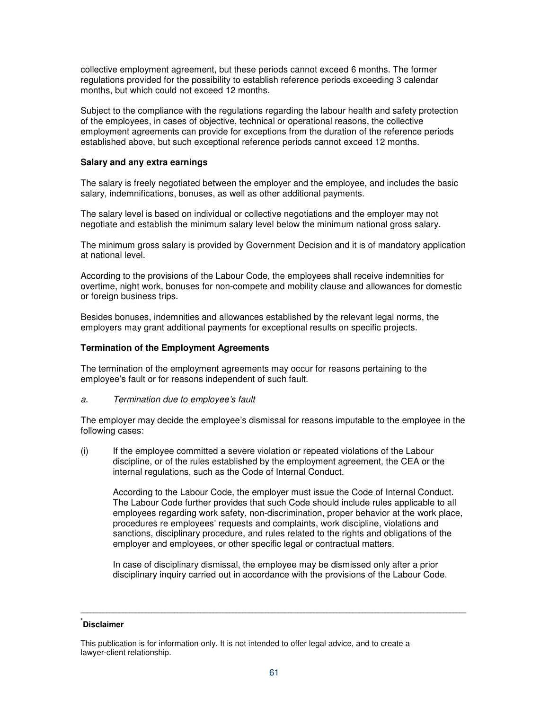collective employment agreement, but these periods cannot exceed 6 months. The former regulations provided for the possibility to establish reference periods exceeding 3 calendar months, but which could not exceed 12 months.

Subject to the compliance with the regulations regarding the labour health and safety protection of the employees, in cases of objective, technical or operational reasons, the collective employment agreements can provide for exceptions from the duration of the reference periods established above, but such exceptional reference periods cannot exceed 12 months.

## **Salary and any extra earnings**

The salary is freely negotiated between the employer and the employee, and includes the basic salary, indemnifications, bonuses, as well as other additional payments.

The salary level is based on individual or collective negotiations and the employer may not negotiate and establish the minimum salary level below the minimum national gross salary.

The minimum gross salary is provided by Government Decision and it is of mandatory application at national level.

According to the provisions of the Labour Code, the employees shall receive indemnities for overtime, night work, bonuses for non-compete and mobility clause and allowances for domestic or foreign business trips.

Besides bonuses, indemnities and allowances established by the relevant legal norms, the employers may grant additional payments for exceptional results on specific projects.

## **Termination of the Employment Agreements**

The termination of the employment agreements may occur for reasons pertaining to the employee's fault or for reasons independent of such fault.

### a. Termination due to employee's fault

The employer may decide the employee's dismissal for reasons imputable to the employee in the following cases:

(i) If the employee committed a severe violation or repeated violations of the Labour discipline, or of the rules established by the employment agreement, the CEA or the internal regulations, such as the Code of Internal Conduct.

According to the Labour Code, the employer must issue the Code of Internal Conduct. The Labour Code further provides that such Code should include rules applicable to all employees regarding work safety, non-discrimination, proper behavior at the work place, procedures re employees' requests and complaints, work discipline, violations and sanctions, disciplinary procedure, and rules related to the rights and obligations of the employer and employees, or other specific legal or contractual matters.

In case of disciplinary dismissal, the employee may be dismissed only after a prior disciplinary inquiry carried out in accordance with the provisions of the Labour Code.

## **\* Disclaimer**

This publication is for information only. It is not intended to offer legal advice, and to create a lawyer-client relationship.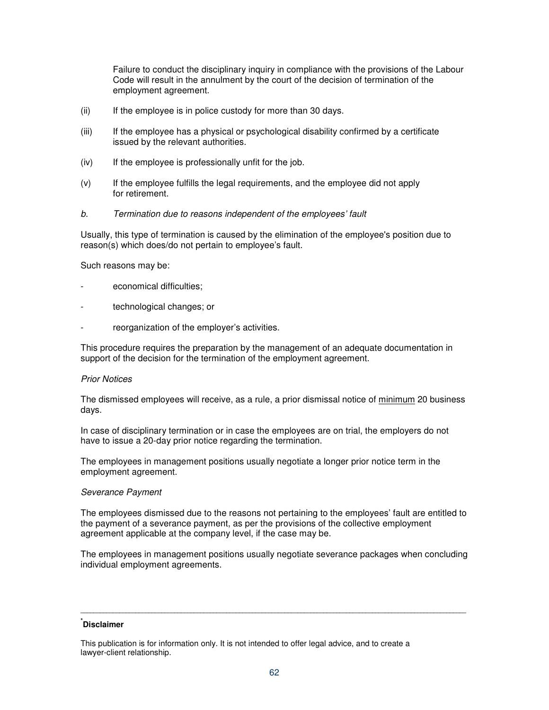Failure to conduct the disciplinary inquiry in compliance with the provisions of the Labour Code will result in the annulment by the court of the decision of termination of the employment agreement.

- (ii) If the employee is in police custody for more than 30 days.
- (iii) If the employee has a physical or psychological disability confirmed by a certificate issued by the relevant authorities.
- (iv) If the employee is professionally unfit for the job.
- (v) If the employee fulfills the legal requirements, and the employee did not apply for retirement.
- b. Termination due to reasons independent of the employees' fault

Usually, this type of termination is caused by the elimination of the employee's position due to reason(s) which does/do not pertain to employee's fault.

Such reasons may be:

- economical difficulties;
- technological changes; or
- reorganization of the employer's activities.

This procedure requires the preparation by the management of an adequate documentation in support of the decision for the termination of the employment agreement.

### Prior Notices

The dismissed employees will receive, as a rule, a prior dismissal notice of minimum 20 business days.

In case of disciplinary termination or in case the employees are on trial, the employers do not have to issue a 20-day prior notice regarding the termination.

The employees in management positions usually negotiate a longer prior notice term in the employment agreement.

### Severance Payment

The employees dismissed due to the reasons not pertaining to the employees' fault are entitled to the payment of a severance payment, as per the provisions of the collective employment agreement applicable at the company level, if the case may be.

The employees in management positions usually negotiate severance packages when concluding individual employment agreements.

**\_\_\_\_\_\_\_\_\_\_\_\_\_\_\_\_\_\_\_\_\_\_\_\_\_\_\_\_\_\_\_\_\_\_\_\_\_\_\_\_\_\_\_\_\_\_\_\_\_\_\_\_\_\_\_\_\_\_\_\_\_\_\_\_\_\_\_\_\_\_\_\_\_\_\_\_\_\_\_\_\_\_\_\_\_\_\_\_\_\_\_\_\_\_\_\_\_\_\_\_\_\_\_\_\_\_\_\_\_\_\_\_\_\_\_\_\_\_\_** 

This publication is for information only. It is not intended to offer legal advice, and to create a lawyer-client relationship.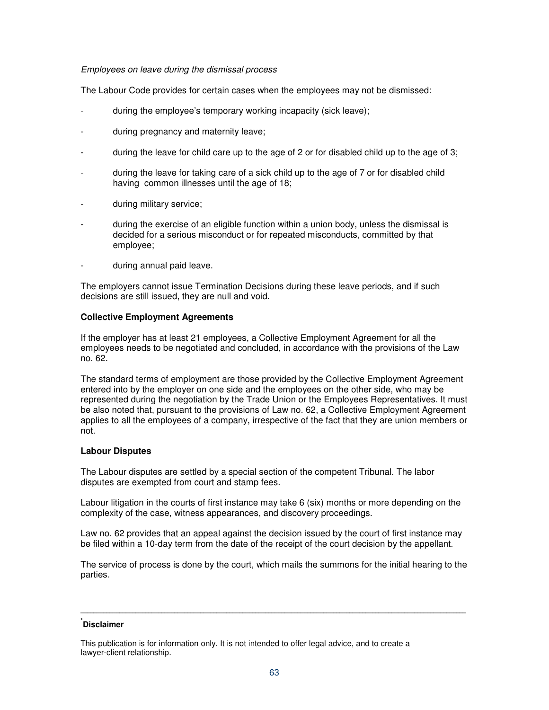## Employees on leave during the dismissal process

The Labour Code provides for certain cases when the employees may not be dismissed:

- during the employee's temporary working incapacity (sick leave);
- during pregnancy and maternity leave;
- during the leave for child care up to the age of 2 or for disabled child up to the age of 3;
- during the leave for taking care of a sick child up to the age of 7 or for disabled child having common illnesses until the age of 18;
- during military service;
- during the exercise of an eligible function within a union body, unless the dismissal is decided for a serious misconduct or for repeated misconducts, committed by that employee;
- during annual paid leave.

The employers cannot issue Termination Decisions during these leave periods, and if such decisions are still issued, they are null and void.

### **Collective Employment Agreements**

If the employer has at least 21 employees, a Collective Employment Agreement for all the employees needs to be negotiated and concluded, in accordance with the provisions of the Law no. 62.

The standard terms of employment are those provided by the Collective Employment Agreement entered into by the employer on one side and the employees on the other side, who may be represented during the negotiation by the Trade Union or the Employees Representatives. It must be also noted that, pursuant to the provisions of Law no. 62, a Collective Employment Agreement applies to all the employees of a company, irrespective of the fact that they are union members or not.

## **Labour Disputes**

The Labour disputes are settled by a special section of the competent Tribunal. The labor disputes are exempted from court and stamp fees.

Labour litigation in the courts of first instance may take 6 (six) months or more depending on the complexity of the case, witness appearances, and discovery proceedings.

Law no. 62 provides that an appeal against the decision issued by the court of first instance may be filed within a 10-day term from the date of the receipt of the court decision by the appellant.

The service of process is done by the court, which mails the summons for the initial hearing to the parties.

**\_\_\_\_\_\_\_\_\_\_\_\_\_\_\_\_\_\_\_\_\_\_\_\_\_\_\_\_\_\_\_\_\_\_\_\_\_\_\_\_\_\_\_\_\_\_\_\_\_\_\_\_\_\_\_\_\_\_\_\_\_\_\_\_\_\_\_\_\_\_\_\_\_\_\_\_\_\_\_\_\_\_\_\_\_\_\_\_\_\_\_\_\_\_\_\_\_\_\_\_\_\_\_\_\_\_\_\_\_\_\_\_\_\_\_\_\_\_\_** 

This publication is for information only. It is not intended to offer legal advice, and to create a lawyer-client relationship.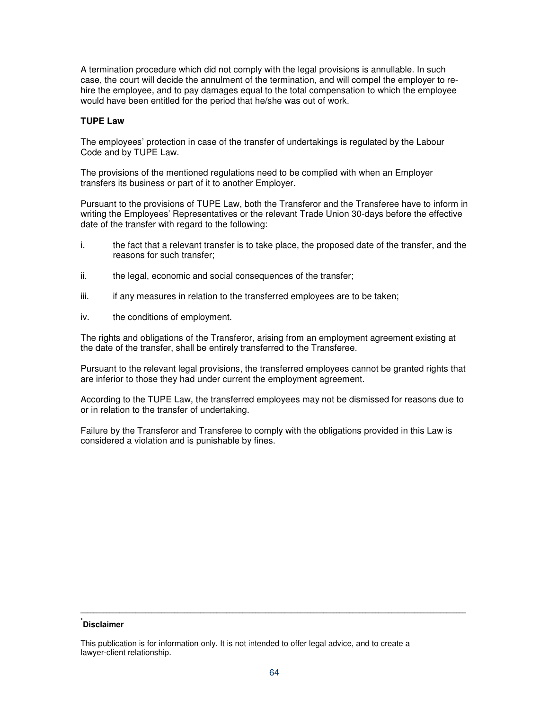A termination procedure which did not comply with the legal provisions is annullable. In such case, the court will decide the annulment of the termination, and will compel the employer to rehire the employee, and to pay damages equal to the total compensation to which the employee would have been entitled for the period that he/she was out of work.

### **TUPE Law**

The employees' protection in case of the transfer of undertakings is regulated by the Labour Code and by TUPE Law.

The provisions of the mentioned regulations need to be complied with when an Employer transfers its business or part of it to another Employer.

Pursuant to the provisions of TUPE Law, both the Transferor and the Transferee have to inform in writing the Employees' Representatives or the relevant Trade Union 30-days before the effective date of the transfer with regard to the following:

- i. the fact that a relevant transfer is to take place, the proposed date of the transfer, and the reasons for such transfer;
- ii. the legal, economic and social consequences of the transfer;
- iii. if any measures in relation to the transferred employees are to be taken;
- iv. the conditions of employment.

The rights and obligations of the Transferor, arising from an employment agreement existing at the date of the transfer, shall be entirely transferred to the Transferee.

Pursuant to the relevant legal provisions, the transferred employees cannot be granted rights that are inferior to those they had under current the employment agreement.

According to the TUPE Law, the transferred employees may not be dismissed for reasons due to or in relation to the transfer of undertaking.

Failure by the Transferor and Transferee to comply with the obligations provided in this Law is considered a violation and is punishable by fines.

## **\* Disclaimer**

This publication is for information only. It is not intended to offer legal advice, and to create a lawyer-client relationship.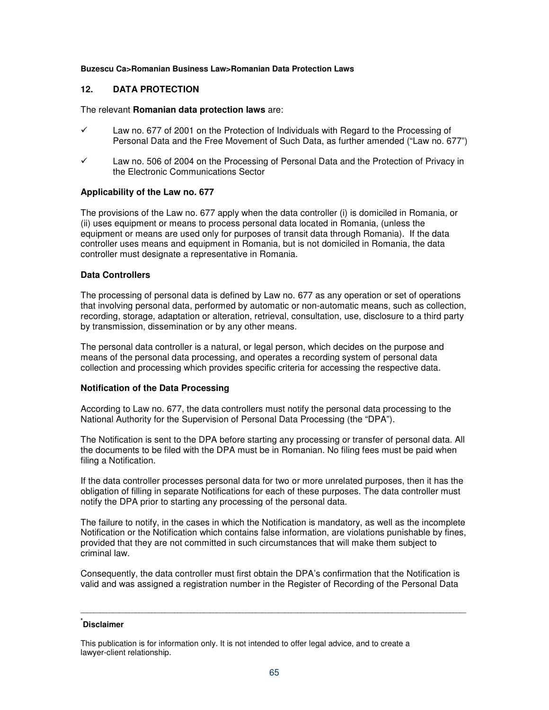#### **Buzescu Ca>Romanian Business Law>Romanian Data Protection Laws**

## **12. DATA PROTECTION**

#### The relevant **Romanian data protection laws** are:

- Law no. 677 of 2001 on the Protection of Individuals with Regard to the Processing of Personal Data and the Free Movement of Such Data, as further amended ("Law no. 677")
- $\checkmark$  Law no. 506 of 2004 on the Processing of Personal Data and the Protection of Privacy in the Electronic Communications Sector

### **Applicability of the Law no. 677**

The provisions of the Law no. 677 apply when the data controller (i) is domiciled in Romania, or (ii) uses equipment or means to process personal data located in Romania, (unless the equipment or means are used only for purposes of transit data through Romania). If the data controller uses means and equipment in Romania, but is not domiciled in Romania, the data controller must designate a representative in Romania.

### **Data Controllers**

The processing of personal data is defined by Law no. 677 as any operation or set of operations that involving personal data, performed by automatic or non-automatic means, such as collection, recording, storage, adaptation or alteration, retrieval, consultation, use, disclosure to a third party by transmission, dissemination or by any other means.

The personal data controller is a natural, or legal person, which decides on the purpose and means of the personal data processing, and operates a recording system of personal data collection and processing which provides specific criteria for accessing the respective data.

### **Notification of the Data Processing**

According to Law no. 677, the data controllers must notify the personal data processing to the National Authority for the Supervision of Personal Data Processing (the "DPA").

The Notification is sent to the DPA before starting any processing or transfer of personal data. All the documents to be filed with the DPA must be in Romanian. No filing fees must be paid when filing a Notification.

If the data controller processes personal data for two or more unrelated purposes, then it has the obligation of filling in separate Notifications for each of these purposes. The data controller must notify the DPA prior to starting any processing of the personal data.

The failure to notify, in the cases in which the Notification is mandatory, as well as the incomplete Notification or the Notification which contains false information, are violations punishable by fines, provided that they are not committed in such circumstances that will make them subject to criminal law.

Consequently, the data controller must first obtain the DPA's confirmation that the Notification is valid and was assigned a registration number in the Register of Recording of the Personal Data

**\_\_\_\_\_\_\_\_\_\_\_\_\_\_\_\_\_\_\_\_\_\_\_\_\_\_\_\_\_\_\_\_\_\_\_\_\_\_\_\_\_\_\_\_\_\_\_\_\_\_\_\_\_\_\_\_\_\_\_\_\_\_\_\_\_\_\_\_\_\_\_\_\_\_\_\_\_\_\_\_\_\_\_\_\_\_\_\_\_\_\_\_\_\_\_\_\_\_\_\_\_\_\_\_\_\_\_\_\_\_\_\_\_\_\_\_\_\_\_** 

This publication is for information only. It is not intended to offer legal advice, and to create a lawyer-client relationship.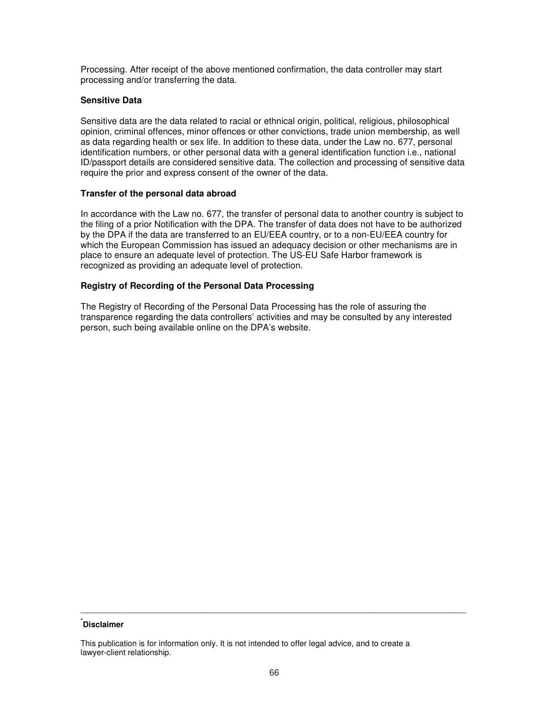Processing. After receipt of the above mentioned confirmation, the data controller may start processing and/or transferring the data.

## **Sensitive Data**

Sensitive data are the data related to racial or ethnical origin, political, religious, philosophical opinion, criminal offences, minor offences or other convictions, trade union membership, as well as data regarding health or sex life. In addition to these data, under the Law no. 677, personal identification numbers, or other personal data with a general identification function i.e., national ID/passport details are considered sensitive data. The collection and processing of sensitive data require the prior and express consent of the owner of the data.

## **Transfer of the personal data abroad**

In accordance with the Law no. 677, the transfer of personal data to another country is subject to the filing of a prior Notification with the DPA. The transfer of data does not have to be authorized by the DPA if the data are transferred to an EU/EEA country, or to a non-EU/EEA country for which the European Commission has issued an adequacy decision or other mechanisms are in place to ensure an adequate level of protection. The US-EU Safe Harbor framework is recognized as providing an adequate level of protection.

## **Registry of Recording of the Personal Data Processing**

The Registry of Recording of the Personal Data Processing has the role of assuring the transparence regarding the data controllers' activities and may be consulted by any interested person, such being available online on the DPA's website.

## **\* Disclaimer**

This publication is for information only. It is not intended to offer legal advice, and to create a lawyer-client relationship.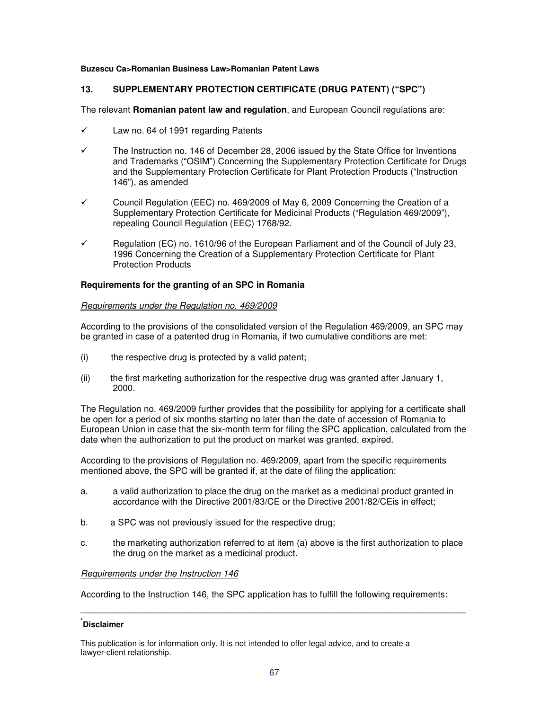### **Buzescu Ca>Romanian Business Law>Romanian Patent Laws**

## **13. SUPPLEMENTARY PROTECTION CERTIFICATE (DRUG PATENT) ("SPC")**

The relevant **Romanian patent law and regulation**, and European Council regulations are:

- $\checkmark$  Law no. 64 of 1991 regarding Patents
- $\checkmark$  The Instruction no. 146 of December 28, 2006 issued by the State Office for Inventions and Trademarks ("OSIM") Concerning the Supplementary Protection Certificate for Drugs and the Supplementary Protection Certificate for Plant Protection Products ("Instruction 146"), as amended
- $\checkmark$  Council Regulation (EEC) no. 469/2009 of May 6, 2009 Concerning the Creation of a Supplementary Protection Certificate for Medicinal Products ("Regulation 469/2009"), repealing Council Regulation (EEC) 1768/92.
- $\checkmark$  Regulation (EC) no. 1610/96 of the European Parliament and of the Council of July 23, 1996 Concerning the Creation of a Supplementary Protection Certificate for Plant Protection Products

#### **Requirements for the granting of an SPC in Romania**

#### Requirements under the Regulation no. 469/2009

According to the provisions of the consolidated version of the Regulation 469/2009, an SPC may be granted in case of a patented drug in Romania, if two cumulative conditions are met:

- (i) the respective drug is protected by a valid patent;
- (ii) the first marketing authorization for the respective drug was granted after January 1, 2000.

The Regulation no. 469/2009 further provides that the possibility for applying for a certificate shall be open for a period of six months starting no later than the date of accession of Romania to European Union in case that the six-month term for filing the SPC application, calculated from the date when the authorization to put the product on market was granted, expired.

According to the provisions of Regulation no. 469/2009, apart from the specific requirements mentioned above, the SPC will be granted if, at the date of filing the application:

- a. a valid authorization to place the drug on the market as a medicinal product granted in accordance with the Directive 2001/83/CE or the Directive 2001/82/CEis in effect;
- b. a SPC was not previously issued for the respective drug;
- c. the marketing authorization referred to at item (a) above is the first authorization to place the drug on the market as a medicinal product.

### Requirements under the Instruction 146

According to the Instruction 146, the SPC application has to fulfill the following requirements:

**\_\_\_\_\_\_\_\_\_\_\_\_\_\_\_\_\_\_\_\_\_\_\_\_\_\_\_\_\_\_\_\_\_\_\_\_\_\_\_\_\_\_\_\_\_\_\_\_\_\_\_\_\_\_\_\_\_\_\_\_\_\_\_\_\_\_\_\_\_\_\_\_\_\_\_\_\_\_\_\_\_\_\_\_\_\_\_\_\_\_\_\_\_\_\_\_\_\_\_\_\_\_\_\_\_\_\_\_\_\_\_\_\_\_\_\_\_\_\_** 

## **\* Disclaimer**

This publication is for information only. It is not intended to offer legal advice, and to create a lawyer-client relationship.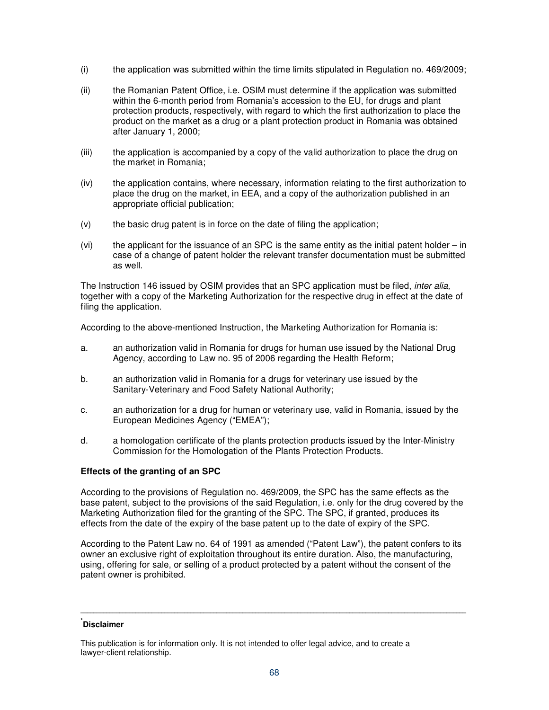- (i) the application was submitted within the time limits stipulated in Regulation no. 469/2009;
- (ii) the Romanian Patent Office, i.e. OSIM must determine if the application was submitted within the 6-month period from Romania's accession to the EU, for drugs and plant protection products, respectively, with regard to which the first authorization to place the product on the market as a drug or a plant protection product in Romania was obtained after January 1, 2000;
- (iii) the application is accompanied by a copy of the valid authorization to place the drug on the market in Romania;
- (iv) the application contains, where necessary, information relating to the first authorization to place the drug on the market, in EEA, and a copy of the authorization published in an appropriate official publication;
- (v) the basic drug patent is in force on the date of filing the application;
- $(vi)$  the applicant for the issuance of an SPC is the same entity as the initial patent holder in case of a change of patent holder the relevant transfer documentation must be submitted as well.

The Instruction 146 issued by OSIM provides that an SPC application must be filed, inter alia, together with a copy of the Marketing Authorization for the respective drug in effect at the date of filing the application.

According to the above-mentioned Instruction, the Marketing Authorization for Romania is:

- a. an authorization valid in Romania for drugs for human use issued by the National Drug Agency, according to Law no. 95 of 2006 regarding the Health Reform;
- b. an authorization valid in Romania for a drugs for veterinary use issued by the Sanitary-Veterinary and Food Safety National Authority;
- c. an authorization for a drug for human or veterinary use, valid in Romania, issued by the European Medicines Agency ("EMEA");
- d. a homologation certificate of the plants protection products issued by the Inter-Ministry Commission for the Homologation of the Plants Protection Products.

## **Effects of the granting of an SPC**

According to the provisions of Regulation no. 469/2009, the SPC has the same effects as the base patent, subject to the provisions of the said Regulation, i.e. only for the drug covered by the Marketing Authorization filed for the granting of the SPC. The SPC, if granted, produces its effects from the date of the expiry of the base patent up to the date of expiry of the SPC.

According to the Patent Law no. 64 of 1991 as amended ("Patent Law"), the patent confers to its owner an exclusive right of exploitation throughout its entire duration. Also, the manufacturing, using, offering for sale, or selling of a product protected by a patent without the consent of the patent owner is prohibited.

**\_\_\_\_\_\_\_\_\_\_\_\_\_\_\_\_\_\_\_\_\_\_\_\_\_\_\_\_\_\_\_\_\_\_\_\_\_\_\_\_\_\_\_\_\_\_\_\_\_\_\_\_\_\_\_\_\_\_\_\_\_\_\_\_\_\_\_\_\_\_\_\_\_\_\_\_\_\_\_\_\_\_\_\_\_\_\_\_\_\_\_\_\_\_\_\_\_\_\_\_\_\_\_\_\_\_\_\_\_\_\_\_\_\_\_\_\_\_\_** 

This publication is for information only. It is not intended to offer legal advice, and to create a lawyer-client relationship.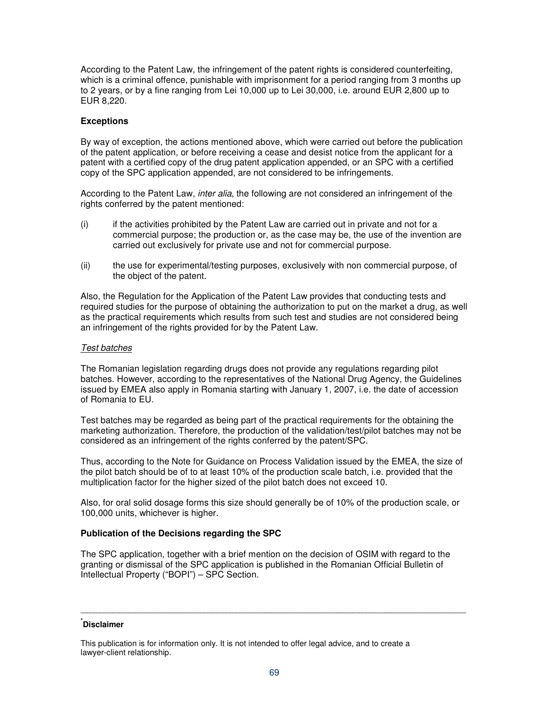According to the Patent Law, the infringement of the patent rights is considered counterfeiting, which is a criminal offence, punishable with imprisonment for a period ranging from 3 months up to 2 years, or by a fine ranging from Lei 10,000 up to Lei 30,000, i.e. around EUR 2,800 up to EUR 8,220.

## **Exceptions**

By way of exception, the actions mentioned above, which were carried out before the publication of the patent application, or before receiving a cease and desist notice from the applicant for a patent with a certified copy of the drug patent application appended, or an SPC with a certified copy of the SPC application appended, are not considered to be infringements.

According to the Patent Law, *inter alia*, the following are not considered an infringement of the rights conferred by the patent mentioned:

- (i) if the activities prohibited by the Patent Law are carried out in private and not for a commercial purpose; the production or, as the case may be, the use of the invention are carried out exclusively for private use and not for commercial purpose.
- (ii) the use for experimental/testing purposes, exclusively with non commercial purpose, of the object of the patent.

Also, the Regulation for the Application of the Patent Law provides that conducting tests and required studies for the purpose of obtaining the authorization to put on the market a drug, as well as the practical requirements which results from such test and studies are not considered being an infringement of the rights provided for by the Patent Law.

### Test batches

The Romanian legislation regarding drugs does not provide any regulations regarding pilot batches. However, according to the representatives of the National Drug Agency, the Guidelines issued by EMEA also apply in Romania starting with January 1, 2007, i.e. the date of accession of Romania to EU.

Test batches may be regarded as being part of the practical requirements for the obtaining the marketing authorization. Therefore, the production of the validation/test/pilot batches may not be considered as an infringement of the rights conferred by the patent/SPC.

Thus, according to the Note for Guidance on Process Validation issued by the EMEA, the size of the pilot batch should be of to at least 10% of the production scale batch, i.e. provided that the multiplication factor for the higher sized of the pilot batch does not exceed 10.

Also, for oral solid dosage forms this size should generally be of 10% of the production scale, or 100,000 units, whichever is higher.

### **Publication of the Decisions regarding the SPC**

The SPC application, together with a brief mention on the decision of OSIM with regard to the granting or dismissal of the SPC application is published in the Romanian Official Bulletin of Intellectual Property ("BOPI") – SPC Section.

## **\* Disclaimer**

This publication is for information only. It is not intended to offer legal advice, and to create a lawyer-client relationship.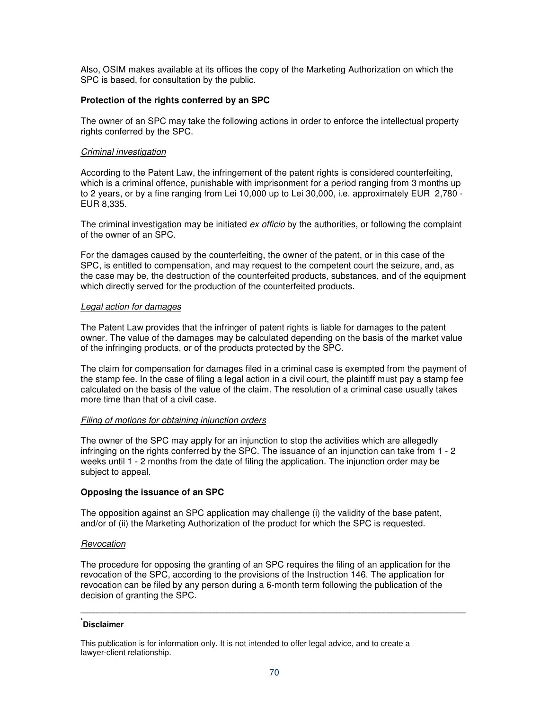Also, OSIM makes available at its offices the copy of the Marketing Authorization on which the SPC is based, for consultation by the public.

## **Protection of the rights conferred by an SPC**

The owner of an SPC may take the following actions in order to enforce the intellectual property rights conferred by the SPC.

### Criminal investigation

According to the Patent Law, the infringement of the patent rights is considered counterfeiting, which is a criminal offence, punishable with imprisonment for a period ranging from 3 months up to 2 years, or by a fine ranging from Lei 10,000 up to Lei 30,000, i.e. approximately EUR 2,780 - EUR 8,335.

The criminal investigation may be initiated ex officio by the authorities, or following the complaint of the owner of an SPC.

For the damages caused by the counterfeiting, the owner of the patent, or in this case of the SPC, is entitled to compensation, and may request to the competent court the seizure, and, as the case may be, the destruction of the counterfeited products, substances, and of the equipment which directly served for the production of the counterfeited products.

### Legal action for damages

The Patent Law provides that the infringer of patent rights is liable for damages to the patent owner. The value of the damages may be calculated depending on the basis of the market value of the infringing products, or of the products protected by the SPC.

The claim for compensation for damages filed in a criminal case is exempted from the payment of the stamp fee. In the case of filing a legal action in a civil court, the plaintiff must pay a stamp fee calculated on the basis of the value of the claim. The resolution of a criminal case usually takes more time than that of a civil case.

### Filing of motions for obtaining injunction orders

The owner of the SPC may apply for an injunction to stop the activities which are allegedly infringing on the rights conferred by the SPC. The issuance of an injunction can take from 1 - 2 weeks until 1 - 2 months from the date of filing the application. The injunction order may be subject to appeal.

### **Opposing the issuance of an SPC**

The opposition against an SPC application may challenge (i) the validity of the base patent, and/or of (ii) the Marketing Authorization of the product for which the SPC is requested.

### **Revocation**

The procedure for opposing the granting of an SPC requires the filing of an application for the revocation of the SPC, according to the provisions of the Instruction 146. The application for revocation can be filed by any person during a 6-month term following the publication of the decision of granting the SPC.

## **\* Disclaimer**

This publication is for information only. It is not intended to offer legal advice, and to create a lawyer-client relationship.